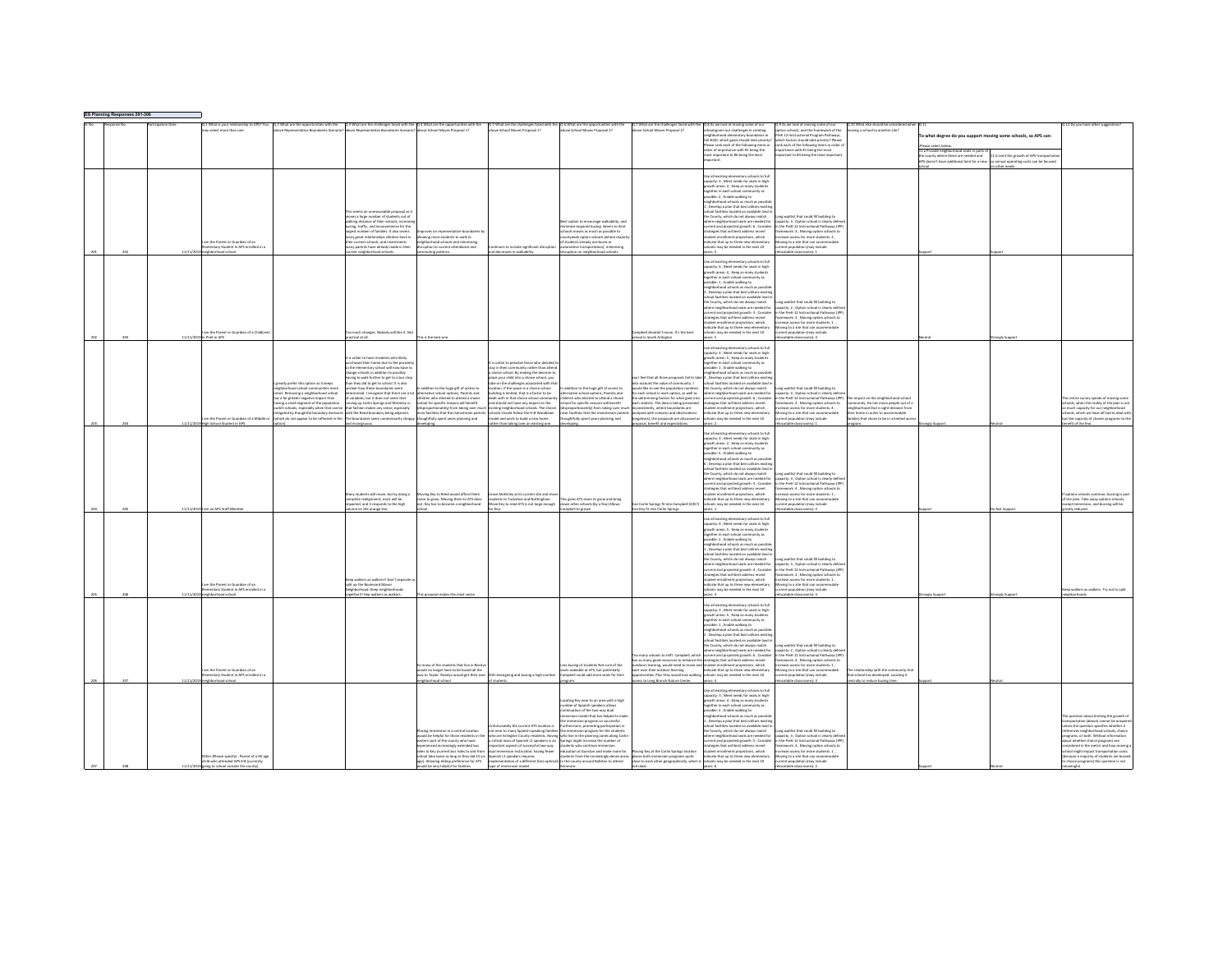| ES Planning Responses 201-300 |          |                                                                         |                                                                                           |                                                                                                                            |                                                                                      |                                                                                                                                                                |                                                                                      |                                                                                   |                                                                                                                                                                                                                                  |                                                                                                                                                                                                            |                                                                                |                                                                                        |                                                     |                                                                                 |
|-------------------------------|----------|-------------------------------------------------------------------------|-------------------------------------------------------------------------------------------|----------------------------------------------------------------------------------------------------------------------------|--------------------------------------------------------------------------------------|----------------------------------------------------------------------------------------------------------------------------------------------------------------|--------------------------------------------------------------------------------------|-----------------------------------------------------------------------------------|----------------------------------------------------------------------------------------------------------------------------------------------------------------------------------------------------------------------------------|------------------------------------------------------------------------------------------------------------------------------------------------------------------------------------------------------------|--------------------------------------------------------------------------------|----------------------------------------------------------------------------------------|-----------------------------------------------------|---------------------------------------------------------------------------------|
|                               |          | 1 What is your relationship to APS? You                                 |                                                                                           | Q 2 What are the opportunities with the Q 3 What are the challenges faced with the Q 4 What are the opportunities with the |                                                                                      | Q.5 What are the challenges faced with the Q.6 What are the opportunities with the above School Moves Proposal 1? above School Moves Proposal 2?               |                                                                                      | Q 7 What are the challenges faced with th                                         | Q 8 As we look at moving some of our                                                                                                                                                                                             | 29 As we look at moving some of our                                                                                                                                                                        | 10 What else should be consid<br>oving a school to another site?               |                                                                                        |                                                     | Do you have other sug                                                           |
|                               |          | select more than one                                                    |                                                                                           |                                                                                                                            |                                                                                      |                                                                                                                                                                |                                                                                      | e School Moyes Proposal 27                                                        | oolsgiven our challenges in creating<br>hborhood elementary boundaries in                                                                                                                                                        | on schools, and the framework of the<br>PreK 12-Instructional Program Pathways                                                                                                                             |                                                                                | o what degree do you support moving some schools, so APS can:                          |                                                     |                                                                                 |
|                               |          |                                                                         |                                                                                           |                                                                                                                            |                                                                                      |                                                                                                                                                                |                                                                                      |                                                                                   | .<br>Il 2020, which goals should take priority?<br>Yease rank each of the following items in                                                                                                                                     | which factors should take priority? Please<br>rank each of the following items in order                                                                                                                    |                                                                                |                                                                                        |                                                     |                                                                                 |
|                               |          |                                                                         |                                                                                           |                                                                                                                            |                                                                                      |                                                                                                                                                                |                                                                                      |                                                                                   | rder of importance with #1 being the                                                                                                                                                                                             | mportance with #1 being the most                                                                                                                                                                           |                                                                                |                                                                                        |                                                     |                                                                                 |
|                               |          |                                                                         |                                                                                           |                                                                                                                            |                                                                                      |                                                                                                                                                                |                                                                                      |                                                                                   | t important to #6 being the least                                                                                                                                                                                                | etant to #4 being the least import                                                                                                                                                                         |                                                                                | .<br>La Provide neighborhood seats in parts of<br>le county where these are needed and | 1 b Limit the growth of APS transp                  |                                                                                 |
|                               |          |                                                                         |                                                                                           |                                                                                                                            |                                                                                      |                                                                                                                                                                |                                                                                      |                                                                                   |                                                                                                                                                                                                                                  |                                                                                                                                                                                                            |                                                                                | S doesn't have additional land for a new                                               | annual operating costs can be focused<br>ther needs |                                                                                 |
|                               |          |                                                                         |                                                                                           |                                                                                                                            |                                                                                      |                                                                                                                                                                |                                                                                      |                                                                                   |                                                                                                                                                                                                                                  |                                                                                                                                                                                                            |                                                                                |                                                                                        |                                                     |                                                                                 |
|                               |          |                                                                         |                                                                                           |                                                                                                                            |                                                                                      |                                                                                                                                                                |                                                                                      |                                                                                   | se all existing elementary schools to full<br>pacity: 4 . Meet needs for seats in high-                                                                                                                                          |                                                                                                                                                                                                            |                                                                                |                                                                                        |                                                     |                                                                                 |
|                               |          |                                                                         |                                                                                           |                                                                                                                            |                                                                                      |                                                                                                                                                                |                                                                                      |                                                                                   | wth areas: 3, Keep as many studen                                                                                                                                                                                                |                                                                                                                                                                                                            |                                                                                |                                                                                        |                                                     |                                                                                 |
|                               |          |                                                                         |                                                                                           |                                                                                                                            |                                                                                      |                                                                                                                                                                |                                                                                      |                                                                                   | ogether in each school community as<br>sible: 2 . Enable walking to                                                                                                                                                              |                                                                                                                                                                                                            |                                                                                |                                                                                        |                                                     |                                                                                 |
|                               |          |                                                                         |                                                                                           |                                                                                                                            |                                                                                      |                                                                                                                                                                |                                                                                      |                                                                                   | borhood schools as much as possi                                                                                                                                                                                                 |                                                                                                                                                                                                            |                                                                                |                                                                                        |                                                     |                                                                                 |
|                               |          |                                                                         |                                                                                           |                                                                                                                            |                                                                                      |                                                                                                                                                                |                                                                                      |                                                                                   | Develop a plan that best utilizes existin                                                                                                                                                                                        |                                                                                                                                                                                                            |                                                                                |                                                                                        |                                                     |                                                                                 |
|                               |          |                                                                         |                                                                                           | seems an unreasonable proposal as i                                                                                        |                                                                                      |                                                                                                                                                                |                                                                                      |                                                                                   | ool facilities located on available land i<br>a County which do not always match                                                                                                                                                 | ne waitlist that could fill buildine to                                                                                                                                                                    |                                                                                |                                                                                        |                                                     |                                                                                 |
|                               |          |                                                                         |                                                                                           | moves a large number of students out of<br>walking distance of their schools, increasi                                     |                                                                                      |                                                                                                                                                                | t option to encourage walkability, an                                                |                                                                                   | vere neighborhood seats are needed for<br>rrent and projected growth: 6 , Consider                                                                                                                                               | capacity: 4, Option school is clearly definitional Pathways (IP)                                                                                                                                           |                                                                                |                                                                                        |                                                     |                                                                                 |
|                               |          |                                                                         |                                                                                           | busing, traffic, and incor<br>ence for the<br>areest number of families. It also severs                                    | was no renresentative houndaries                                                     |                                                                                                                                                                | mize required busing. Seems to limit<br>hools moves as much as possible to           |                                                                                   | atesies that will best address recent                                                                                                                                                                                            | framework: 3, Moving option schools to                                                                                                                                                                     |                                                                                |                                                                                        |                                                     |                                                                                 |
|                               |          |                                                                         |                                                                                           | iny great relationships children have in                                                                                   | wing more students to walk to<br>ghborhood schools and minimizin                     |                                                                                                                                                                | introduce notion schools (where m                                                    |                                                                                   | darker annitroinen tosenilenna truk                                                                                                                                                                                              | regista annossi for more students- 2                                                                                                                                                                       |                                                                                |                                                                                        |                                                     |                                                                                 |
|                               |          | im the Parent or Guardian of an<br>mentary Student in APS enrolled in a |                                                                                           | eir current schools, and investments<br>nany parents have already made in their                                            | otion to current attendance and                                                      | nues to include significant disruptio                                                                                                                          | tudents already use buses or<br>motive transportation), minim                        |                                                                                   | icate that up to three new elementary<br>ols may be needed in the next 10                                                                                                                                                        | loving to a site that can accom<br>stude vient noisslaton from                                                                                                                                             |                                                                                |                                                                                        |                                                     |                                                                                 |
|                               | 11/11/20 | ishborhood school                                                       |                                                                                           | rrent neighborhood schools                                                                                                 | ting patterns                                                                        | and decreases in walkability.                                                                                                                                  | uption on neighborhood schools                                                       |                                                                                   | are K                                                                                                                                                                                                                            | catable classrooms): 1                                                                                                                                                                                     |                                                                                |                                                                                        |                                                     |                                                                                 |
|                               |          |                                                                         |                                                                                           |                                                                                                                            |                                                                                      |                                                                                                                                                                |                                                                                      |                                                                                   | se all existing elementary schools to full                                                                                                                                                                                       |                                                                                                                                                                                                            |                                                                                |                                                                                        |                                                     |                                                                                 |
|                               |          |                                                                         |                                                                                           |                                                                                                                            |                                                                                      |                                                                                                                                                                |                                                                                      |                                                                                   | apacity: 6 . Meet needs for seats in high                                                                                                                                                                                        |                                                                                                                                                                                                            |                                                                                |                                                                                        |                                                     |                                                                                 |
|                               |          |                                                                         |                                                                                           |                                                                                                                            |                                                                                      |                                                                                                                                                                |                                                                                      |                                                                                   | owth areas: 4, Keep as many students                                                                                                                                                                                             |                                                                                                                                                                                                            |                                                                                |                                                                                        |                                                     |                                                                                 |
|                               |          |                                                                         |                                                                                           |                                                                                                                            |                                                                                      |                                                                                                                                                                |                                                                                      |                                                                                   | ogether in each school co<br>tmunity as<br>sible: 1, Enable walking to                                                                                                                                                           |                                                                                                                                                                                                            |                                                                                |                                                                                        |                                                     |                                                                                 |
|                               |          |                                                                         |                                                                                           |                                                                                                                            |                                                                                      |                                                                                                                                                                |                                                                                      |                                                                                   | thherhood schools as much as nossi                                                                                                                                                                                               |                                                                                                                                                                                                            |                                                                                |                                                                                        |                                                     |                                                                                 |
|                               |          |                                                                         |                                                                                           |                                                                                                                            |                                                                                      |                                                                                                                                                                |                                                                                      |                                                                                   | bevelop a plan that best utilizes existin<br>ool facilities located on available land                                                                                                                                            |                                                                                                                                                                                                            |                                                                                |                                                                                        |                                                     |                                                                                 |
|                               |          |                                                                         |                                                                                           |                                                                                                                            |                                                                                      |                                                                                                                                                                |                                                                                      |                                                                                   | the County, which do not always match                                                                                                                                                                                            | one waitlist that could fill buildine to                                                                                                                                                                   |                                                                                |                                                                                        |                                                     |                                                                                 |
|                               |          |                                                                         |                                                                                           |                                                                                                                            |                                                                                      |                                                                                                                                                                |                                                                                      |                                                                                   | are naidshorhood seats are needed for<br>rent and projected growth: 3, Consider                                                                                                                                                  | capacity: 2, Option school is clearly definition the PreK-12 Instructional Pathways (IP                                                                                                                    |                                                                                |                                                                                        |                                                     |                                                                                 |
|                               |          |                                                                         |                                                                                           |                                                                                                                            |                                                                                      |                                                                                                                                                                |                                                                                      |                                                                                   | atesies that will best address recent                                                                                                                                                                                            | framework: 3 . Moving option schools to                                                                                                                                                                    |                                                                                |                                                                                        |                                                     |                                                                                 |
|                               |          |                                                                         |                                                                                           |                                                                                                                            |                                                                                      |                                                                                                                                                                |                                                                                      |                                                                                   | dent enrollment projections, which<br><b>Scate that up to three new eleme</b>                                                                                                                                                    | rease access for more students: 1.<br>loving to a site that can accom                                                                                                                                      |                                                                                |                                                                                        |                                                     |                                                                                 |
|                               |          | am the Parent or Guardian of a Child(ren                                |                                                                                           | po much changes. Nobody will like it. Not                                                                                  |                                                                                      |                                                                                                                                                                |                                                                                      | ampbell shouldn't move. It's the best                                             | ools may be needed in the next 10                                                                                                                                                                                                | current population (may include                                                                                                                                                                            |                                                                                |                                                                                        |                                                     |                                                                                 |
|                               |          | 11/11/2019 in PreK in APS                                               |                                                                                           | ractical at all.                                                                                                           | is is the best one                                                                   |                                                                                                                                                                |                                                                                      | chool in South Arlington                                                          |                                                                                                                                                                                                                                  | catable classrooms): 4                                                                                                                                                                                     |                                                                                |                                                                                        |                                                     |                                                                                 |
|                               |          |                                                                         |                                                                                           |                                                                                                                            |                                                                                      |                                                                                                                                                                |                                                                                      |                                                                                   | .<br>Use all existing elementary schools to full<br>capacity: 4 , Meet needs for seats in high-                                                                                                                                  |                                                                                                                                                                                                            |                                                                                |                                                                                        |                                                     |                                                                                 |
|                               |          |                                                                         |                                                                                           | is unfair to have residents who likely                                                                                     |                                                                                      |                                                                                                                                                                |                                                                                      |                                                                                   | owth areas: 5 . Keep as many student                                                                                                                                                                                             |                                                                                                                                                                                                            |                                                                                |                                                                                        |                                                     |                                                                                 |
|                               |          |                                                                         |                                                                                           | ased their home due to the pro-                                                                                            |                                                                                      | unfair to penalize those who decided                                                                                                                           |                                                                                      |                                                                                   |                                                                                                                                                                                                                                  |                                                                                                                                                                                                            |                                                                                |                                                                                        |                                                     |                                                                                 |
|                               |          |                                                                         |                                                                                           | o the elementary school will now have t                                                                                    |                                                                                      | ay in their community rather than atten                                                                                                                        |                                                                                      |                                                                                   | sible: 1, Enable walking to                                                                                                                                                                                                      |                                                                                                                                                                                                            |                                                                                |                                                                                        |                                                     |                                                                                 |
|                               |          |                                                                         |                                                                                           | hanee schools in addition to possibly                                                                                      |                                                                                      | choice school. By making the decision to<br>are www.child.into a choice school wor                                                                             |                                                                                      |                                                                                   | ishborhood schools as much as possib<br>a I feel that all three proposals fail to take 3. Develop a plan that best utilizes existi                                                                                               |                                                                                                                                                                                                            |                                                                                |                                                                                        |                                                     |                                                                                 |
|                               |          |                                                                         | reatly prefer this option as it keeps                                                     | having to walk further to get to a bus sti<br>than they did to get to school. It is also                                   |                                                                                      | e on the challenges associated with tha                                                                                                                        |                                                                                      | a account the value of community. I                                               | hool facilities located on available land                                                                                                                                                                                        |                                                                                                                                                                                                            |                                                                                |                                                                                        |                                                     |                                                                                 |
|                               |          |                                                                         | irhborhood school communities more<br>tact. Removing a neighborhood school                | clear how these boundaries were<br>nined. I recognize that there are a lot                                                 | ddition to the hues eift of access to<br>mative school options, Parents and          | pcation. If the space in a choice school<br>Iding is limited, that is a factor to be                                                                           | addition to the hues eift of access to<br>mative school options. Parents and         | puld like to see the population numbers<br>each school in each option, as well as | the County, which do not always match                                                                                                                                                                                            | he County, which do not always match Long waitlist that could fill building to<br>where neighborhood seats are needed for capacity: 3 , Option school is clearly defin                                     |                                                                                |                                                                                        |                                                     |                                                                                 |
|                               |          |                                                                         | a far greater negative impact than                                                        | ariables, but it does not seem that                                                                                        | dren who elected to attend a choice                                                  | alt with in that choice school co                                                                                                                              | dren who elected to attend a choice                                                  | determining factors for what goes into                                            |                                                                                                                                                                                                                                  | rrent and projected growth: 6, Consider In the PreK-12 Instructional Pathways (IPP)                                                                                                                        | ct on the neighborhood scho                                                    |                                                                                        |                                                     |                                                                                 |
|                               |          |                                                                         | ving a small segment of the population<br>itch schools, especially when that can be       | carving up Carlin Springs and Mckinley in<br>that fashion makes any sense, especially                                      | chool for specific reasons will benefit<br>roportionately) from taking over me       | and should not have any impact on the<br>isting neighborhood schools. The choice                                                                               | hool for specific reasons will benefit<br>proportionately) from taking over muc      | ach statistic. The data is being presented<br>onsistently, where boundaries are   | strategies that will best address recent<br>tudent enrollment projections, which                                                                                                                                                 | framework: 2, Moving option schools to<br>crease access for more students: 4.                                                                                                                              | munity. Do not move people out of a<br>ishborhood that is sight distance from  |                                                                                        |                                                     | hools, when the reality of the plan is no<br>much capacity for our neighborhood |
|                               |          |                                                                         |                                                                                           | with the Reed boundary being adjacent.                                                                                     | r facilities that the mainstream of                                                  | ools should follow the H-B Woodlaw                                                                                                                             | or facilities that the mainstream parent                                             | alyzed with scenario and observations                                             | dicate that up to three new elementar                                                                                                                                                                                            | oving to a site that can accome                                                                                                                                                                            | home in order to accommodate                                                   |                                                                                        |                                                     | ools, which we have all had to deal wit                                         |
|                               |          | am the Parent or Guardian of a Middle o                                 | is tigated by thoughtful boundary decisions<br>hich do not appear to be reflected in this | e boundaries seem unnecessarily cho                                                                                        | uphtfully spent years planning and                                                   | odel and work to build a new home                                                                                                                              | shtfully spent years planning and                                                    | (atives), the proposals are discussed as                                          | cols may be needed in the next 10                                                                                                                                                                                                | rent population (may include                                                                                                                                                                               | lies that chose to be in a limited acce                                        |                                                                                        |                                                     | the capacity of chosen programs to th                                           |
|                               |          | h School Student in APS                                                 |                                                                                           |                                                                                                                            |                                                                                      | ir than taking over an existing one                                                                                                                            |                                                                                      | sal, benefit and expectations.                                                    | ears: 2                                                                                                                                                                                                                          |                                                                                                                                                                                                            |                                                                                | ngly Suppor                                                                            |                                                     | fit of the few.                                                                 |
|                               |          |                                                                         |                                                                                           |                                                                                                                            |                                                                                      |                                                                                                                                                                |                                                                                      |                                                                                   | .<br>Use all existing elementary schools to full<br>capacity: 4 , Meet needs for seats in high-                                                                                                                                  |                                                                                                                                                                                                            |                                                                                |                                                                                        |                                                     |                                                                                 |
|                               |          |                                                                         |                                                                                           |                                                                                                                            |                                                                                      |                                                                                                                                                                |                                                                                      |                                                                                   | owth areas: 2 . Keep as many students                                                                                                                                                                                            |                                                                                                                                                                                                            |                                                                                |                                                                                        |                                                     |                                                                                 |
|                               |          |                                                                         |                                                                                           |                                                                                                                            |                                                                                      |                                                                                                                                                                |                                                                                      |                                                                                   | eather in each school                                                                                                                                                                                                            |                                                                                                                                                                                                            |                                                                                |                                                                                        |                                                     |                                                                                 |
|                               |          |                                                                         |                                                                                           |                                                                                                                            |                                                                                      |                                                                                                                                                                |                                                                                      |                                                                                   | sible: S , Enable walking to<br>eighborhood schools as much as possi                                                                                                                                                             |                                                                                                                                                                                                            |                                                                                |                                                                                        |                                                     |                                                                                 |
|                               |          |                                                                         |                                                                                           |                                                                                                                            |                                                                                      |                                                                                                                                                                |                                                                                      |                                                                                   | Develop a plan that best utilizes existin                                                                                                                                                                                        |                                                                                                                                                                                                            |                                                                                |                                                                                        |                                                     |                                                                                 |
|                               |          |                                                                         |                                                                                           |                                                                                                                            |                                                                                      |                                                                                                                                                                |                                                                                      |                                                                                   | ol facilities located on available land<br>the County, which do not always match                                                                                                                                                 | ong waitlist that could fill building to                                                                                                                                                                   |                                                                                |                                                                                        |                                                     |                                                                                 |
|                               |          |                                                                         |                                                                                           |                                                                                                                            |                                                                                      |                                                                                                                                                                |                                                                                      |                                                                                   | here neighborhood seats are needed for                                                                                                                                                                                           | capacity: 3 . Option school is clearly defi                                                                                                                                                                |                                                                                |                                                                                        |                                                     |                                                                                 |
|                               |          |                                                                         |                                                                                           |                                                                                                                            |                                                                                      |                                                                                                                                                                |                                                                                      |                                                                                   |                                                                                                                                                                                                                                  | rrent and projected growth: 3, Consider in the Prek-12 Instructional Pathways (IPP)<br>ategies that will best address recent framework: 4, Moving option schools to<br>nework: 4, Moving option schools to |                                                                                |                                                                                        |                                                     |                                                                                 |
|                               |          |                                                                         |                                                                                           | lany students will move, but by doing a                                                                                    | ving Key to Reed would afford them                                                   | e McKinley at its current site and mov                                                                                                                         |                                                                                      |                                                                                   | sent enrolment projections, which                                                                                                                                                                                                | crease access for more students: 1,                                                                                                                                                                        |                                                                                |                                                                                        |                                                     | tions schools continue, bussing is par                                          |
|                               |          |                                                                         |                                                                                           | .<br>splete realignment, most will be<br>acted, and it responds to the high                                                | em to grow. Moving them to ATS does<br>I. Key has to become a neighborhood           | udents to Tuckahoe and Nottingham.<br>love Key to reed ATS is not large enough                                                                                 | is gives ATS room to grow and bring<br>who ther schools (by a few) Allows            | n Carlin Springs fit into Campbell (435?)                                         | <b>Scate that un to three new eleme</b><br>ay be needed in the next 10                                                                                                                                                           | Aoving to a site that can accomm<br>urrent population (may include                                                                                                                                         |                                                                                |                                                                                        |                                                     | the plan. Take away options school<br>mmersion, and bussing will be             |
|                               |          | am an APS Staff Me                                                      |                                                                                           | plume on the orange line                                                                                                   |                                                                                      | e Key-                                                                                                                                                         | mong of lisdom                                                                       | Lan Key fit into Carlin Springs                                                   | ars: 1                                                                                                                                                                                                                           | catable classrooms): 2                                                                                                                                                                                     |                                                                                |                                                                                        | Not Supp                                            | atly reduced.                                                                   |
|                               |          |                                                                         |                                                                                           |                                                                                                                            |                                                                                      |                                                                                                                                                                |                                                                                      |                                                                                   | to all existing elementary schools to full                                                                                                                                                                                       |                                                                                                                                                                                                            |                                                                                |                                                                                        |                                                     |                                                                                 |
|                               |          |                                                                         |                                                                                           |                                                                                                                            |                                                                                      |                                                                                                                                                                |                                                                                      |                                                                                   | apacity: 6, Meet needs for seats in high-                                                                                                                                                                                        |                                                                                                                                                                                                            |                                                                                |                                                                                        |                                                     |                                                                                 |
|                               |          |                                                                         |                                                                                           |                                                                                                                            |                                                                                      |                                                                                                                                                                |                                                                                      |                                                                                   | owth areas: S. Keep as many students<br>seether in each school con<br>unity as                                                                                                                                                   |                                                                                                                                                                                                            |                                                                                |                                                                                        |                                                     |                                                                                 |
|                               |          |                                                                         |                                                                                           |                                                                                                                            |                                                                                      |                                                                                                                                                                |                                                                                      |                                                                                   | ible: 2, Enable walking to                                                                                                                                                                                                       |                                                                                                                                                                                                            |                                                                                |                                                                                        |                                                     |                                                                                 |
|                               |          |                                                                         |                                                                                           |                                                                                                                            |                                                                                      |                                                                                                                                                                |                                                                                      |                                                                                   | eighborhood schools as much as possib<br>Develop a plan that best utilizes existin                                                                                                                                               |                                                                                                                                                                                                            |                                                                                |                                                                                        |                                                     |                                                                                 |
|                               |          |                                                                         |                                                                                           |                                                                                                                            |                                                                                      |                                                                                                                                                                |                                                                                      |                                                                                   | ool facilities located on available land<br>County, which do not always match                                                                                                                                                    |                                                                                                                                                                                                            |                                                                                |                                                                                        |                                                     |                                                                                 |
|                               |          |                                                                         |                                                                                           |                                                                                                                            |                                                                                      |                                                                                                                                                                |                                                                                      |                                                                                   |                                                                                                                                                                                                                                  | ong waitlist that could fill building to                                                                                                                                                                   |                                                                                |                                                                                        |                                                     |                                                                                 |
|                               |          |                                                                         |                                                                                           |                                                                                                                            |                                                                                      |                                                                                                                                                                |                                                                                      |                                                                                   | tere neighborhood seats are needed for                                                                                                                                                                                           | capacity: 3, Option school is clearly defi                                                                                                                                                                 |                                                                                |                                                                                        |                                                     |                                                                                 |
|                               |          |                                                                         |                                                                                           |                                                                                                                            |                                                                                      |                                                                                                                                                                |                                                                                      |                                                                                   |                                                                                                                                                                                                                                  | rrent and projected growth: 4 , Consider in the PreK-12 Instructional Pathways (IPP<br>ategies that will best address recent framework: 2 , Moving option schools to                                       |                                                                                |                                                                                        |                                                     |                                                                                 |
|                               |          | im the Parent or Guardian of an                                         |                                                                                           | eep walkers as walkers!! Don't separat<br>olit up the Boulevard Manor                                                      |                                                                                      |                                                                                                                                                                |                                                                                      |                                                                                   | ent enrollment projections, which<br>dicate that up to three new elementary                                                                                                                                                      | rease access for more students: 1,<br>Movine to a site that can accomm                                                                                                                                     |                                                                                |                                                                                        |                                                     |                                                                                 |
|                               |          | stary Student in APS enrolled in a                                      |                                                                                           | sborhood. Keep neighborhoods                                                                                               |                                                                                      |                                                                                                                                                                |                                                                                      |                                                                                   | may he needed in the next 10                                                                                                                                                                                                     | inn fenau inríocha                                                                                                                                                                                         |                                                                                |                                                                                        |                                                     | p walkers as walkers. Try not to solit                                          |
|                               |          |                                                                         |                                                                                           | ther !!! Kep walkers as wall                                                                                               | proposal makes the most sense                                                        |                                                                                                                                                                |                                                                                      |                                                                                   |                                                                                                                                                                                                                                  | atable classrooms):                                                                                                                                                                                        |                                                                                | ngly Supp                                                                              |                                                     |                                                                                 |
|                               |          |                                                                         |                                                                                           |                                                                                                                            |                                                                                      |                                                                                                                                                                |                                                                                      |                                                                                   | ie all existing elementary schools to full                                                                                                                                                                                       |                                                                                                                                                                                                            |                                                                                |                                                                                        |                                                     |                                                                                 |
|                               |          |                                                                         |                                                                                           |                                                                                                                            |                                                                                      |                                                                                                                                                                |                                                                                      |                                                                                   | apacity: 3 , Meet needs for seats in high-<br>rowth areas: 5 , Keep as many students                                                                                                                                             |                                                                                                                                                                                                            |                                                                                |                                                                                        |                                                     |                                                                                 |
|                               |          |                                                                         |                                                                                           |                                                                                                                            |                                                                                      |                                                                                                                                                                |                                                                                      |                                                                                   | together in each school community as                                                                                                                                                                                             |                                                                                                                                                                                                            |                                                                                |                                                                                        |                                                     |                                                                                 |
|                               |          |                                                                         |                                                                                           |                                                                                                                            |                                                                                      |                                                                                                                                                                |                                                                                      |                                                                                   | sible: 1 , Enable walking to<br>ighborhood schools as much as possib                                                                                                                                                             |                                                                                                                                                                                                            |                                                                                |                                                                                        |                                                     |                                                                                 |
|                               |          |                                                                         |                                                                                           |                                                                                                                            |                                                                                      |                                                                                                                                                                |                                                                                      |                                                                                   | Develop a plan that best utilizes existin                                                                                                                                                                                        |                                                                                                                                                                                                            |                                                                                |                                                                                        |                                                     |                                                                                 |
|                               |          |                                                                         |                                                                                           |                                                                                                                            |                                                                                      |                                                                                                                                                                |                                                                                      |                                                                                   | el farilities lerated en available land i                                                                                                                                                                                        | ong waitlist that could fill building to                                                                                                                                                                   |                                                                                |                                                                                        |                                                     |                                                                                 |
|                               |          |                                                                         |                                                                                           |                                                                                                                            |                                                                                      |                                                                                                                                                                |                                                                                      |                                                                                   | the County, which do not always match<br>where neighborhood seats are needed for                                                                                                                                                 | capacity: 2, Option school is clearly defi                                                                                                                                                                 |                                                                                |                                                                                        |                                                     |                                                                                 |
|                               |          |                                                                         |                                                                                           |                                                                                                                            |                                                                                      |                                                                                                                                                                |                                                                                      |                                                                                   |                                                                                                                                                                                                                                  |                                                                                                                                                                                                            |                                                                                |                                                                                        |                                                     |                                                                                 |
|                               |          |                                                                         |                                                                                           |                                                                                                                            | many of the students that live in Rossly                                             |                                                                                                                                                                | ess busing of students Not sure of the                                               |                                                                                   | oo many schools to shift. Campbell, which current and projected growth: 6, Consider in the Prek-12 Instructional Pathways (DP)<br>as so many good resources to enhance the strategies that will best address neeme. In immersich |                                                                                                                                                                                                            |                                                                                |                                                                                        |                                                     |                                                                                 |
|                               |          | im the Parent or Guardian of an<br>nentary Student in APS enrolled in a |                                                                                           |                                                                                                                            | uld no longer have to be bused all the<br>vay to Taylor. Rosslyn would get their own | reassigning and busing a high numbe                                                                                                                            | ats available at ATS, but potentially<br>mpbell could add more seats for their       | tart over their outdoor learning<br>ortunities. Plus they would lose walkin       | indicate that up to three new elementar<br>D2 tools may be needed in the next                                                                                                                                                    | loving to a site that can accommodate<br>arrent population (may include                                                                                                                                    | relationship with the community that<br>that school has developed. Locating it |                                                                                        |                                                     |                                                                                 |
|                               |          |                                                                         |                                                                                           |                                                                                                                            | hborhood schoe                                                                       |                                                                                                                                                                | gram                                                                                 | iss to Long Branch Nature Center.                                                 |                                                                                                                                                                                                                                  | atable classrooms):                                                                                                                                                                                        | rally to reduce busing time                                                    |                                                                                        |                                                     |                                                                                 |
|                               |          |                                                                         |                                                                                           |                                                                                                                            |                                                                                      |                                                                                                                                                                |                                                                                      |                                                                                   | se all existing elementary schools to full                                                                                                                                                                                       |                                                                                                                                                                                                            |                                                                                |                                                                                        |                                                     |                                                                                 |
|                               |          |                                                                         |                                                                                           |                                                                                                                            |                                                                                      |                                                                                                                                                                |                                                                                      |                                                                                   | capacity: 3 , Meet needs for seats in high-<br>growth areas: 4 , Keep as many students                                                                                                                                           |                                                                                                                                                                                                            |                                                                                |                                                                                        |                                                     |                                                                                 |
|                               |          |                                                                         |                                                                                           |                                                                                                                            |                                                                                      |                                                                                                                                                                | cating Key near to an area with a high<br>mber of Spanish speakers allows            |                                                                                   | gether in each school community as                                                                                                                                                                                               |                                                                                                                                                                                                            |                                                                                |                                                                                        |                                                     |                                                                                 |
|                               |          |                                                                         |                                                                                           |                                                                                                                            |                                                                                      |                                                                                                                                                                | Isub view-own ed) he notherni                                                        |                                                                                   | isible: 2 , Enable walking to<br>ithborhood schools as much as oos:                                                                                                                                                              |                                                                                                                                                                                                            |                                                                                |                                                                                        |                                                     |                                                                                 |
|                               |          |                                                                         |                                                                                           |                                                                                                                            |                                                                                      |                                                                                                                                                                | rsion model that has helped to                                                       |                                                                                   |                                                                                                                                                                                                                                  |                                                                                                                                                                                                            |                                                                                |                                                                                        |                                                     | tion about limiting the growth o                                                |
|                               |          |                                                                         |                                                                                           |                                                                                                                            |                                                                                      | ortunately the current ATS location is                                                                                                                         | immersion program so successful.<br>rthermore, promotine participation in            |                                                                                   | Develop a plan that best utilizes existin<br>hool facilities located on available land i                                                                                                                                         |                                                                                                                                                                                                            |                                                                                |                                                                                        |                                                     | nsportation (above) cannot be answer<br>iss the question specifies whether it   |
|                               |          |                                                                         |                                                                                           |                                                                                                                            | ersion in a contral location<br>ing Imm                                              | ot near to many Spanish-speaking families<br>tho are Arlington County residents. Having                                                                        | he immersion program for the students<br>tho live in the planning zones along Carli  |                                                                                   | e County, which do not always match                                                                                                                                                                                              | waitist that rould fill huibling to                                                                                                                                                                        |                                                                                |                                                                                        |                                                     | nres neighborhood schools choic                                                 |
|                               |          |                                                                         |                                                                                           |                                                                                                                            | ould be helpful for those residents in the<br>tern part of the county who have       | a critical mass of Spanish L1 speakers is an                                                                                                                   | prings might increase the number o                                                   |                                                                                   |                                                                                                                                                                                                                                  | here neighborhood seats are needed for capacity: 3 , Option school is clearly define<br>rrent and projected growth: 5 , Consider in the PreK-12 Instructional Pathways (IPP                                |                                                                                |                                                                                        |                                                     | ograms, or both. Without information<br>ut whether choice programs are          |
|                               |          |                                                                         |                                                                                           |                                                                                                                            | rienced increasingly extended bus                                                    | portant aspects of successful two-way                                                                                                                          | dents who continue immersion                                                         |                                                                                   | degies that will best address recent                                                                                                                                                                                             | framework: 4 . Moving option schools to                                                                                                                                                                    |                                                                                |                                                                                        |                                                     | sidered in the metric and how moving                                            |
|                               |          | ther (Please specify) : Parent of a HS age                              |                                                                                           |                                                                                                                            |                                                                                      | is to Key (current bus rides to and from I dual immersion instruction; having fewer<br>lool take twice as long as they did 15 yrs Spanish L1 speakers requires | education at Gunston and make room for<br>students from the increasingly dense areas | acing Key at the Carlin Springs location<br>places both immersion programs quite  | student enrollment projections, which<br>indicate that up to three new elementary                                                                                                                                                | ncrease access for more students: 1,<br>Moving to a site that can accom                                                                                                                                    |                                                                                |                                                                                        |                                                     | ol might impact transportation costs<br>ause a majority of students are busses  |
|                               |          | child who attended APS K-8 (currently                                   |                                                                                           |                                                                                                                            |                                                                                      | ago). Allowing sibling preference for ATS implementation of a different (less optimal) in the county around Ballston to attend                                 |                                                                                      | close to each other geographically, which is schools may be needed in the next 10 |                                                                                                                                                                                                                                  | current population (may include                                                                                                                                                                            |                                                                                |                                                                                        |                                                     | o choice programs) this question is not                                         |
|                               |          |                                                                         |                                                                                           |                                                                                                                            |                                                                                      |                                                                                                                                                                |                                                                                      |                                                                                   |                                                                                                                                                                                                                                  | srooms):                                                                                                                                                                                                   |                                                                                |                                                                                        |                                                     |                                                                                 |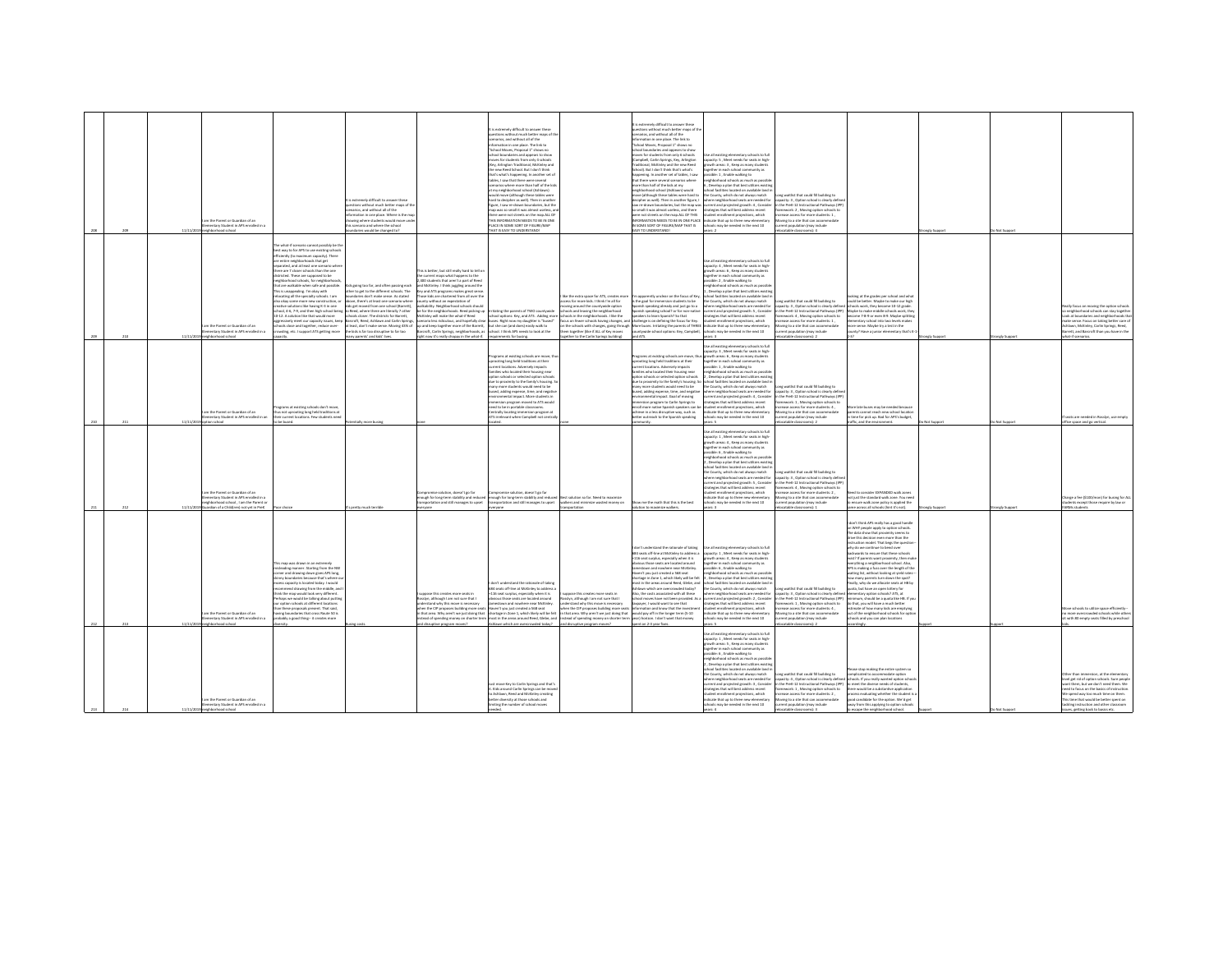|  |           | m the Parent or Guardian of an<br>mentary Student in APS enrolled in a<br>hbarhood school                                                                 |                                                                                                                                                                                                                                                                                                                                                                                                                                                                                                                                                                                                                                                                                                                                                                    | extremely difficult to answer these<br>tions without much better maps of th<br>arize and without all of the<br>mation in one place. Where is the ma<br>wing where students would move un<br>scenario and where the school<br>daries would be changed to?                                                                                                                                                                                                                 |                                                                                                                                                                                                                                                                                                                                                                                                                                                                                                     | is extremely difficult to answer these<br>ions without much better maps of th<br>cenarios, and without all of the<br>nation in one place. The link to<br>"School Moyes, Proposal 1" shows no<br>hool boundaries and appears to show<br>mouses four structurets from mole 4 schools<br><b>Yey, Arlington Traditional, McKinley and</b><br>dealer Cords Lited, Joseph Popel wan add<br>that's what's happening, in another set of<br>tables. I saw that there were several<br>enarios where more than half of the kid<br>at my neighborhood school (Ashlawn)<br>would move (although these tables were<br>hard to decipher as well). Then in another<br>figure, I saw re-drawn boundaries, but the<br>man was sn small it was almost readers an<br>there were not streets on the map ALL OF<br>THIS INFORMATION NEEDS TO BE IN ONE<br>PLACE IN SOME SORT OF FIGURE/MAP<br>HAT IS EASY TO UNDERSTAND! |                                                                                                                                                                                                                                                                                                                                                                                | extremely difficult to answer these<br>estions without much better maps of th<br>narios, and without all of the<br>formation in one place. The link to<br>chool Moves, Proposal 1" shows no<br>work of zysepps bns zeitsbnuod loorb<br>ves for students from only 6 schools<br>.<br>Campbell, Carlin Springs, Key, Arlington<br>Fraditional, McKinley and the new Reed<br>cheeds that I don't think that's what's<br>sppening. In another set of tables, I saw<br>hat there were several scenarios where<br>ore than half of the kids at my<br>bluow (mesiricA) loorito boortrodrisis<br>ove (although these tables were hard to<br>lecipher as well. Then in another figure. I<br>w re-drawn boundaries, but the map was<br>small it was almost useless, and there<br>vere not streets on the map.ALL OF THIS<br>SOME SORT OF FIGURE/MAP THAT IS<br>Y TO UNDERSTAND! | e all existing elementary schools to full<br>pacity: 5 . Meet needs for seats in high<br>wth areas: 3, Keep as many student<br>sether in each school community as<br>ssible: 1, Enable walking to<br>eighborhood schools as much as possibl<br>Nevelop a plan that best utilizes exist<br>pol facilities located on available land i<br>e County, which do not always match<br>nere neighborhood seats are needed for<br>rrent and projected growth: 4 , Consider<br>trategies that will best address recent<br>tudent enrollment projections, which<br>NEOBMATION NEEDS TO BE IN ONE DI ACE. Invirons that us to three new elementary<br>ools may be needed in the next 10 | ong waitlist that could fill building to<br>.<br>pacity: 3 , Option school is clearly define<br>the PreK-12 Instructional Pathways (IPF<br>ework: 2 . Moving option schools to<br>ease access for more students: 1,<br>oving to a site that can accommodat<br>rent population (may include<br>catable classrooms): 4 |                                                                                                                                                                                                                                                                                                                                                                                                                                                                                                                                                                                                                                                                                                                                                                                                                                                                       |            |             |                                                                                                                                                                                                                                                                                                                                       |
|--|-----------|-----------------------------------------------------------------------------------------------------------------------------------------------------------|--------------------------------------------------------------------------------------------------------------------------------------------------------------------------------------------------------------------------------------------------------------------------------------------------------------------------------------------------------------------------------------------------------------------------------------------------------------------------------------------------------------------------------------------------------------------------------------------------------------------------------------------------------------------------------------------------------------------------------------------------------------------|--------------------------------------------------------------------------------------------------------------------------------------------------------------------------------------------------------------------------------------------------------------------------------------------------------------------------------------------------------------------------------------------------------------------------------------------------------------------------|-----------------------------------------------------------------------------------------------------------------------------------------------------------------------------------------------------------------------------------------------------------------------------------------------------------------------------------------------------------------------------------------------------------------------------------------------------------------------------------------------------|----------------------------------------------------------------------------------------------------------------------------------------------------------------------------------------------------------------------------------------------------------------------------------------------------------------------------------------------------------------------------------------------------------------------------------------------------------------------------------------------------------------------------------------------------------------------------------------------------------------------------------------------------------------------------------------------------------------------------------------------------------------------------------------------------------------------------------------------------------------------------------------------------|--------------------------------------------------------------------------------------------------------------------------------------------------------------------------------------------------------------------------------------------------------------------------------------------------------------------------------------------------------------------------------|-----------------------------------------------------------------------------------------------------------------------------------------------------------------------------------------------------------------------------------------------------------------------------------------------------------------------------------------------------------------------------------------------------------------------------------------------------------------------------------------------------------------------------------------------------------------------------------------------------------------------------------------------------------------------------------------------------------------------------------------------------------------------------------------------------------------------------------------------------------------------|-----------------------------------------------------------------------------------------------------------------------------------------------------------------------------------------------------------------------------------------------------------------------------------------------------------------------------------------------------------------------------------------------------------------------------------------------------------------------------------------------------------------------------------------------------------------------------------------------------------------------------------------------------------------------------|----------------------------------------------------------------------------------------------------------------------------------------------------------------------------------------------------------------------------------------------------------------------------------------------------------------------|-----------------------------------------------------------------------------------------------------------------------------------------------------------------------------------------------------------------------------------------------------------------------------------------------------------------------------------------------------------------------------------------------------------------------------------------------------------------------------------------------------------------------------------------------------------------------------------------------------------------------------------------------------------------------------------------------------------------------------------------------------------------------------------------------------------------------------------------------------------------------|------------|-------------|---------------------------------------------------------------------------------------------------------------------------------------------------------------------------------------------------------------------------------------------------------------------------------------------------------------------------------------|
|  | 11/11/201 | im the Parent or Guardian of an<br>entary Student in APS enrolled in<br>logical boorhod rigins                                                            | he what-if scenario cannot possibly be th<br>t way to for APS to use existing school:<br>fficiently (to maximum capacity). There<br>entire neighborhoods that ee<br>parated, and at least one scenario who<br>.<br>vere are 7 closer schools than the one<br>istricted. These are supposed to be<br>barhoad schools, for neighborho<br>hat are walkable when safe and possible.<br>is unappealing. I'm okey with<br>locating all the specialty schools. I am<br>so okay some more new construction, o<br>ative solutions like having K-3 in one<br>col, 4-6, 7-9, and then high school being<br>0-12. A solution like that would more<br>estively meet our capacity issues, keep<br>pols close and toeether, reduce over-<br>ling, etc. I support ATS getting more | is eoine too far, and often passine each<br>r to get to the different schools. The<br>indaries don't make sense. As stated<br>we, there's at least one scenario where<br>ids est moved from one school (Barrett).<br>Reed, where there are literally 7 other<br>hools closer. The districts for Barrett.<br>croft, Reed, Ashlawn and Carlin Springs<br>t least, don't make sense. Moving 43% of<br>kids is far too disruptive to far too<br>ny parents' and kids' lives. | s is better, but still really hard to tell o<br>e current maps what happens to the<br>400 students that aren't a part of Rees<br>ind McKinley. I think juggling around the<br>and ATS programs makes great sens<br>hose kids are chartered from all over th<br>nty without an expectation of<br>valkability. Neighborhood schools should<br>up and keep together more of the Barrett. but she can fand does) easily walk to<br>ight now it's really choppy in the what-if. requirements for busing. | .<br>be for the neighborhoods. Reed picking up Irritating the parents of TWO countywide<br>McKinley will make the what-if Reed school options: Key, and ATS . Adding more<br>ario less ridiculous, and hopefully clear buses. Right now my daughter is "bused"<br>roft, Carlin Springs, neighborhoods, as school. I think APS needs to look at the                                                                                                                                                                                                                                                                                                                                                                                                                                                                                                                                                 | lot the extra space for ATS, creates mor<br>ass for more kids. I think I'm all for<br>vine around the countywide option<br>ols and leaving the neighborhood<br>ools in the neighborhoods. I like the<br>is on fewer schools having changes, and<br>the schools with changes, going through N<br>em together (like if ALL of Key moves<br>wther to the Carlin Springs building) | apparently unclear on the focus of Key.<br>the goal for immersion students to be<br>s of os faul bns vbsents snblasez rizin<br>rish speaking school? or for non-native<br>akers to learn Spanish? So that<br>hallenge is on defining the focus for Key.<br>fore buses, Irritating the parents of THREE<br>ntywide school options: Key, Campbell<br>2TA bn                                                                                                                                                                                                                                                                                                                                                                                                                                                                                                             | se all existing elementary schools to full<br>apacity: 4 . Meet needs for seats in high<br>wth areas: 6, Keep as many stude<br>gether in each school community as<br>sible: 2, Enable walking to<br>eighborhood schools as much as possi<br>bevelop a plan that best utilizes exist<br>chool facilities located on available land i<br>e County, which do not always match<br>tere neighborhood seats are needed for<br>rent and projected growth: 5, Consider<br>atesies that will best address recent<br>dent enrollment projections, which<br>dicate that up to three new elementary<br>als may be needed in the next 10<br>S-and                                        | ng waitlist that could fill building to<br>pacity: 3 . Option school is clearly define<br>the PreK-12 Instructional Pathways (IPP)<br>nework: 4. Moving option schools to<br>ase access for more students: 1,<br>oving to a site that can accommodate<br>int population (may include<br>catable classrooms): 2       | king at the grades per school and what<br>suid be better. Maybe to make our high<br>hools work, they become 10-12 erade<br>laybe to make middle schools work, the<br>ome 7-8-9 or even 8-9. Maybe splittin<br>entary school into two levels make<br>re sense. Maybe try a test in the<br>nty? Have a junior elementary that's                                                                                                                                                                                                                                                                                                                                                                                                                                                                                                                                         |            | nely Suppo  | wally focus on moving the option school<br>neighborhood schools can stay together<br>ook at boundaries and neighborhoods that<br>ake sense. Focus on taking better care o<br>Ashlawn, McKinley, Carlin Springs, Reed.<br>rett, and Barcroft than you have in the<br>at-if scenarios.                                                  |
|  |           | m the Parent or Guardian of an<br>ventary Student in APS enrolled in an<br>loorlan                                                                        | rams at existing schools don't move<br>thus not uprooting long held traditions at<br>veir current locations. Few students nee<br>be bused.                                                                                                                                                                                                                                                                                                                                                                                                                                                                                                                                                                                                                         | jally more busing                                                                                                                                                                                                                                                                                                                                                                                                                                                        |                                                                                                                                                                                                                                                                                                                                                                                                                                                                                                     | .<br>Programs at existing schools are move,<br>uprooting long held traditions at their<br>rent locations. Adversely impacts<br>families who located their housing near<br>tion schools or selected online school<br>due to proximity to the family's housing. So<br>nany more students would need to be<br>bused, adding expense, time, and negativ<br>ronmental impact. More students in<br>version program moved to ATS would<br>need to be in portable classrooms.<br>Centrally locating immersion program at<br>ATS irrelevant when Campbell not centr                                                                                                                                                                                                                                                                                                                                         |                                                                                                                                                                                                                                                                                                                                                                                | rograms at existing schools are move, th<br>prooting long held traditions at their<br>rrent locations. Adversely impacts<br>milies who located their housing near<br>sting schools or selected ontion schools<br>lue to proximity to the family's housing. So<br>any more students would need to be<br>used, adding expense, time, and negative<br><i>i</i> ronmental impact. Goal of moving<br>nersion program to Carlin Springs to<br>roll more native Spanish speakers can I<br>chieve in a less disruptive way, such as<br>etter outreach to the Spanish speaking                                                                                                                                                                                                                                                                                                 | Jse all existing elementary schools to full<br>spacity: 3, Meet needs for seats in high-<br>with areas: 6 . Keep as many student<br>gether in each school community as<br>sible: 1 . Enable walking to<br>righborhood schools as much as possibl<br>Develop a plan that best utilizes existi<br>ool facilities located on available land i<br>the County, which do not always match<br>here neighborhood seats are needed for<br>rrent and projected growth: 4 , Consider<br>ategies that will best address recent<br>dent enrollment projections, which<br>ndicate that up to three new elementary<br>ools may be needed in the next 10                                    | ne waitlist that could fill building to<br>spacity: 3, Option school is clearly defin<br>the PreK-12 Instructional Pathways (IP)<br>ework: 1, Moving option schools to<br>sse access for more students: 4 .<br>oving to a site that can accommodat<br>nt population (may include<br>atable classrooms): 2            | late buses may be needed becaus<br>ents cannot reach new school locatio<br>time for pick up. Bad for APS's budget<br>ic, and the envir                                                                                                                                                                                                                                                                                                                                                                                                                                                                                                                                                                                                                                                                                                                                |            | Not Support | leats are needed in Rosslyn, use empty<br>ce space and no vertical.                                                                                                                                                                                                                                                                   |
|  |           | m the Parent or Guardian of an<br>mentary Student in APS enrolled in a<br>ehborhood school, I am the Parent or<br>uardian of a Child(ren) not yet in Prek |                                                                                                                                                                                                                                                                                                                                                                                                                                                                                                                                                                                                                                                                                                                                                                    | pretty much terri                                                                                                                                                                                                                                                                                                                                                                                                                                                        | promise solution, doesn't eo far<br>nough for long-term stability and reduce<br>ortation and still manages to upset                                                                                                                                                                                                                                                                                                                                                                                 | spromise solution, doesn't eo far<br>enough for long-term stability and reduced Best solution so far. Need to maximize<br>sportation and still manages to upset                                                                                                                                                                                                                                                                                                                                                                                                                                                                                                                                                                                                                                                                                                                                    | alkers and minimize wasted money on<br>nsportation                                                                                                                                                                                                                                                                                                                             | ow me the math that this is the best<br>ution to maximize walkers                                                                                                                                                                                                                                                                                                                                                                                                                                                                                                                                                                                                                                                                                                                                                                                                     | Jse all existing elementary schools to full<br>:<br>spacity: 1 , Meet needs for seats in high-<br>powth areas: 4 , Keep as many students<br>rether in each school community as<br>ssible: 6 . Enable walking to<br>phborhood schools as much as possil<br>. Develop a plan that best utilizes existi<br>ol facilities located on available land i<br>the County, which do not always match<br>ere neighborhood seats are needed for<br>rrent and projected erowth: S. Consider<br>tegies that will best address recent<br>dent enrolment projections, which<br><b>Ecate that up to three new elementary</b><br>ools may be needed in the next 10                            | one waitlist that could fill building to<br>acity: 3, Option school is clearly defin<br>the PreK-12 Instructional Pathways (IP)<br>work: 4, Moving option schools to<br>wase access for more students: 2.<br>ving to a site that can accommodate<br>nt oppulation (may include<br>ocatable classrooms): 1            | ed to consider EXPANDED walk zones<br>ot just the standard walk zone. You nee<br>nsure walk zone policy is applied the<br>me across all schools (hint it's not).                                                                                                                                                                                                                                                                                                                                                                                                                                                                                                                                                                                                                                                                                                      | nely Suppo | ongly Suppo | harge a fee (\$100/mon) for busing for AL<br>dents except those require by law or<br>Mi studenti                                                                                                                                                                                                                                      |
|  |           | n the Darant or Guardian of an<br>mentary Student in APS enrolled in a<br>9 neighborhood school                                                           | man was riraun in an extremal<br>leading manner. Starting from the NW<br>mer and drawing down gives APS long<br>my boundaries because that's where o<br>ess canarity is Incated today, I would<br>rmend drawing from the middle, and<br>virk the map would look very different.<br>erhaps we would be talking about puttin<br>otion schools at different locations<br>an these proposals present. That said.<br>ing boundaries that cross Route 50 is<br>sbably a good thing- it creates more                                                                                                                                                                                                                                                                      |                                                                                                                                                                                                                                                                                                                                                                                                                                                                          | pose this creates more seats in<br>osslyn, although I am not sure that I<br>derstand why this move is necessary<br>yben the CIP proposes building more seat<br>nd disruptive program moves?                                                                                                                                                                                                                                                                                                         | entity in sismalized the rationals of taking<br>584 seats off-line at McKinley to address a<br>+116 seat surplus, especially when it is<br>lous those seats are located around<br>stown and nowhere near McKinley<br>s Haven't you just created a 568 seat<br>n that area. Why aren't we just doing that shortage in Zone 1, which likely will be felt<br>stead of spending money on shorter term most in the areas around Reed. Glebe, and<br>Ashlawn which are overcrowded today?                                                                                                                                                                                                                                                                                                                                                                                                                | oose this creates more seats is<br>slyn, although I am not sure that I<br>rstand why this move is necessary<br>en the CIP proposes building more seats<br>that area. Why aren't we just doing that<br>tead of spending money on shorter term<br>and disruptive program moves?                                                                                                  | on't understand the rationale of taking<br>584 seats off-line at McKinley to address a<br>116 seat surplus, especially when it is<br>herring hatened are steel and the<br>stown and nowhere near McKinley<br>tear 800 a haterry trui unu t'nava<br>ortage in Zone 1, which likely will be feb<br>not in the areas around Beed, Glebe, and<br>System which are overcrowded today?<br>lso, the costs associated with all these<br>ool moves have not been provided. As<br>ever, I would want to see that<br>ormation and know that the investm<br>ould pay off in the longer term (5-10<br>ar) horizon. I don't want that money<br>ent on 2-3 year fixes                                                                                                                                                                                                                | Jse all existing elementary schools to ful<br>spacity: 1, Meet needs for seats in high<br>ath areas: 4, Keep as many student<br>ether in each school community as<br>sible: 6, Enable walking to<br>ighborhood schools as much as nossibl<br>, Develop a plan that best utilizes existi<br>nol farilities located on available land i<br>he County, which do not always match<br>re neighborhood seats are needed for<br>rent and projected growth: 2, Conside<br>tegies that will best address recent<br>dent enrollment projections, which<br>icate that up to three new elementa<br>ols may be needed in the next 10                                                     | ong waitlist that could fill building to<br>pacity: 3, Option school is clearly define<br>the PreK-12 Instructional Pathways (IPP)<br>ework: 1, Moving option schools to<br>wase access for more students: 4.<br>ving to a site that can accome<br>shuhi yaml ngitalusos Ins<br>catable classrooms):                 | don't think APS really has a good handl<br>n WHY people apply to option schools.<br>The data show that nonvinity seems to<br>drive this decision even more than the<br>truction model. That bees the questi<br>why do we continue to bend over<br><b>backwards to ensure that these schools</b><br>exist? If parents want proximity, then ma<br>everything a neighborhood school. Also,<br>APS is making a fuss over the length of the<br>aiting list, without looking at yield rates<br>ow many parents turn down the spot?<br>nally why do we allocate seats at HR he<br>aota, but have an open lottery for<br>.<br>mentary option schools? ATS, at<br>simum, should be a quota like HB. If y<br>to that, you will have a much better<br>mate of how many kids are emptying<br>ut of the neighborhood schools for a<br>ools and you can plan locations<br>ordingly. |            |             | fove schools to utilize space efficiently<br>santant criments selecte notiv<br>t with 80 empty seats filled by preschoo                                                                                                                                                                                                               |
|  | 11/11/2   | am the Parent or Guardian of an<br>nentary Student in APS enrolled in a<br>rhneyd school                                                                  |                                                                                                                                                                                                                                                                                                                                                                                                                                                                                                                                                                                                                                                                                                                                                                    |                                                                                                                                                                                                                                                                                                                                                                                                                                                                          |                                                                                                                                                                                                                                                                                                                                                                                                                                                                                                     | move Key to Carlin Springs and that's<br>it. Kids around Carlin Springs can be moved<br>to Ashlawn, Reed and McKinley creating<br>better diversity at those schools and<br>miting the number of school moves                                                                                                                                                                                                                                                                                                                                                                                                                                                                                                                                                                                                                                                                                       |                                                                                                                                                                                                                                                                                                                                                                                |                                                                                                                                                                                                                                                                                                                                                                                                                                                                                                                                                                                                                                                                                                                                                                                                                                                                       | .<br>Jse all existing elementary schools to full<br>capacity: 1 , Meet needs for seats in high-<br>wth areas: S., Keep as many student<br>parther in each school community as<br>sible: 6, Enable walking to<br>eighborhood schools as much as possil<br>Develop a plan that best utilizes existin<br>hool facilities located on available land i<br>County, which do not always match<br>are naishborhood seats are needed for<br>rent and projected growth: 3, Conside<br>trategies that will best address recent<br>ent enrollment projections, which<br>ndicate that up to three new elementary<br>ools may be needed in the next 10<br>are A                           | ng waitlist that could fill building to<br>vity: 4 Ontion school is clearly defini<br>the PreK-12 Instructional Pathways (IPP)<br>nework: 1. Moving option schools to<br>ase access for more students: 2,<br>pvine to a site that can accommodate<br>sent population (may include<br>atable classs<br>$F$ -laws      | ase stop making the entire system so<br>plicated to accommodate option<br>nels. If you really wanted notion school<br>neet the diverse needs of students,<br>there would be a substantive application<br>ess evaluating whether the student i<br>pod candidate for the option. We'd get<br>way from this applying to option schools<br>p escape the neighborhood school.                                                                                                                                                                                                                                                                                                                                                                                                                                                                                              |            |             | er than immersion, at the elementary<br>values nit of cention or boots. Sure needs<br>nt them, but we don't need them. We<br>reed to focus on the basics of instruction<br>spend way too much time on them<br>his time that would be better spent on<br>tackling instruction and other classroom<br>iues, getting back to basics etc. |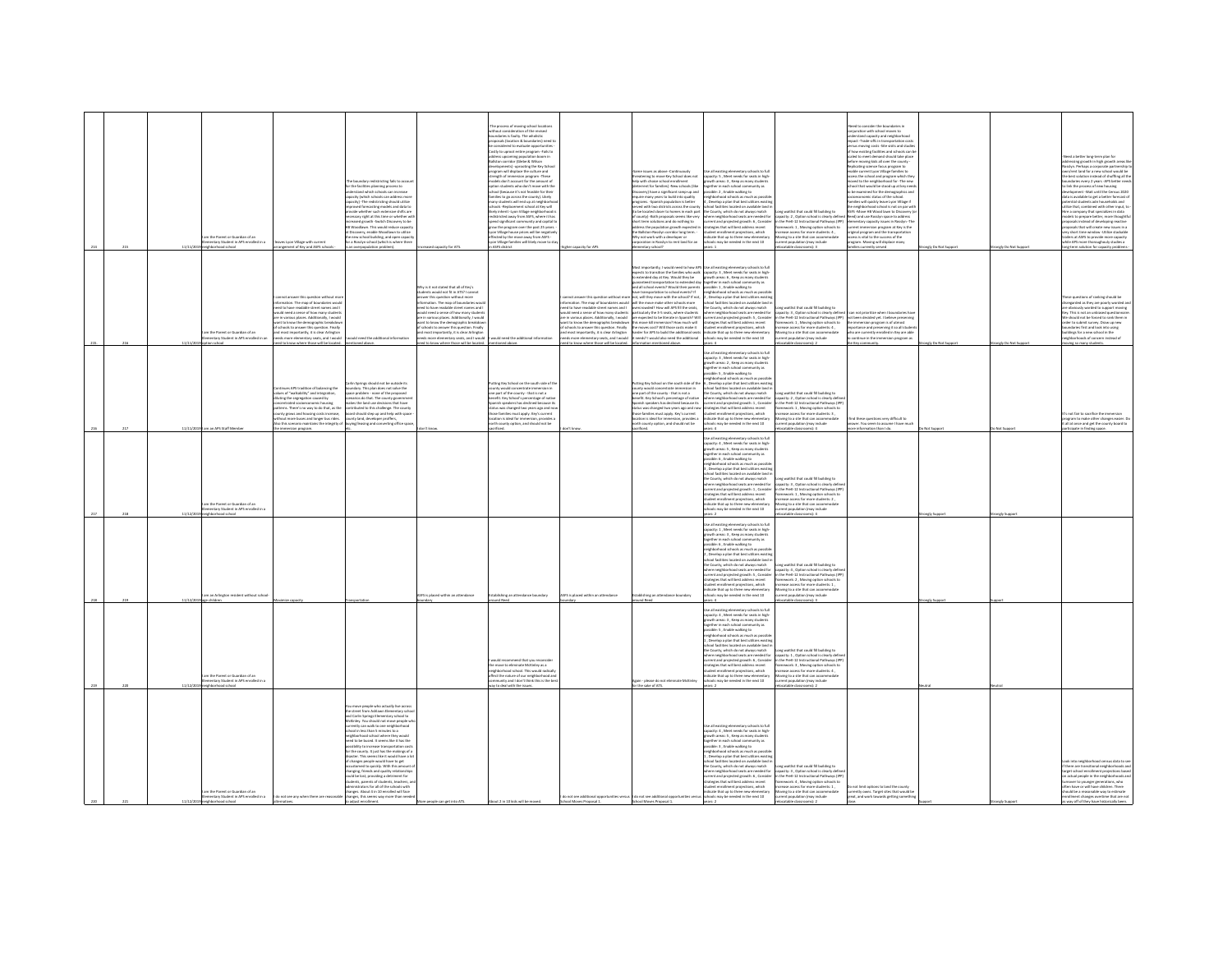|  |                                                                                           |                                                                                                                                                                                                                                                                                                                                                                                                                                           |                                                                                                                                                                                                                                                                                                                                                                                                                                                                                                                                                                                                                                                                                                                                                                                                                     |                                                                                                                                                                                                                                                                                                                                                                                                                                                                           | The process of moving school locations<br>prating of the reviser<br>nout consideration of the revise<br>ndaries is faulty. The wholistic<br>roposals (location & boundaries) need t<br>considered to evaluate opportunities<br>Costly to uproot entire program - Fails to<br>address upcoming population bo<br>Ballston corridor (Clebe & Wilso<br>developments) - uprooting the Key Schoo<br>program will displace the culture and                                                                                                                                                                                                   |                                                                                                                                                                                                                                                                                                                               | me issues as above -Continuously                                                                                                                                                                                                                                                                                                                                                                                                                                                                                                                                                                                                                                                                                                                                                                                                                    | se all existing elementary schools to ful                                                                                                                                                                                                                                                                                                                                                                                                                                                                                                                                                                                                                                                                                                                                 |                                                                                                                                                                                                                                                                                                                                                                               | ad to consider the houndaries in<br>nation with school moves to<br>stand capacity and neighborhoo<br>impact -Trade-offs in transportation cost<br>us moving costs - Site visits and studie<br>of how existing facilities and schools can b<br>case convergences and scrutchs can<br>led to meet demand should take place<br>lore moving kids all over the county -<br>cating science focus program to<br>able current Lyon Village families to                                                                                                                                                                                                    |                                 |                                     | ed a better long-term plan for<br>Iressing growth in high growth areas<br>slyn. Perhaps a corporate partnership<br>n/rent land for a new school would be                                                                                                                                                                                                                                                                                                                                                                                                                                                                                                                                                 |
|--|-------------------------------------------------------------------------------------------|-------------------------------------------------------------------------------------------------------------------------------------------------------------------------------------------------------------------------------------------------------------------------------------------------------------------------------------------------------------------------------------------------------------------------------------------|---------------------------------------------------------------------------------------------------------------------------------------------------------------------------------------------------------------------------------------------------------------------------------------------------------------------------------------------------------------------------------------------------------------------------------------------------------------------------------------------------------------------------------------------------------------------------------------------------------------------------------------------------------------------------------------------------------------------------------------------------------------------------------------------------------------------|---------------------------------------------------------------------------------------------------------------------------------------------------------------------------------------------------------------------------------------------------------------------------------------------------------------------------------------------------------------------------------------------------------------------------------------------------------------------------|---------------------------------------------------------------------------------------------------------------------------------------------------------------------------------------------------------------------------------------------------------------------------------------------------------------------------------------------------------------------------------------------------------------------------------------------------------------------------------------------------------------------------------------------------------------------------------------------------------------------------------------|-------------------------------------------------------------------------------------------------------------------------------------------------------------------------------------------------------------------------------------------------------------------------------------------------------------------------------|-----------------------------------------------------------------------------------------------------------------------------------------------------------------------------------------------------------------------------------------------------------------------------------------------------------------------------------------------------------------------------------------------------------------------------------------------------------------------------------------------------------------------------------------------------------------------------------------------------------------------------------------------------------------------------------------------------------------------------------------------------------------------------------------------------------------------------------------------------|---------------------------------------------------------------------------------------------------------------------------------------------------------------------------------------------------------------------------------------------------------------------------------------------------------------------------------------------------------------------------------------------------------------------------------------------------------------------------------------------------------------------------------------------------------------------------------------------------------------------------------------------------------------------------------------------------------------------------------------------------------------------------|-------------------------------------------------------------------------------------------------------------------------------------------------------------------------------------------------------------------------------------------------------------------------------------------------------------------------------------------------------------------------------|---------------------------------------------------------------------------------------------------------------------------------------------------------------------------------------------------------------------------------------------------------------------------------------------------------------------------------------------------------------------------------------------------------------------------------------------------------------------------------------------------------------------------------------------------------------------------------------------------------------------------------------------------|---------------------------------|-------------------------------------|----------------------------------------------------------------------------------------------------------------------------------------------------------------------------------------------------------------------------------------------------------------------------------------------------------------------------------------------------------------------------------------------------------------------------------------------------------------------------------------------------------------------------------------------------------------------------------------------------------------------------------------------------------------------------------------------------------|
|  | m the Parent or Guardian of an<br>entary Student in APS or<br>wheel in a<br>hood school   | set I you Village with current<br>angement of Key and ASFS scho                                                                                                                                                                                                                                                                                                                                                                           | boundary redistricting fails to accou-<br>he boundary reonstricting titles to accord<br>r the facilities planning process to<br>referstand which schools can increase<br>acity (which schools can address mon<br>city) -The redistricting should utilize<br>roved forecasting models and data to<br>vide whether such extensive shifts are<br>assary right at this time or whether wi<br>ased growth -Switch Discovery to be<br>Woodlawn. This would reduce capacit<br>Discovery, enable Woodlawn to utilize<br>new school building, and open capaci<br>a Rosslyn school (which is where there<br>overpopulation problem)                                                                                                                                                                                           |                                                                                                                                                                                                                                                                                                                                                                                                                                                                           | strength of immersion program -These<br>odels don't account for the amount of<br>otion students who don't move with th<br>ool (because it's not feasible for their<br>families to go across the county). Likely<br>many students will end up at neighborh<br>schools -Replacement school at Key will<br>-<br>Ikely inherit -Lyon Village neighborhood is<br>redistricted away from ASFS, where it has<br>spend significant community and capital to<br>grow the program over the past 25 years.<br>yon Village house prices will be negative<br>effected by the move away from ASFS -<br>Lyon Village families will likely move to st | higher capacity for AP                                                                                                                                                                                                                                                                                                        | reatening to move Key School does not<br>elp with choice school enrollment<br>leterrent for families) -New schools (like<br>very) have a significant ramp-up and<br>equire many years to build into quality<br>rograms. - Spanish population is bette<br>ved with two districts across the county<br>to be located closer to homes in each part<br>of county) -Both proposals seems like very<br>hort term solutions and do nothing to<br>ddress the population growth expected is<br>he Ballston-Rosslyn corridor long term. -<br>i<br>hy not work with a developer or<br>progration in Rossivn to rent land for an<br><b>Sloonly yields</b>                                                                                                                                                                                                       | apacity: S. Meet needs for seats in high<br>wth areas: 3 , Keep as many studen<br>ether in each school community as<br>sible: 2, Enable walking to<br>ighborhood schools as much as possi<br>Develop a plan that best utilizes existi<br>hool facilities located on available land i<br>he County, which do not always match<br>e County, which as not aways match<br>here neighborhood seats are needed for<br>rrent and projected growth: 6 , Conside<br>trategies that will best address recent<br>tudent enrollment projections, which<br>dicate that up to three new elementa<br>hools may be needed in the next 10                                                                                                                                                  | witlist that could fill building to<br>ong www.nt that could hill building to<br>apacity: 2 , Option school is clearly define<br>t the PreK-12 Instructional Pathways (IPP)<br>imework: 1, Moving option schools to<br>rease access for more students: 4,<br>oving to a site that can accome<br>const non-dation feature include<br>inn fmau include<br>stable classrooms): 3 | cess the school and program which the<br>red to the neighborhood for -The new<br>rool that would be stood up at key need<br>be examined for the demographics and<br>ioeconomic status of the school.<br>nifies will quickly leave Lyon Village if<br>neighborhood school is not on par with<br>Life imaginacemous acrossine not un per<br>ASFS -Move HB Wood lawn to Discove<br>Reed) and use Rosslyn space to addres<br>entary capacity issues in Rosslyn -TI<br>rent immersion program at Key is the<br>eiginal program and the transportatio<br>see is withit for the surrous of the<br>gram. Moving will displace many<br>is currently served | angly Do Not Support            | trongly Do Not Support              | the best solution instead of shuffling all the<br>daries every 2 years -APS better a<br>ounsaries every 2 years -ws better nee<br>o link the process of new housing<br>evelopment -Wait until the Census 2020<br>data is available to get a better forecast o<br>intial students adn households and<br>ilize that, combined with other input, to<br>exe using consumed while them input, it<br>adels to prepare better, more thoughts<br>oposals instead of developing reactive<br>posals that will create new issues in a<br>ery short time window -Utilize stackabl<br>.<br>railers at ASFS to provide more capacity<br>while APS more thoroughouly studies a<br>ng-term solution for capacity problem |
|  | n the Parent or Guardian of an<br>mentary Student in APS enrolled in an                   | mot answer this question without me<br>tion. The map of boundaries wo<br>eed to have readable street names and I<br>uld need a sense of how many studen<br>e in various places. Additionally, I would<br>ant to know the demographic breakdor<br>schools to answer this question. Finall<br>most importantly, it is clear Arlington<br>reds more elementary seats, and I would                                                            | uld need the additi                                                                                                                                                                                                                                                                                                                                                                                                                                                                                                                                                                                                                                                                                                                                                                                                 | Why is it not stated that all of Key's<br>lents would not fit in ATS? I cannot<br>wer this question without more<br>tion. The map of boundaries<br>ieed to have readable street names and I<br>vould need a sense of how many student<br>ere in various places. Additionally, I would<br>ant to know the demographic break<br>schools to answer this question. Fir<br>stinn Finall<br>most importantly, it is clear Arlington<br>leeds more elementary seats, and I would | uld need the additions                                                                                                                                                                                                                                                                                                                                                                                                                                                                                                                                                                                                                | nnot answer this question without mo<br>mation. The map of boundaries wou<br>ed to have readable street names and I<br>uld need a sense of how many student<br>re in various places. Additionally, I would<br>nt to know the demographic breakdown<br>tools to an<br>tion, Finally<br>most importantly, it is clear Arlington | it importantly. I would need to how AP<br>cost importantly, I would need to now APS<br>opects to transition the families who walk<br>> extended day at Key. Would they be<br>uaranteed transportation to extended day together in each school community as<br>ind all school events? Would their parents possible: 1 , Enable walking to<br>have transportation to school events? If<br>not, will they move with the school? If not,<br>vill the move make other schools more<br>vercrowded? How will APS fill the seats,<br>rarticularly the 3-5 seats, where students<br>are expected to be literate in Spanish? Will<br>this move kill immersion? How much will<br>the moves cost? Will those costs make it<br>harder for APS to build the additional seats<br>eds more elementary seats, and I would it needs? I would also need the additional | $\label{thm:main} \begin{minipage}{0.9\linewidth} Use all existing elementary schools to full capacity: 3 \textit{ }, \textit{Mest needs for seats in high-growth areas: 6 \textit{ }, \textit{Keyp as many students} \end{minipage}$<br>eighborhood schools as much as possil<br>, Develop a plan that best utiliz<br>chool facilities located on available land in<br>the County, which do not always match<br>where neighborhood seats are needed for<br>urrent and projected erowth: S. Consider<br>trategies that will best address recent<br>trategies that will best address recent<br>tudent enrollment projections, which<br>idicate that up to three new elementar<br>hools may be needed in the next 10                                                        | ng waitlist that could fill building to<br>city: 3, Option school is clearly defin<br>the PreK-12 Instructional Pathways (IPP)<br><b>Nework: 1, Moving option schools to</b><br>ving to a site that can accom<br>ent population (may include                                                                                                                                  | n not prioritize when I b<br>not been decided yet. I believe preservin<br>e immersion program is of utmost<br>sportance and preserving it so all students<br>to are currently enrolled in Key are able<br>continue in the immersion program as                                                                                                                                                                                                                                                                                                                                                                                                    |                                 |                                     | se questions of ranking should be<br>regarded as they are poorly worded a<br>lously worded to support moving<br>y. This is not an unbiased question<br>e should not be forced to rank them in<br>der to submit survey. Draw up new<br>ries first and look into<br>Idings for a new school in the<br>ighborhoods of concern instead of                                                                                                                                                                                                                                                                                                                                                                    |
|  | 11/11/2019   am an APS Staff Membe                                                        | eed to know where those will be located.<br>ues APS tradition of balancing the<br>alues of "walkability" and integration,<br>luting the segregation caused by<br>ntrated socioeconomic housing<br>terns. There's no way to do that, as the<br>rity grows and housing costs increase,<br>inty grows and housing costs increase,<br>hout more buses and longer bus rides.<br>o this scenario maintains the integrity o<br>mmersion program. | tioned above<br>n Springs should not be outside it<br>dary. This plan does not solve the<br>ice problem - none of the proposed<br>irios do that. The county governm<br>kes the land use decisions that have<br>nes use use we we county<br>of that and the county and the county<br>and should step up and help with space<br>anty land, developer proffers,<br>ping/leasing and converting office spac                                                                                                                                                                                                                                                                                                                                                                                                             | ed to know where those will be located.                                                                                                                                                                                                                                                                                                                                                                                                                                   | lioned above<br>.<br>Putting Key School on the south side of th<br>county would concentrate immersion in<br>one part of the county - that is not a<br>nefit. Key School's percentage of nati<br>Soanish speakers has declined because its<br>parism speakers rink vectored accounts<br>latus was changed two years ago and n<br>tose families must apply. Key's current<br>location is ideal for immersion, provides<br>north county option, and should not be<br>acrificed.                                                                                                                                                          | ed to know where those will be located.                                                                                                                                                                                                                                                                                       | information mentioned above.<br>ting Key School on the south side of th<br>unty would concentrate immersion in<br>one part of the county - that is not a<br>nefit. Key School's percentage of native<br>sanish speakers has declined because its<br>tatus was changed two years ago and no<br>hose families must apply. Key's current<br>cation is ideal for immersion, provides a<br>xth county option, and should not be<br><b>Highly</b>                                                                                                                                                                                                                                                                                                                                                                                                         | Jse all existing elementary schools to full<br>an an ensuring ensurated process to turn<br>apacity: 3 , Meet needs for seats in high-<br>rowth areas: 2 , Keep as many students<br>ogether in each school community as<br>sible: 5 . Enable walking to<br>shheeheed schools as much as no<br>gnoomood schools as much as possib<br>Develop a plan that best utilizes existi<br>tool facilities located on available land<br>he County, which do not always match<br>tere neighborhood seats are needed for<br>rrent and projected growth: 1, Conside<br>erness also presented a process recent<br>substitute that will best address recent<br>udent enrollment projections, which<br>dicate that up to three new elementary<br>hools may be needed in the next 10<br>we a | table classrooms): 2<br>ong waitlist that could fill building to<br>acity: 2, Option school is clearly defi<br>the PreK-12 Instructional Pathways (IPF<br>Nework: 1, Moving option schools to<br>ease access for more students: 3,<br>ving to a site that can accommodate<br>on (may include<br>A damneys also able to                                                        | e Key community.<br>ind these questions very difficult to<br>wer. You seem to assume I have muc<br>re information than I do.                                                                                                                                                                                                                                                                                                                                                                                                                                                                                                                      | ngly Do Not Supp<br>Not Support | Ingly Do Not Suppe<br>o Not Support | ving so many students<br>not fair to sacrifice the imm<br>ogram to make other changes easier. D<br>all at once and get the county board to<br>pate in finding space                                                                                                                                                                                                                                                                                                                                                                                                                                                                                                                                      |
|  | n the Parent or Guardian of an<br>ventary Student in APS enrolled in a<br>loorlood school |                                                                                                                                                                                                                                                                                                                                                                                                                                           |                                                                                                                                                                                                                                                                                                                                                                                                                                                                                                                                                                                                                                                                                                                                                                                                                     |                                                                                                                                                                                                                                                                                                                                                                                                                                                                           |                                                                                                                                                                                                                                                                                                                                                                                                                                                                                                                                                                                                                                       |                                                                                                                                                                                                                                                                                                                               |                                                                                                                                                                                                                                                                                                                                                                                                                                                                                                                                                                                                                                                                                                                                                                                                                                                     | be all existing elementary schools to full<br>pacity: 4, Meet needs for seats in high-<br>growth areas: S , Keep as many student<br>together in each school community as<br>ssible: 6 . Enable walking to<br>ighborhood schools as much as possi<br>, Develop a plan that best utilizes exis<br>ichool facilities located on available land i<br>the County, which do not always match<br>tere neighborhood seats are needed for<br>rent and projected growth: 1, Consider<br>ategies that will best address recent<br>dent enrollment projections, which<br>dicate that up to three new elementary<br>hools may be needed in the next 10                                                                                                                                 | ong waitlist that could fill building to<br>apacity: 3, Option school is clearly defin<br>the Dreft, 12 Instructional Dathways (ID)<br>stand: 1 Moving ordina schools to<br>ase access for more students: 2<br>oving to a site that can accommodat<br>rrent population (may include<br>catable classrooms): 4                                                                 |                                                                                                                                                                                                                                                                                                                                                                                                                                                                                                                                                                                                                                                   |                                 |                                     |                                                                                                                                                                                                                                                                                                                                                                                                                                                                                                                                                                                                                                                                                                          |
|  | m an Arlington resident without schoo<br>childre                                          |                                                                                                                                                                                                                                                                                                                                                                                                                                           |                                                                                                                                                                                                                                                                                                                                                                                                                                                                                                                                                                                                                                                                                                                                                                                                                     | SFS is placed within an attendance                                                                                                                                                                                                                                                                                                                                                                                                                                        | slishing an attendance boundary<br>und Reed                                                                                                                                                                                                                                                                                                                                                                                                                                                                                                                                                                                           | SFS is placed within an attendance                                                                                                                                                                                                                                                                                            | lishing an attendance boundary<br>und Reed                                                                                                                                                                                                                                                                                                                                                                                                                                                                                                                                                                                                                                                                                                                                                                                                          | se all existing elementary schools to full<br>spacity: 1, Meet needs for seats in high-<br>growth areas: 3, Keep as many student<br>gether in each school community as<br>uble: 6 . Enable walking to<br>tood schools as much as possil<br>Develop a plan that best utilizes exis<br>school facilities located on available land i<br>the County, which do not always match<br>where neighborhood seats are needed for<br>one own internet seats are needed for<br>rrent and projected growth: S , Consider<br>ategies that will best address recent<br>nt enrollment projections, which<br>dicate that up to three new elementary<br>als may be needed in the next 10                                                                                                    | ng waitlist that could fill building to<br>acity: 4 . Option school is clearly defin<br>the PreK-12 Instructional Pathways (IP)<br>ework: 2 , Moving option schools to<br>ework: 2 , Moving option schools to<br>oving to a site that can accommodate<br>int population (may include<br>atable classrooms): 3                                                                 |                                                                                                                                                                                                                                                                                                                                                                                                                                                                                                                                                                                                                                                   | why Supp                        |                                     |                                                                                                                                                                                                                                                                                                                                                                                                                                                                                                                                                                                                                                                                                                          |
|  | m the Parent or Guardian of an<br>mentary Student in APS enrolled in a<br>hborhood school |                                                                                                                                                                                                                                                                                                                                                                                                                                           |                                                                                                                                                                                                                                                                                                                                                                                                                                                                                                                                                                                                                                                                                                                                                                                                                     |                                                                                                                                                                                                                                                                                                                                                                                                                                                                           | mend that you re<br>I would recommend that you recompany<br>the move to eliminate McKinley as a<br>neighborhood school. This would radically<br>affect the nature of our neighborhood and<br>munity and I don't think this is the bes<br>y to deal with the issue                                                                                                                                                                                                                                                                                                                                                                     |                                                                                                                                                                                                                                                                                                                               | tain - please do not eliminate McKinley<br>r the sake of ATS                                                                                                                                                                                                                                                                                                                                                                                                                                                                                                                                                                                                                                                                                                                                                                                        | se all existing elementary schools to ful<br>capacity: 4 , Meet needs for seats in high-<br>growth areas: 3 , Keep as many students<br>parther in each school community as<br>.<br>sible: 5 , Enable walking to<br>ishborhood schools as much as possil<br>Develop a plan that best utilizes exi<br>ool facilities located on available land i<br>he County, which do not always match<br>ere neighborhood seats are needed for<br>ere magnazinou rens are meses un<br>rent and projected growth: 6, Conside<br>ategies that will best address recent<br>dent enrollment projections, which<br>licate that up to three new elementary<br>ools may be needed in the next 10                                                                                                | ong waitlist that could fill building to<br>city: 1 . Option school is clearly defi<br>the PreK-12 Instructional Pathways (IP)<br>amework: 3 , Moving option schools to<br>use access for more students: 4,<br>oving to a site that can accom<br>ent population (may include<br>ship rises<br>an in                                                                           |                                                                                                                                                                                                                                                                                                                                                                                                                                                                                                                                                                                                                                                   |                                 |                                     |                                                                                                                                                                                                                                                                                                                                                                                                                                                                                                                                                                                                                                                                                                          |
|  | im the Parent or Guardian of an<br>entary Student in APS enrolled in a                    | do not see any when there are reasonable                                                                                                                                                                                                                                                                                                                                                                                                  | nove people who actually live across<br>e street from Ashlawn Elementary scho<br>d Carlin Springs Elementary school to<br>cKinley. You should not move people<br>ently can walk to one neighborhood<br>hool in less than 5 minutes to a<br>hborhood school where they would<br>ed to be bused. It seems like it has the<br>the county. It just has the makings of a<br>aster. This seems like it would have a lot<br>changes people would have to get<br>omed to quickly. With this amount o<br>experience to question, which were alleged to<br>reging, friends and quality relationships<br>dants, parents of students, teachers, and<br>dants, parents of students, teachers, and<br>inistrators for all of the schools with<br>hanges. About 4 in 10 enrolled will face<br>uners, this seems way more than need |                                                                                                                                                                                                                                                                                                                                                                                                                                                                           |                                                                                                                                                                                                                                                                                                                                                                                                                                                                                                                                                                                                                                       | not see additional opportunities versu                                                                                                                                                                                                                                                                                        | do not see additional opportunities vers                                                                                                                                                                                                                                                                                                                                                                                                                                                                                                                                                                                                                                                                                                                                                                                                            | se all existing elementary schools to ful<br>capacity: 4, Meet needs for seats in high<br>growth areas: S., Keep as many student<br>pother in each school community as<br>sible: 3 . Enable walking to<br>borhood schools as much as possi<br>Develop a plan that best utilizes exist<br>ool facilities located on available land i<br>he County, which do not always match<br>rhood seats are needed for<br>rategies that will best address recent<br>tudent enrollment projections, which<br>dicate that up to three new elementary<br>ools may be needed in the next 10                                                                                                                                                                                                | a waitlist that could fill building to<br>spacity: 3 , Option school is clearly define<br>the PreK-12 Instructional Pathways (IPF<br>ework: 4, Moving option schools to<br>rease access for more students: 1,<br>oving to a site that can accommodate<br>shut want noisslugger                                                                                                | to not limit options to land the county<br>rently owns. Target sites that would be<br>yeat, and work towards getting somethin                                                                                                                                                                                                                                                                                                                                                                                                                                                                                                                     |                                 |                                     | k into neighborhood census data to se<br>there are transitional neighborhoods and<br>pet school enrollment projectic<br>actual people in the neighborh<br>ections base<br>over to younger generations, who<br>often have or will have children. There<br>ould be a reasonable way to estimate<br>ollment changes overtime that are no<br>w off of they have hi                                                                                                                                                                                                                                                                                                                                           |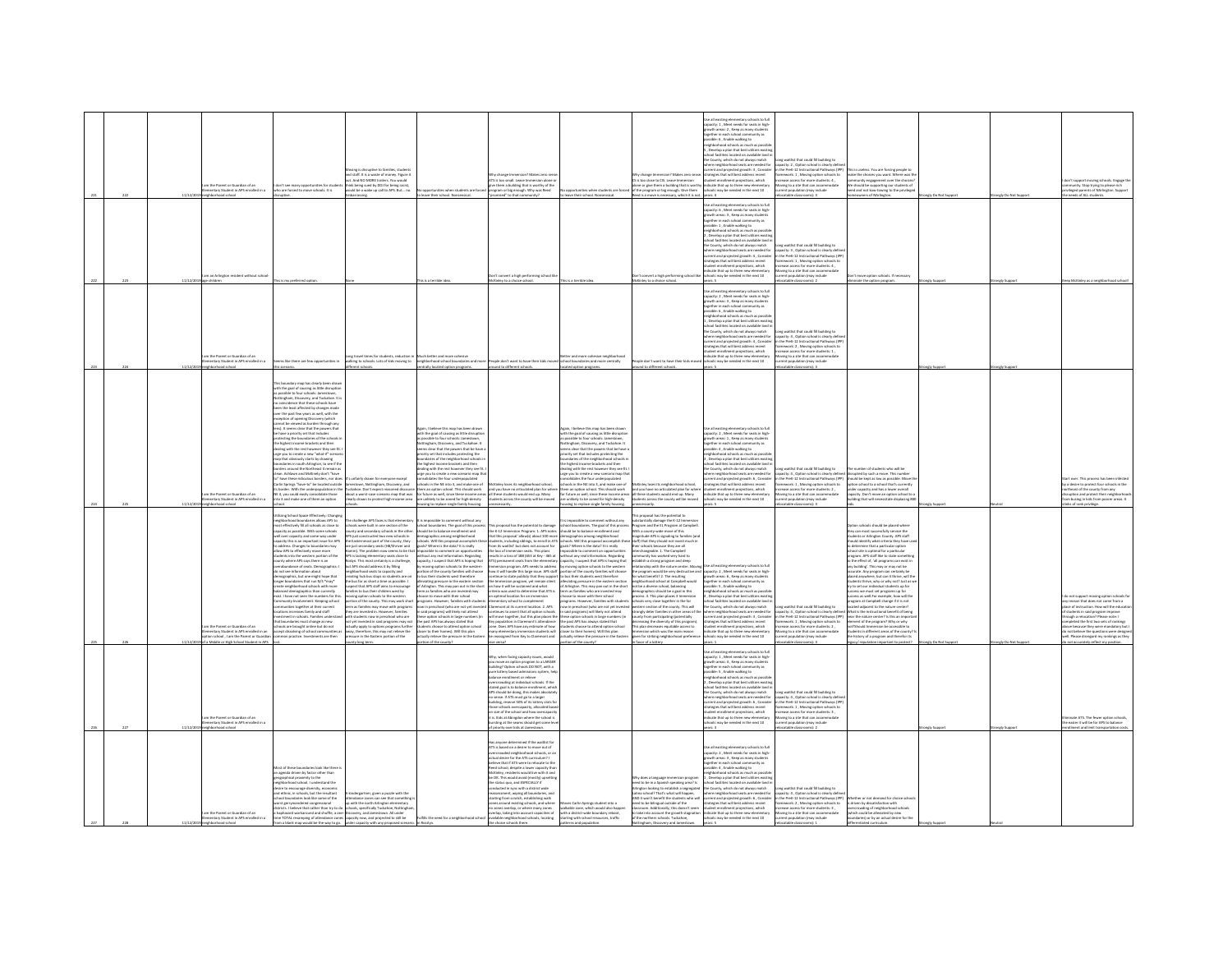|  | im the Parent or Guardian of an<br>ementary Student in APS enrolled in a                                                          | fon't see many opportunities for stude<br>ho are forced to move schools. It is                                                                                                                                                                                                                                                                                                                                                                                                                                                                                                                                                                                                                                                                                                                                                                                                                                                                                                                                                                                                              | ing is disruptive to families, studen<br>.<br>I staff. It is a waste of money. Figure i<br>. And NO MORE trailers. You would<br>nk being sued by DOJ for being racist<br>uld be a wake up call to APS. But n                                                                                                                                                                                                                                                                                                                                                                                                                                                                                                                                                                                                                                                                                                                                                                                                                                         | ities when students are f<br>leave their school. Nonsensical                                                                                                                                                                                                                                                                                                                                                                                                                                                                                                                                                                                                                                                                                                                                                                                                                                                                                                                                                                                                                                                                                                | r change Immersion? Makes zen<br>is too small. Leave Immersion al<br>give them a building that is worthy of th<br>program or big enough. Why was Reed<br>ised" to that cr                                                                                                                                                                                                                                                                                                                                                                                                                                                                                                                                                                                                                                                                                                                                                                                                                                                                                                                                                                                                 | portunities when students are force<br>ave their school. None                                                                                                                                                                                                                                                                                                                                                                                                                                                                                                                                                                                                                                                                                                                                                                                                                                                                                                                                                      | try change Immersion / I<br>i is too close to CIS. Leav<br>lone or give them a building that is worth<br>If the program or big enough. Give them<br>ed is a move is necessary, which it is not                                                                                                                                                                                                                                                                                                                                                                                                                                                                                                                                                                                                                                                                                                                                                                                                                                                                             | Jse all existing elementary schools to full<br>sacity: 1 . Meet needs for seats in high<br>of the areas: 2 , Keep as many student<br>rether in each school community as<br>ble: 6, Enable walking to<br>ighborhood schools as much as p<br>Develop a plan that best utilizes<br>ool facilities located on available land<br>the County, which do not always match<br>ere neighborhood seats are needed for<br>rent and projected growth: 3, Conside<br><i>egies</i> that will best address recent<br>int enrollment projections, which<br>dent enrollment projections, www.v<br>Ecate that up to three new elementary<br>wols may be needed in the next 10                             | ng waitlist that could fill building to<br>city: 2, Option school is clearly defin<br>the PreK-12 Instructional Pathways (IPP)<br>ework: 1, Moving option schools to<br>use access for more students: 4,<br>ving to a site that can accome<br>rent population (may include<br>2 :(zm                                        | s is useless. You are forcing people to<br>a is userer  you we recurring products<br>do the choices you want. Where we<br>mmunity engagement over the choic<br>should be supporting our students of<br>id and not kow-towing to the privileges<br>ners of NArlingto                                                                                                                                                                                                                                                                                                                                                                                                                                                                                                                                                                                                                                                                                                                                    | gly Do Not Sup | ngly Do Not Supp | emunity. Stop trying to please rich<br>elleged parents of NArlington. Suppor<br>eds of ALL student                                                                                                                                                                                                                                                   |
|--|-----------------------------------------------------------------------------------------------------------------------------------|---------------------------------------------------------------------------------------------------------------------------------------------------------------------------------------------------------------------------------------------------------------------------------------------------------------------------------------------------------------------------------------------------------------------------------------------------------------------------------------------------------------------------------------------------------------------------------------------------------------------------------------------------------------------------------------------------------------------------------------------------------------------------------------------------------------------------------------------------------------------------------------------------------------------------------------------------------------------------------------------------------------------------------------------------------------------------------------------|------------------------------------------------------------------------------------------------------------------------------------------------------------------------------------------------------------------------------------------------------------------------------------------------------------------------------------------------------------------------------------------------------------------------------------------------------------------------------------------------------------------------------------------------------------------------------------------------------------------------------------------------------------------------------------------------------------------------------------------------------------------------------------------------------------------------------------------------------------------------------------------------------------------------------------------------------------------------------------------------------------------------------------------------------|-------------------------------------------------------------------------------------------------------------------------------------------------------------------------------------------------------------------------------------------------------------------------------------------------------------------------------------------------------------------------------------------------------------------------------------------------------------------------------------------------------------------------------------------------------------------------------------------------------------------------------------------------------------------------------------------------------------------------------------------------------------------------------------------------------------------------------------------------------------------------------------------------------------------------------------------------------------------------------------------------------------------------------------------------------------------------------------------------------------------------------------------------------------|---------------------------------------------------------------------------------------------------------------------------------------------------------------------------------------------------------------------------------------------------------------------------------------------------------------------------------------------------------------------------------------------------------------------------------------------------------------------------------------------------------------------------------------------------------------------------------------------------------------------------------------------------------------------------------------------------------------------------------------------------------------------------------------------------------------------------------------------------------------------------------------------------------------------------------------------------------------------------------------------------------------------------------------------------------------------------------------------------------------------------------------------------------------------------|--------------------------------------------------------------------------------------------------------------------------------------------------------------------------------------------------------------------------------------------------------------------------------------------------------------------------------------------------------------------------------------------------------------------------------------------------------------------------------------------------------------------------------------------------------------------------------------------------------------------------------------------------------------------------------------------------------------------------------------------------------------------------------------------------------------------------------------------------------------------------------------------------------------------------------------------------------------------------------------------------------------------|----------------------------------------------------------------------------------------------------------------------------------------------------------------------------------------------------------------------------------------------------------------------------------------------------------------------------------------------------------------------------------------------------------------------------------------------------------------------------------------------------------------------------------------------------------------------------------------------------------------------------------------------------------------------------------------------------------------------------------------------------------------------------------------------------------------------------------------------------------------------------------------------------------------------------------------------------------------------------------------------------------------------------------------------------------------------------|----------------------------------------------------------------------------------------------------------------------------------------------------------------------------------------------------------------------------------------------------------------------------------------------------------------------------------------------------------------------------------------------------------------------------------------------------------------------------------------------------------------------------------------------------------------------------------------------------------------------------------------------------------------------------------------|-----------------------------------------------------------------------------------------------------------------------------------------------------------------------------------------------------------------------------------------------------------------------------------------------------------------------------|--------------------------------------------------------------------------------------------------------------------------------------------------------------------------------------------------------------------------------------------------------------------------------------------------------------------------------------------------------------------------------------------------------------------------------------------------------------------------------------------------------------------------------------------------------------------------------------------------------------------------------------------------------------------------------------------------------------------------------------------------------------------------------------------------------------------------------------------------------------------------------------------------------------------------------------------------------------------------------------------------------|----------------|------------------|------------------------------------------------------------------------------------------------------------------------------------------------------------------------------------------------------------------------------------------------------------------------------------------------------------------------------------------------------|
|  | n an Arlington resident without scho                                                                                              | is is my preferred opti                                                                                                                                                                                                                                                                                                                                                                                                                                                                                                                                                                                                                                                                                                                                                                                                                                                                                                                                                                                                                                                                     |                                                                                                                                                                                                                                                                                                                                                                                                                                                                                                                                                                                                                                                                                                                                                                                                                                                                                                                                                                                                                                                      | is a terrible idea                                                                                                                                                                                                                                                                                                                                                                                                                                                                                                                                                                                                                                                                                                                                                                                                                                                                                                                                                                                                                                                                                                                                          | vert a high performing school I<br>tcKinley to a choice school                                                                                                                                                                                                                                                                                                                                                                                                                                                                                                                                                                                                                                                                                                                                                                                                                                                                                                                                                                                                                                                                                                            | is is a terrible ide                                                                                                                                                                                                                                                                                                                                                                                                                                                                                                                                                                                                                                                                                                                                                                                                                                                                                                                                                                                               | convert a high performing schoo<br>Kinley to a choice school.                                                                                                                                                                                                                                                                                                                                                                                                                                                                                                                                                                                                                                                                                                                                                                                                                                                                                                                                                                                                              | Jse all existing elementary schools to ful<br>apacity: 6 . Meet needs for seats in high<br>.<br>swth areas: 3 , Keep as many student<br>gether in each school community as<br>sible: 1, Enable walking to<br>veighborhood schools as much as possi<br>t , Develop a plan that best utilizes exis<br>hool facilities located on available land i<br>the County, which do not always match<br>here neighborhood seats are needed for<br>rrent and projected growth: 4, Consider<br>ategies that will best address recent<br>ctions, which<br>sent encournent projections, which<br>cate that up to three new elementary<br>ools may be needed in the next 10<br>nars: 5                  | ng waitlist that could fill building to<br>city: 3, Option school is clearly defin<br>the PreK-12 Instructional Pathways (IP<br>ework: 1 . Moving option schools t<br>os for mora studardo- 4<br>atable classrooms): 2                                                                                                      | move option schools. If necessary<br>inate the option program.                                                                                                                                                                                                                                                                                                                                                                                                                                                                                                                                                                                                                                                                                                                                                                                                                                                                                                                                         | ngly Support   | ingly Suppo      | McKinley as a neighbr                                                                                                                                                                                                                                                                                                                                |
|  | n the Parent or Guardian of an<br>mentary Student in APS enroll<br>.<br>Iert in a<br>borhood school                               | ns like there are few opportunities in<br>scenario.                                                                                                                                                                                                                                                                                                                                                                                                                                                                                                                                                                                                                                                                                                                                                                                                                                                                                                                                                                                                                                         | ng travel times for students, reduction i<br>Iking to schools. Lots of kids moving to<br>ent schools.                                                                                                                                                                                                                                                                                                                                                                                                                                                                                                                                                                                                                                                                                                                                                                                                                                                                                                                                                | Much better and more cohesive<br>neighborhood school boundaries and mo<br>rally located option programs.                                                                                                                                                                                                                                                                                                                                                                                                                                                                                                                                                                                                                                                                                                                                                                                                                                                                                                                                                                                                                                                    | People don't want to have their kids m<br>around to different schools.                                                                                                                                                                                                                                                                                                                                                                                                                                                                                                                                                                                                                                                                                                                                                                                                                                                                                                                                                                                                                                                                                                    | .<br>ter and more cohesive neighborho.<br>tool boundaries and more centrally<br>ated option programs.                                                                                                                                                                                                                                                                                                                                                                                                                                                                                                                                                                                                                                                                                                                                                                                                                                                                                                              | ole don't want to have their kids mo<br>und to different schools                                                                                                                                                                                                                                                                                                                                                                                                                                                                                                                                                                                                                                                                                                                                                                                                                                                                                                                                                                                                           | Jse all existing elementary schools to ful<br>apacity: 2 . Meet needs for seats in high<br>.<br>swth areas: 3 , Keep as many student<br>gether in each school community as<br>sible: 6 , Enable walking to<br>ighborhood schools as much as possi<br>Develop a plan that best utilizes exist<br>ichool facilities located on available land i<br>he County, which do not always match<br>where neighborhood seats are needed for<br>urrent and projected growth: 4 , Consider<br>rategies that will best address recent<br>dant annibused neviantines which<br>dent enrollment projections,<br>dicate that up to three new elementary<br>intervals medied in the next 10               | ng waitlist that could fill building to<br>acity: 4, Option school is clearly defin<br>the PreK-12 Instructional Pathways (IP)<br>ework: 2 . Moving option schools to<br>ase arrest for more students: 1<br>ving to a site that can acco<br>atable classrooms): 3                                                           |                                                                                                                                                                                                                                                                                                                                                                                                                                                                                                                                                                                                                                                                                                                                                                                                                                                                                                                                                                                                        | ngly Suppo     | ingly Sup        |                                                                                                                                                                                                                                                                                                                                                      |
|  | im the Parent or Guardian of an<br>entary Student in APS enrolled in a                                                            | ry map has clearly been draw<br>with the goal of causing as little disruptio<br>i possible to four schools: Jamestown,<br>ottingham, Discovery, and Tuckahoe. It is<br>pincidence that these schools have<br>in the least affected by changes made<br>ir the past few years as well, with the<br>the past new years are as a philon of opening Discovery (which<br>ption of opening Discovery (which<br>not be viewed as burden through /<br>s). It seems clear that the powers tha<br>e have a priority set that includes<br>cting the boundaries of the schools i<br>the highest income brackets and then<br>ling with the rest however they see fit.<br>nee you to create a new "what-if" scenar<br>ge you to consume a result of the state of the state of the state of the state of the state of the state of the state of the state of the state of the state of the state of the Northeast 4 remain as<br>o" have these ridiculous borders, nor does<br>Carlin Springs "have-to" be located outside<br>E 4, you could easily consolidate those<br>p 3 and make one of them an option | s unfairly drawn for everyone except<br>estown, Nottingham, Discovery, and<br>border. With the underpopulation in the Tuckahoe. Don't expect reasoned discour<br>out a worst-case scenario map that was<br>arly drawn to protect high-income area                                                                                                                                                                                                                                                                                                                                                                                                                                                                                                                                                                                                                                                                                                                                                                                                    | gain, I believe this map has been draw<br>with the goal of causing as little disruptio<br>ssible to four schools: Jamestown<br>lottingham, Discovery, and Tuckahoe. It<br>ms clear that the powers that be have<br>riority set that includes protecting the<br>boundaries of the neighborhood schools is<br>the highest income brackets and then<br>dealing with the rest however they see fit<br>rge you to create a new scenario map ti<br>solidates the four underpopulated<br>sols in the NE into 3, and make one of<br>unlikely to be zoned for high-density                                                                                                                                                                                                                                                                                                                                                                                                                                                                                                                                                                                           | McKinley loses its neighborhood school<br>them an option school. This should work and you have no articulated plan for when<br>for future as well, since these income areas all these students would end up. Many<br>students across the county will be moved                                                                                                                                                                                                                                                                                                                                                                                                                                                                                                                                                                                                                                                                                                                                                                                                                                                                                                             | gain, I believe this map has been drawn<br>ith the goal of causing as little disruption<br>possible to four schools: Jamestown,<br>ttingham, Discovery, and Tuckahoe. It<br>ns clear that the powers that be have<br>prity set that includes protecting the<br>and arises of the neighborhood schools<br>highest income brackets and then<br>aling with the rest however they see fit<br>ge you to create a new scenario map th<br>solidates the four underpopulated<br>ools in the NE into 3, and make one of<br>unlikely to be zoned for high-density                                                                                                                                                                                                                                                                                                                                                                                                                                                            | Kinley loses its neighborhood school,<br>em an option school. This should work and you have no articulated plan for where<br>r future as well, since these income areas all these students would end up. Many<br>tudents across the county will be moved                                                                                                                                                                                                                                                                                                                                                                                                                                                                                                                                                                                                                                                                                                                                                                                                                   | <b>Jse all existing elementary schools to full</b><br>spacity: 2 , Meet needs for seats in high-<br>powth areas: 1 , Keep as many students<br>gether in each school community as<br>sible: 4 . Enable walking to<br>eighborhood schools as much as possil<br>Develop a plan that best utilize<br>Develop a plan triat best utilizes exist<br>hool facilities located on available land<br>e County, which do not always match<br>ere neighborhood seats are needed for<br>rrent and projected growth: 6 , Conside<br>'ategies that will best address recent<br>dent enrollment projections, which<br>dicate that up to three new elementary<br>Of tops will ni babaan ad yam aloo      | g waitlist that could fill building to<br>city: 4, Option school is clearly defin<br>the PreK-12 Instructional Pathways (IPP)<br>ework: 1, Moving option schools to<br>wase access for more students: 2.<br>pving to a site that can accome<br>sistion (may include                                                         | unber of students who will be<br>rupted by such a move. This numbe<br>should be kept as low as possible. Move t<br>tion school to a school that's current<br>nder capacity and has a lower overall<br>sacity. Don't move an option school to a<br>ding that will necessitate displacing 80                                                                                                                                                                                                                                                                                                                                                                                                                                                                                                                                                                                                                                                                                                             |                |                  | over. This process has been infecte<br>y a desire to protect four schools in the<br>theast of the county from any<br>uption and protect their neighborh<br>busing in kids from poorer areas. It                                                                                                                                                      |
|  | m the Parent or Guardian of an<br>ventary Student in APS enrolled in an<br>tion school, I am the Parent or Guardia                | ring School Space Effectively: Changi<br>hborhood boundaries allows APS to<br>ingreams as a counselies allows APS to<br>tost effectively fill all schools as close to<br>spacity as possible. With some schools<br>will over capacity and some way under<br>apacity this is an important issue for APS<br>address. Changes to boundaries may<br>low APS to effectively move more<br>udents into the western portion of the<br>unty where APS says there is an<br>abundance of seats. Demographics:<br>verasursurse or seas. Liemographics:<br>o not see information about<br>emographics, but one might hope that<br>onger boundaries that run N/S *may*<br>neighborhood schools with more<br>anced demographics than currently<br>sist. I have not seen the numbers for thi<br>munity Involvement: Keeping school<br>munities together at their current<br>nines copione in one career<br>nent in schools. Families unders<br>sundaries must change as new<br>hools are brought online but do not<br>cept dissolving of school com<br>mon practice. Investments are then                   | hallenge APS fares is that element<br>cols were built in one section of the<br>mty and secondary schools in the other<br>lijust constructed two new schools in<br>Easternmost part of the county, they<br>e just secondary seats (HB/Shriver and<br>.<br>PS is lacking elementary seats close to<br>pslyn. This most certainly is a challenge,<br>Jyn. This mass servance, .<br>t APS should address it by filling<br>hborhood seats to capacity and<br>ting hub bus stops so students are or<br>ting hub bus stops so students are or<br>sus for as short a time as possible. I<br>ect that APS staff aims to encourage<br>lies to bus their children west by<br>vine option schools to the western<br>ion of the county. This may work short<br>m as families may move with programs<br>er are invested in. However, families<br>th students now in preschool who are<br>it yet invested in said programs may not<br>tually apply to options programs further<br>ray, therefore, this may not relieve the<br>ressure in the Eastern portion of the | using to replace single family housing<br>it is impossible to comment without any<br>school boundaries. The goal of this proce<br>should be to balance enrollment and<br>demographics among neighborhood<br>schools. Will this proposal accomplish the<br>goals? Where is the data? It is really<br>mm). The problem now seems to be that impossible to comment on opportunities<br>without any real information. Regarding<br>capacity, I suspect that APS is hoping that<br>people ratified that MS is naping compared to the western<br>ortion of the county families will choose<br>bus their students west therefore<br>ileviating pressure in the eastern section<br>of Arlington. This may pan out in the shor<br>term as families who are invested may<br>hoose to move with their school:<br>programs. However, families with studen<br>w in preschool (who are not yet invest<br>in said programs) will likely not attend<br>these option schools in large numbers (in<br>the past APS has always stated that<br>students choose to attend option school<br>closer to their homes). Will this plan<br>actually relieve the pressure in the Easter | necessarily<br>This proposal has the potential to damage<br>the K-12 Immersion Program: 1. APS notes<br>that this proposal 'allow(s) about 100 more<br>students, including siblings, to enroll in ATS schools. Will this proposal accomplish th<br>from its waitlist' but does not account for goals? Where is the data? It is really<br>the loss of immersion seats. This plans<br>results in a loss of 188 (653 at Key - 465 at<br>ATS) permanent seats from the eleme<br>mmersion program. APS needs to address by<br>how it will handle this large issue. APS staff po<br>continue to state publicly that they support to<br>se Immersion program, yet remain silent<br>n how it will be sustained and what<br>riteria was used to determine that ATS is<br>an optimal location for an immersion<br>intary school to complement<br>remont at its current location, 2. APS<br>Claremont at its current location. 2. APS<br>continues to assert that all option schools<br>will move together, but this plan places the<br>Key population in Claremont's attendance<br>key population in Claremont's attendance<br>many elem<br>be reassigned from Key to Claremont and | sing to replace single family housing<br>immesible to re<br>and without any<br>is impossible to comment winnout any<br>hool boundaries. The goal of this process<br>iould be to balance enrollment and<br>imagraphics among neighborhood<br>repossible to comment on opportunities<br><b>thout any real information. Regarding</b><br>pacity, I suspect that APS is hoping that<br>y moving option schools to the west<br>ortion of the county families will cho<br>bus their students west therefore<br>leviating pressure in the eastern section<br>'Arlington. This may pan out in the shor<br>term as families who are invested may<br>boose to move with their school<br>params. However, families with stude<br>w in preschool (who are not yet invest<br>said programs) will likely not attend<br>ese option schools in large numbers (<br>e past APS has always stated that<br>udents choose to attend option school<br>ser to their homes). Will this plan<br>actually relieve the pressure in the Easter | mosal has the networked to<br>ms proposer nex tree powertest to<br>ubstantially damage the K-12 Immersion<br>vogram and the EL Program at Campbell.<br>With a county-wide move of this<br>nagnitude APS is signaling to families (and<br>staff) that they should not invest much in<br>heir schools because they are all<br>terchangeable. 1. The Campbell<br>nmunity has worked very hard to<br>itablish a strong program and deep<br>lationship with the nature center. M<br>e program would be very destructive<br>r what benefit? 2. The resulting<br>eighborhood school at Campbell would<br>at be a diverse school, balancing<br>emographics should be a goal in this<br>rocess. 3. This plan places 3 Immersion<br>ools very close together in the far<br>stern section of the county. This will<br>comply deter families in other areas of the<br>surrly from participating (potentially<br>creasing the diversity of this program).<br>This plan decreases equitable access to<br>mmersion which was the main reason<br>pien for striking neighborhood preference | wheels to full<br>capacity: 2 , Meet needs for seats in high<br>growth areas: 6 , Keep as many students<br>gether in each school community as<br>assible: 5 , Enable walking to<br>ighborhood schools as much as possib<br>Develop a plan that best utilizes existin<br>tool facilities located on available land i<br>County, which do not always match<br>nere neighborhood seats are needed for<br>rrent and projected growth: 3 , Consider<br>ategies that will best address recent<br>dent enrollment projections, which<br>licate that up to three new elementary<br>ools may be needed in the next 10                                                                           | stable classrooms): 3<br>waitlist that could fill building to<br>apacity: 4 , Option school is clearly definities PreK-12 Instructional Pathways (IP)<br>simework: 1 , Moving option schools to<br>rase access for more students: 2,<br>oving to a site that can accome<br>sent population (may include                     | tion schools should be placed where<br>ry can most successfully service the<br>dents or Arlington County. APS staff<br>hould identify what criteria they have<br>determine that a particular option<br>chool site is optimal for a particular<br>crocorum a operatorum for a parecoure<br>crocorum de affilike to state somethin<br>o the effect of, 'all programs can exist in<br>ty building'. This may or may not be<br>sccurate. Any program can certainly be<br>skeed anywhere, but can i<br>dents thrive, why or why not? Just as w<br>ry to set our individual students up for<br>cess we must set programs up for<br>ccess as well for example, how will the<br>peram at Campbell change if it is not<br>ted adiacent to the nature center?<br>t is the instructional benefit of being<br>the nature center? Is this an import<br>ent of the program? Why or why<br>t?Should Immersion be accessible to<br>dents in different areas of the county<br>the history of a program and therefor its |                |                  | is of rank privilege<br>not support moving option schools f<br>reason that does not come from a<br>ce of instruction. How will the educa<br>ough a relocation? Please note: I<br>mpleted the first two sets of ranking:<br>re because they were mandatory but<br>not believe the questions were design<br>vell. Please disregard my rankings as they |
|  | a Middle or High School Student in APS<br>n the Parent or Guardian of an<br>nentary Student in APS enrolled in<br>hbarhoad school |                                                                                                                                                                                                                                                                                                                                                                                                                                                                                                                                                                                                                                                                                                                                                                                                                                                                                                                                                                                                                                                                                             | nty long term.                                                                                                                                                                                                                                                                                                                                                                                                                                                                                                                                                                                                                                                                                                                                                                                                                                                                                                                                                                                                                                       | Sytuaco will he restrict                                                                                                                                                                                                                                                                                                                                                                                                                                                                                                                                                                                                                                                                                                                                                                                                                                                                                                                                                                                                                                                                                                                                    | .<br>Whr. when facing capacity issues, would<br>you move an option program to a LARGER<br>building? Option schools DO NOT, with a<br>pure lottery based admissions system, hel<br>lance enrollment or relieve<br>rcrowding at individual schools. If the<br>stated roal is to balance enrollment, which<br>APS should be doing, this makes absolute<br>.<br>o sense. If ATS must go to a larger<br>uildine, reserve 50% of its lottery slots fo<br>building, reserve 50% of its lottery slots fo<br>those schools overcapacity, allocated base<br>on size of the school and how overcapacit<br>t is. Kids at Abingdon where the school is<br>bursting at the seams should get some is<br>of priority over kids at James                                                                                                                                                                                                                                                                                                                                                                                                                                                   | rtion of the county?                                                                                                                                                                                                                                                                                                                                                                                                                                                                                                                                                                                                                                                                                                                                                                                                                                                                                                                                                                                               | n favor of a lotter                                                                                                                                                                                                                                                                                                                                                                                                                                                                                                                                                                                                                                                                                                                                                                                                                                                                                                                                                                                                                                                        | se all existing elementary schools to full<br>e as existing elementary schools to ru<br>sacity: 1 , Meet needs for seats in hig<br>swth areas: 4 , Keep as many student<br>gether in each school commu<br>ssible: 5 , Enable walking to<br>tmunity as<br>ighborhood schools as much as possil<br>. Develop a plan that best utilizes existi<br>tool facilities located on available land i<br>he County, which do not always match<br>there neighborhood seats are needed for<br>rrent and projected growth: 6, Consider<br>utegies that will best address recent<br>dent enrollment projections, which<br>licate that up to three new elementary<br>ools may be needed in the next 10 | stable classrooms): 3<br>waitlist that could fill building to<br>pacity: 4, Option school is clearly def<br>the PreK-12 Instructional Pathways (<br>work: 1, Moving option schools to<br>rase access for more students: 3,<br>oving to a site that can acco<br>rrent population (may include<br>catable classrooms): 2      | of reputation important to protect                                                                                                                                                                                                                                                                                                                                                                                                                                                                                                                                                                                                                                                                                                                                                                                                                                                                                                                                                                     | ngly Sup       |                  | not accurately reflect my position.<br>he easier it will be for APS to balance<br>ent and limit transpo                                                                                                                                                                                                                                              |
|  | m the Parent or Guardian of an<br>nentary Student in APS enrolled in a                                                            | lost of these boundaries look like there<br>in agenda driven by factor other than<br>raphical proximity to the<br>ood school. I understand the<br>re to encourage diversity, economic<br>ethnic, in schools, but the resultant<br>col boundaries look like some of the<br>orst gerrymandered congressional<br>istricts. I believe that rather than try to do<br>a haphazard workaround and shuffle, a one-Discovery, and Jamestown. All unde<br>time TOTAL revamping of attendance zones capacity now, and projected to still be<br>a blank map would be the way to go.                                                                                                                                                                                                                                                                                                                                                                                                                                                                                                                     | tendance zones can see that somethin<br>I with the north Arlington elementary<br>schools, specifically Tuckahoe, Nottingha                                                                                                                                                                                                                                                                                                                                                                                                                                                                                                                                                                                                                                                                                                                                                                                                                                                                                                                           | ulfills the need for a neighborhood scho                                                                                                                                                                                                                                                                                                                                                                                                                                                                                                                                                                                                                                                                                                                                                                                                                                                                                                                                                                                                                                                                                                                    | s anyone determined if the waitlist for<br>This anyone determined it the waterst for<br>ATS is based on a desire to move out of<br>overcrowded neighborhood schools, or an<br>actual desire for the ATS curriculum? I<br>leve that if ATS were to relocate to the<br>Reed school, despite a lower capacity than<br>McKinley, residents would live with it and<br>be OK. This would avoid (mostly) ups<br>the status oug, and ESPECIALLY if<br>cted in sync with a district wide<br>insucces in spix wor a tastics, where<br>integrant, wiping all boundaries, and<br>reting from scratch, establishing walk<br>nes around existing schools, and where<br>no zones overlap, or where many zones<br>overlap, taking into account capacities of<br>available neighborhood schools, locating<br>hools there.                                                                                                                                                                                                                                                                                                                                                                  | ves Carlin Springs stu<br>walkable zone, which would also happer<br>with a district-wide boundary reboot<br>starting with school resources, traffic                                                                                                                                                                                                                                                                                                                                                                                                                                                                                                                                                                                                                                                                                                                                                                                                                                                                | eed to be in a Soanish speaking area? Is<br>even to communicate the stabilish a segregated<br>atino school? That's what will happen,<br>ND it won't benefit the students who will<br>seed to be bilingual outside of the<br>assroom. Additionally, this doesn't seem<br>take into account the growth stagnation<br>of the northern schools. Tuckahoe.<br>ham, Discovery and James                                                                                                                                                                                                                                                                                                                                                                                                                                                                                                                                                                                                                                                                                          | se all existing elementary schools to ful<br>ne as existing elementary schools to rule<br>apacity: 2 , Meet needs for seats in high-<br>powth areas: 3 , Keep as many students<br>gether in each school community as<br>sible: 4 . Enable walking to<br>ighborhood schools as much as possil<br>Develop a plan that best utilizes existi<br>ol facilities located on available land i<br>County, which do not always match<br>we county, which do not annexy metal<br>where neighborhood seats are needed for<br>trategies that will best address recent<br>student enrollment projections, which<br>indicate that up to three new elementary<br>schools may be needed in the next 10  | aitist that could fill huibling to<br>ang winning rate could in building to<br>pacity: 4 , Option school is clearly define<br>the PreK-12 Instructional Pathways (IPF<br>amework: 2 , Moving option schools to<br>rease access for more students: 3,<br>oving to a site that can accommodate<br>ent population (may include | iven by dissatisfaction with<br>crowding of neighborhood schools<br>ich could be alleviated by new<br>ndaries) or by an actual desire for the                                                                                                                                                                                                                                                                                                                                                                                                                                                                                                                                                                                                                                                                                                                                                                                                                                                          |                |                  |                                                                                                                                                                                                                                                                                                                                                      |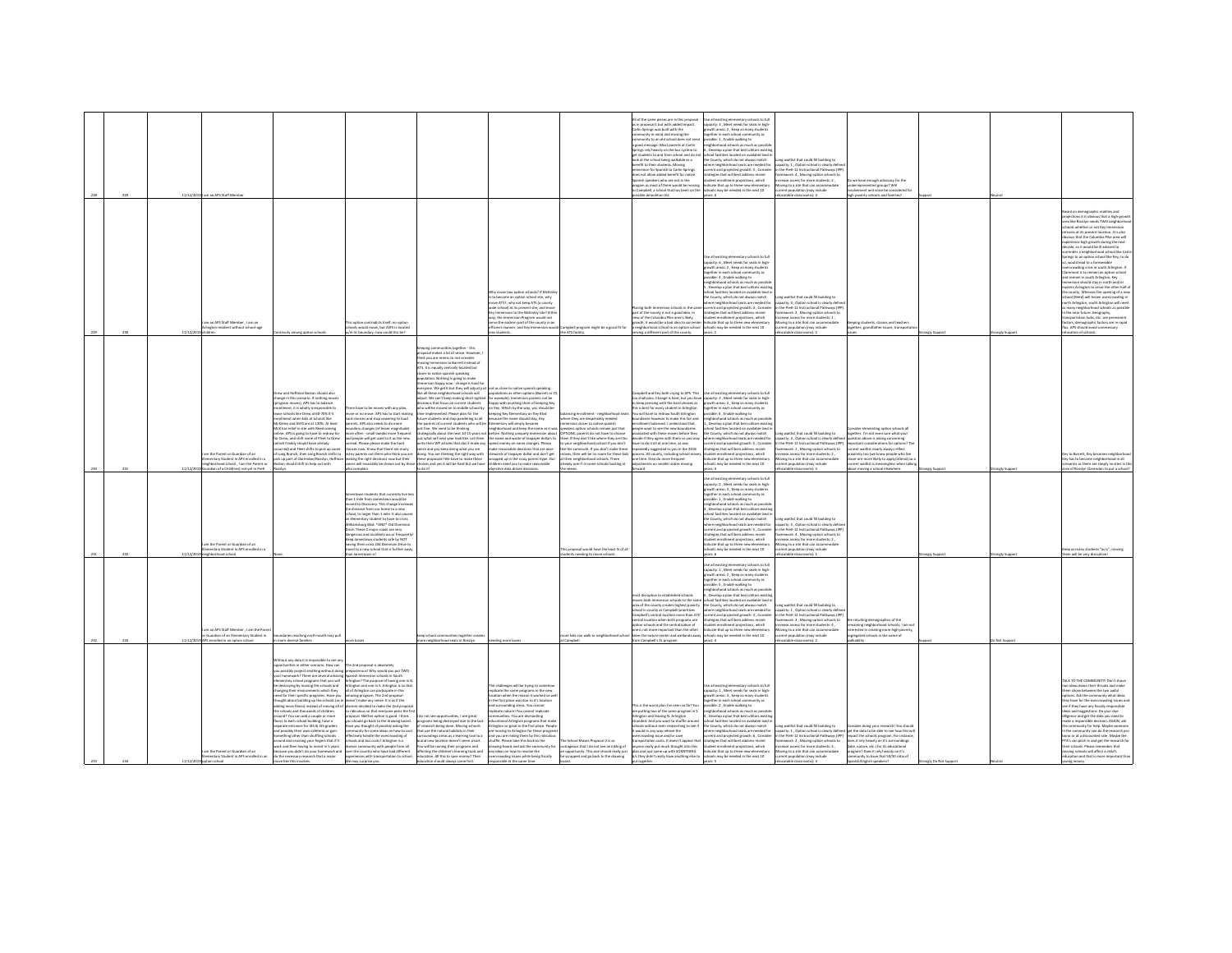| 229  | 11/12/2019 | am an APS Staff Membe                                                                                                               |                                                                                                                                                                                                                                                                                                                                                                                                                                                                                                                                                                                                                                                                                                                                                                                                                                                                                                                                                |                                                                                                                                                                                                                                                                                                                                                                                                                                                                                                                                                                                                                                                                                                                                                                                                                     |                                                                                                                                                                                                                                                                                                                                                                                                                                                                                                                                                                                                                                                                                                                                         |                                                                                                                                                                                                                                                                                                                                                                                                                                                                                                                                                                                                                                                                                                                                                                                                                                                                                                                                                                  |                                                                                                                                                                                                                                                                                                                                                                                                                                                      | I of the same pieces are in this propose<br>s in proposal 1 but with added impact.<br>Carlin Sorines was built with the<br>turnity in mind and moving the<br>munity to an old school does not s<br>good message. Most parents at Carlin<br>rings rely heavily on the bus system to<br>students to and from school and do n<br>ook at the school being walkable as a<br>nefit to their students. Movine<br>rsion for Spanish to Carlin Springs<br>does not allow added benefit for native<br>sanish speakers who are not in the<br>.<br>progam as most of them would be moving<br>to Campbell, a school that has been on the<br>assible demolition list. | e all existing elementary schools to full<br>pacity: 3 , Meet needs for seats in high-<br>wth areas: 2 . Keep as many students<br>other in each school community as<br>ible: 1, Enable walking to<br>ighborhood schools as much as possi<br>Develop a plan that best utilizes existin<br>ol facilities located on available land<br>the County, which do not always match<br>ere neighborhood seats are needed for<br>rent and projected growth: S., Consider<br>tesies that will best address recent<br>dent enrollment projections, which<br>icate that up to three new elementary<br>cols may be needed in the next 10<br>wars: 4 | ong waitlist that could fill building to<br>etity: 1. Option school is clearly defin<br>the PreK-12 Instructional Pathways (IP<br>mework: 4 . Moving option schools to<br>hase access for more students: 2.<br>ing to a site that can accor<br>ent population (may include<br>catable classrooms): 3        | o we have enough advocacy for the<br>derrepresented groups? Will<br>olvement and voice be considered for<br>high poverty schools and families?                                                                                                                                                                                                                                                                           |            |                                                                                                                                                                                                                                                                                                                                                                                                                                                                                                                                                                                                                                                                                                                                                                                                                                                                                                                                                                                                                |
|------|------------|-------------------------------------------------------------------------------------------------------------------------------------|------------------------------------------------------------------------------------------------------------------------------------------------------------------------------------------------------------------------------------------------------------------------------------------------------------------------------------------------------------------------------------------------------------------------------------------------------------------------------------------------------------------------------------------------------------------------------------------------------------------------------------------------------------------------------------------------------------------------------------------------------------------------------------------------------------------------------------------------------------------------------------------------------------------------------------------------|---------------------------------------------------------------------------------------------------------------------------------------------------------------------------------------------------------------------------------------------------------------------------------------------------------------------------------------------------------------------------------------------------------------------------------------------------------------------------------------------------------------------------------------------------------------------------------------------------------------------------------------------------------------------------------------------------------------------------------------------------------------------------------------------------------------------|-----------------------------------------------------------------------------------------------------------------------------------------------------------------------------------------------------------------------------------------------------------------------------------------------------------------------------------------------------------------------------------------------------------------------------------------------------------------------------------------------------------------------------------------------------------------------------------------------------------------------------------------------------------------------------------------------------------------------------------------|------------------------------------------------------------------------------------------------------------------------------------------------------------------------------------------------------------------------------------------------------------------------------------------------------------------------------------------------------------------------------------------------------------------------------------------------------------------------------------------------------------------------------------------------------------------------------------------------------------------------------------------------------------------------------------------------------------------------------------------------------------------------------------------------------------------------------------------------------------------------------------------------------------------------------------------------------------------|------------------------------------------------------------------------------------------------------------------------------------------------------------------------------------------------------------------------------------------------------------------------------------------------------------------------------------------------------------------------------------------------------------------------------------------------------|---------------------------------------------------------------------------------------------------------------------------------------------------------------------------------------------------------------------------------------------------------------------------------------------------------------------------------------------------------------------------------------------------------------------------------------------------------------------------------------------------------------------------------------------------------------------------------------------------------------------------------------------------------|--------------------------------------------------------------------------------------------------------------------------------------------------------------------------------------------------------------------------------------------------------------------------------------------------------------------------------------------------------------------------------------------------------------------------------------------------------------------------------------------------------------------------------------------------------------------------------------------------------------------------------------|-------------------------------------------------------------------------------------------------------------------------------------------------------------------------------------------------------------------------------------------------------------------------------------------------------------|--------------------------------------------------------------------------------------------------------------------------------------------------------------------------------------------------------------------------------------------------------------------------------------------------------------------------------------------------------------------------------------------------------------------------|------------|----------------------------------------------------------------------------------------------------------------------------------------------------------------------------------------------------------------------------------------------------------------------------------------------------------------------------------------------------------------------------------------------------------------------------------------------------------------------------------------------------------------------------------------------------------------------------------------------------------------------------------------------------------------------------------------------------------------------------------------------------------------------------------------------------------------------------------------------------------------------------------------------------------------------------------------------------------------------------------------------------------------|
|      |            | m an APS Staff Member , I am an<br>naton resident without school-age                                                                |                                                                                                                                                                                                                                                                                                                                                                                                                                                                                                                                                                                                                                                                                                                                                                                                                                                                                                                                                | is option contradicts itself: no option<br>ools would move, but ASFS is located<br>its boundary; how could this be?                                                                                                                                                                                                                                                                                                                                                                                                                                                                                                                                                                                                                                                                                                 |                                                                                                                                                                                                                                                                                                                                                                                                                                                                                                                                                                                                                                                                                                                                         | fty move two option schools? If McKinle<br>to become an option school site, why<br>ve ATS?; why not keep ATS (a county<br>wide school) at its present site, and move<br>Key Immersion to the McKinley site? Either<br>.<br>ay, the Immersion Program would not<br>erve the eastern part of the county in an<br>ficient manner, and Key Immersion woul                                                                                                                                                                                                                                                                                                                                                                                                                                                                                                                                                                                                            | nobell program might be a good fit for<br>the ATS facility                                                                                                                                                                                                                                                                                                                                                                                           | ting both Immersion schools in the sa<br>part of the county is not a rood idea. In<br>ew of the Columbia Pike area's likely<br>wth, it would be a bad idea to surrer<br>eighborhood school to an option school<br>ing a different part of the county.                                                                                                                                                                                                                                                                                                                                                                                                   | e all existing elementary schools to full<br>apacity: 6, Meet needs for seats in high-<br>wth areas: 2 , Keep as many stude<br>ether in each school community a<br>ssible: 4, Enable walking to<br>hborhood schools as much as possi<br>.<br>Nevelop a plan that best utiliz<br>ool facilities located on available land i<br>e County, which do not always match<br>e neighborhood seats are needed for<br>rrent and projected growth: 3, Conside<br>atesies that will best address recent<br>ent enrollment projections, which<br>ficate that up to three new elementary<br>ools may be needed in the next 10                      | one waitlist that could fill buildine to<br>city: 4, Option school is clearly defi<br>the PreK-12 Instructional Pathways (IPI<br>mework: 3. Moving option schools to<br>ase access for more students: 1<br>ving to a site that can accommodate<br>nt population (may include<br>stable classs               | ping students, classes and teacher<br>ether: arandfather issues, transportat                                                                                                                                                                                                                                                                                                                                             |            | sed on demographic realities and<br>lections it is obvious that a high-growt<br>I like Rosslyn needs TWO neighbor<br>aols whether or not Key Immersion<br>nains at its present location. It is also<br>ious that the Columbia Pike area will<br>erience high growth during the next<br>rcade, so it would be ill advised to<br>erender a neighborhood school like Car<br>vings to an option school like Key; to do<br>would lead to a foreseeable<br>.<br>rowding crisis in south Arlington. If<br>mont is to remain an option school<br>nd remain in south Arlington, Key<br>version should stay in north and/or<br>tern Arlington to serve the other half o<br>e county. Whereas the opening of a new<br>tool (Reed) will lessen overcrowding in<br>rth Arlington, south Arlington will need<br>many neighborhood schools as possibl<br>the near future. Geography.<br>portation hubs, etc. are permanent<br>tors; demographic factors are in rapid<br>ux. APS should avoid unnecessary<br>cation of schools |
|      |            | m the Parent or Guardian of an<br>nentary Student in APS enrolled in a<br>phorhood school, I am the Parent or                       | ww and Hoffman Boston should also<br>ange in this scenario. If nothing mov<br>program moves), APS has to balance<br>nrollment, it is wholly irresponsible to<br>nive schools like Drew at 60-70% K-5<br>Ilment when kids at schools like<br>cKinley and ASFS are at 130%. At least<br>IcK has relief in site with Reed coming<br>line. APS is going to have to redraw for<br>r Drew, and shift some of Fleet to Drew<br>hich frankly should have already<br>red) and fleet shifts to pick up son<br>Long Branch, then Long Branch shifts to<br>ck up part of Clarendon/Rosslyn, Hoffm<br>diw tuo qied at flida blueda note                                                                                                                                                                                                                                                                                                                     | ne have to he moves with any olan<br>e or no move. APS has to start maki<br>d choices and stop cowering to loud<br>ents. APS also needs to do more<br>dary changes (of lesser magnitude)<br>ore often - small tweaks more frequent<br>ind people will get used to it as the new<br>rmal. Please please make the hard<br>cices now. Know that there are many<br>nany parents out there who think you are<br>iking the right decisions now but their<br>voices will invariably be drown out by thor                                                                                                                                                                                                                                                                                                                   | munities treather, this<br>ping com<br>osal makes a lot of sense. However,<br>ink you are remiss to not consider<br>e Immersion to Barrett instead of<br>s. It is equally centrally-located but<br>ser to native spanish speaking<br>er to newer species.<br>slation. Nothing is going to make<br>nersion happy now - change is hard fo<br>ons that focus on current students<br>relemented. Please plan for the<br>are students and stop pandering to all<br>parents of current students who will be Elementary will simply become<br>t fine. We need to be thinking<br>a and you keep doing what you are<br>oing. You are thinking the right way with<br>proposals! We have to make these<br>ices and yes it will be hard but we have | ryone. We get it but they will adjust just not as close to native spanish speaking<br>.<br>ke all these neighborhood schools will <b>populations as other options (Barrett or C</b><br>djust. We can't keep making short sighted for example). Immersion parents not be<br>happy with anything short of keeping Key<br>to will be moved on to middle school by on Key. Which by the way, you should be<br>eeping Key Elemen<br>ntary on Key Blvd<br>because the name should stay, Key<br>eighborhood and keep the name as it w<br>tegically about the next 10-15 years not before. Nothing uniquely Immersion about<br>st what will next year look like. Let them the name and waste of taxpayer dollars to<br>their WP articles that don't make any spend money on name changes. Please<br>ake reasonable decisions that are wise<br>stewards of taxpayer dollar and don't get<br>sped up in the crazy parent hype. Our<br>children need you to make reasonable | ting enrollment - neighborhos<br>where they are desperately needed<br>nersion closer to native spanish<br>akers option schools remain just that<br>OPTIONS, parents do not have to choose<br>em if they don't like where they are! Go<br>your neighborhood school if you don't<br>the commute. If you don't make thes<br>ves, their will be no room for these kids<br>their neighborhood schools. There<br>already aren't in some schools busting at | mobell and Key both crying to APS. This<br>o shall pass. Change is hard, but you have<br>beep pressing with the hard choices as<br>is is best for every student in Arlimaton.<br>su will have to redraw South Arlingto<br>daries however to make this fair and<br>sliment balanced. I understand that<br>ple want to see the new boundarie<br>ciated with these moves before they<br>ecide if they agree with them so you may<br>have to do it all at one time, as was<br>atedly suggested to you in the 2018<br>cess. All county, including school mov<br>ne time, then do more frequent<br>Itments on smaller scales moving                           | to all existing elementary schools to full<br>acity: 3, Meet needs for seats in high<br>growth areas: 2, Keep as many students<br>author in each school community as<br>sible: 6, Enable walking to<br>phborhood schools as much as possi<br>Develop a plan that best utilizes existin<br>ol facilities located on available land i<br>County, which do not always match<br>tere neighborhood seats are needed for<br>rent and projected growth: S., Consider<br>tegies that will best address recent<br>nt enrollment projections, which<br>irate that un to three new elementar<br>It's may be needed in the next 10               | or gribliad III blaco terit teltiew gro<br>acity: 3, Option school is clearly define<br>the Dreft-12 Instructional Dathways (IDD)<br>ework: 1, Moving option schools to<br>rase access for more students: 2,<br>vine to a site that can accommodate<br>ent population (may include                          | der eliminating option schools all<br>together. I'm not even sure what your<br>puestion above is asking concerning<br>(C Constitue will annihirations for puttons)<br>ent waitlist nearly always reflect<br>simity too (we know people who live<br>doser are more likely to apply/attend) so<br>rent waitlist is meaningless when talkin                                                                                 |            | ry to Barrett; Key becomes neighborh<br>lls ni boorhodigien smoosd as as y<br>irios as there are simply no sites in th                                                                                                                                                                                                                                                                                                                                                                                                                                                                                                                                                                                                                                                                                                                                                                                                                                                                                         |
| 232. | 11/11/9    | an of a Child(ren) not yet in Prek<br>m the Parent or Guardian of an<br>ventary Student in APS enrolled in<br><b>Innert or hend</b> |                                                                                                                                                                                                                                                                                                                                                                                                                                                                                                                                                                                                                                                                                                                                                                                                                                                                                                                                                | o complain.<br>wn students that currently live<br>han 1 mile from Jamestown would be<br>wed to Discovery. This change increas<br>e distance from our home to a new<br>thool, to larger than 1 mile. It also cause<br>lementary student to have to cross<br>mohine Rivi *AND* OH Dom<br>rive. These 2 major roads are very<br>angerous and accidents occur frequent<br>town students safe by NOT<br>iving them cross Old Dominion Drive to<br>avel to a new school that is further away<br>1 lamastruun ist                                                                                                                                                                                                                                                                                                          |                                                                                                                                                                                                                                                                                                                                                                                                                                                                                                                                                                                                                                                                                                                                         | bjective data driven decisions                                                                                                                                                                                                                                                                                                                                                                                                                                                                                                                                                                                                                                                                                                                                                                                                                                                                                                                                   | is proposal would have the least % of all<br>s needing to move schools                                                                                                                                                                                                                                                                                                                                                                               |                                                                                                                                                                                                                                                                                                                                                                                                                                                                                                                                                                                                                                                         | se all existing elementary schools to full<br>spacity: 2, Meet needs for seats in high-<br>wth areas: 3 . Keep as many student<br>ether in each school co<br>nity as<br>ssible: 1, Enable walking to<br>eighborhood schools as much as possib<br>Develop a plan that best utiliz<br>ol facilities located on available land i<br>he County, which do not always match<br>rhood seats are needed for<br>urrent and projected growth: 5, Conside<br>trategies that will best address recent<br>artines which<br><b>Scate that up to three new elementary</b><br>ols may be needed in the next 10                                       | a waitlist that could fill building to<br>apacity: 3 , Option school is clearly define<br>n the PreK-12 Instructional Pathways (IPP<br>mework: 4 . Moving option schools to<br>asa arrass for more students-2<br>ving to a site that can accommodat<br>nt population (may include<br>P. Jamesons of Library | aout moving a school elsewhere                                                                                                                                                                                                                                                                                                                                                                                           | ngly Suppo | a of Rosslyn Clarendon to put a school<br>rep as many students "as is", moving<br>n will he vary disnastive!                                                                                                                                                                                                                                                                                                                                                                                                                                                                                                                                                                                                                                                                                                                                                                                                                                                                                                   |
|      |            | m an APS Staff Member . I am the Parent<br>Suardian of an Elementary Student in<br>nrolled in an option school                      | daries reaching north-south may pull<br>more diverse families.                                                                                                                                                                                                                                                                                                                                                                                                                                                                                                                                                                                                                                                                                                                                                                                                                                                                                 |                                                                                                                                                                                                                                                                                                                                                                                                                                                                                                                                                                                                                                                                                                                                                                                                                     | n school com<br>nities together mea<br>e neighborhood seats in Rosslyn                                                                                                                                                                                                                                                                                                                                                                                                                                                                                                                                                                                                                                                                  | ding more buse                                                                                                                                                                                                                                                                                                                                                                                                                                                                                                                                                                                                                                                                                                                                                                                                                                                                                                                                                   | ampbell                                                                                                                                                                                                                                                                                                                                                                                                                                              | ast disruptive to established schools<br>rows both immersion schools to the same<br>rea of the county creates highest poverty<br>ool in county at Campbell prioritizes<br>Campbell's central location more than ATS<br>ntral location when both programs are<br>ption schools and the centralization of<br>one is not more important than the other<br>re kids can walk to neighborhood school Itakes the nature center and wetlands awa<br>Campbell's EL program                                                                                                                                                                                       | Se all existing elementary schools to full<br>apacity: 1 . Meet needs for seats in high<br>wth areas: 2, Keep as many student<br>agether in each school community as<br>sible: 5 . Enable walking to<br>phborhood schools as much as pr<br>bevelop a plan that best utilizes exist<br>hool facilities located on available land i<br>e County, which do not always match<br>ere neighborhood seats are needed for<br>rrent and projected erowth: 3 . Consider<br>tegies that will best address recent<br>dent enrollment projections, which<br>indicate that up to three new elementary<br>ools may be needed in the next 10         | waitist that could fill huibling to<br>apacity: 1, Option school is clearly defi<br>the PreK-12 Instructional Pathways (IPP<br>ework: 3, Moving option schools to<br>rase access for more students: 4,<br>oving to a site that can accommodate<br>dation desay include<br>atable classrooms):               | esulting demographics of the<br>sining neighborhood schools; I am no<br>interested in creating more high-poverty<br>resated schools in the name of                                                                                                                                                                                                                                                                       |            |                                                                                                                                                                                                                                                                                                                                                                                                                                                                                                                                                                                                                                                                                                                                                                                                                                                                                                                                                                                                                |
|      |            | n the Parent or Guardian of an                                                                                                      | thout any data it is impossible to see an<br>ortunities in either scenario. How can<br>possibly project anything without doing<br>r homework? There are several amazing S<br>lite uov tadt ameneos loodas vistnen<br>destroying by moving the schools and<br>anging their environments which they<br>ed for their specific programs. Have you<br>hought about building up the schools (as in do<br>dding more floors) instead of moving all of pla<br>e schools and thousands of children<br>ound? You can add a couple or more<br>sors to each school building, have a<br>parate entrance for 4th & 5th eraders<br>nd noscibly their new cafeteria or ever<br>ething other than shuffling schools<br>ound and crossing your fineers that it'll<br>ork and then having to revisit in 5 years<br>cause you didn't do your homework and<br>mentary Student in APS enrolled in an do the necessary research that a major<br>re like this involves | The 2nd proposal is absolutely<br>spasterous) Why would you put TWO<br>anish Immersion schools in South<br>vilneton? The purpose of having one in N<br>.<br>Arlington and one in S. Arlington is so that<br>all of Arlington can participate in this<br>nazing program. The 2nd proposal<br>esn't make any sense. It is as if the<br>nner decided to make the 2nd propo<br>o ridiculous so that everyone picks the fir<br>posal. Neither option is good. I think<br>I should go back to the drawing board.<br>ave you thought of possibly asking the<br>unity for some ideas on how to con-<br>vely handle the overcrowding of<br>is a notenity? Stree aud bre alood:<br>rse community with people from all<br>over the country who have had different<br>experiences with transportation to school.<br>urprise you | do not see opportunities, I see great<br>rograms being destroyed due to the lack<br>esearch being done. Moving schools<br>at you the natural habitats in their<br>indings areas as a learning tool to a<br>nd new location doesn't seem smart.<br>u will be ruining their programs and<br>ffecting the children's learning tools and<br>education. All this to save money? Their<br>education should always come first.                                                                                                                                                                                                                                                                                                                 | challenges will be trying to s<br>licate the same programs in the new<br>cation when the reason it worked so well<br>the first place was due to it's location<br>d surrounding areas. You cannot<br>plicate naturel You cannot replicate<br>s<br>stigmant and a structure that the state of the state of the state of the state of the state of the state of the<br>state of the state of the state of the state of the state of the state of the state of the state of the stat<br>Arlinaton so areat in the first place. People<br>re moving to Arlington for these program<br>ind you are risking them by this ridiculou<br>huffle. Please take this back to the<br>trawing board and ask the community for<br>any ideas on how to resolve the<br>overcrowding issues while being fiscally<br>mible at the same time                                                                                                                                          | he School Moyes Proposal 2 is so<br>strageous that I do not see an inkling of<br>a opportunity. This one should really just<br>be scrapped and go back to the drawing                                                                                                                                                                                                                                                                                | his is the worst plan I've seen so far! You<br>ire putting two of the same program in S.<br>.<br>Arlington and leaving N. Arlington<br>itranded. And you want to shuffle aroun<br>hools without even researching to see if<br>would in any way relieve the<br>owding issue and/or save<br>portation costs. It doesn't appear the<br>ne really out much thought into this<br>plan and just came up with SOMETHING<br>b/c they didn't really have anything else to                                                                                                                                                                                        | apacity: 1, Meet needs for seats in high-<br>owth areas: 3 . Keep as many students<br>ether in each school community as<br>sible: 2 , Enable walking to<br>ishborhood schools as much as possi<br>Develop a plan that best utilizes existir<br>col facilities located on available land<br>the County, which do not always match<br>re neighborhood seats are needed for<br>rent and projected growth: 6, Consider<br>tesies that will best address recent<br>dent enrollment projections, which<br>dicate that up to three new elementary<br>schools may be needed in the next 10<br>oare K                                         | na waitlist that could fill building to<br>the PreK-12 Instructional Pathways (IPP)<br>mework: 2 . Moving option schools to<br>hase access for more students: 3<br>ving to a site that can accommodate<br>sbuloni vami noisiuogo tner<br>$A$ -lam                                                           | nsider doing your research! You should<br>scity: 1 , Option school is clearly defined get the data to be able to see how this will<br>se PreK-12 Instructional Pathways (IPP) impact the schools program. For instance,<br>does it rely heavily on it's surroundines<br>flake, nature, etc.) for its educational<br>program? Does it rely heavily on it's<br>anity to have that 50/50 ratio of<br>sish/English speakers) |            | ALK TO THE COMMUNITY! Don't show<br>ideas down their throats and make<br>em chose between the two awful<br>otions. Ask the community what ideas<br>ey have for the overcrowding issues an<br>e if they have any fiscally responsible<br>leas and suppositions. Do your due<br>e community for help. Maybe someone<br>the community can do the research pri<br>no or at a discounted rate. Maybe the<br>TA's can pitch in and eet the research for<br>ir schools. Please re<br>ther that<br>wing schools will affect a child's<br>ducation and that is more important than                                                                                                                                                                                                                                                                                                                                                                                                                                      |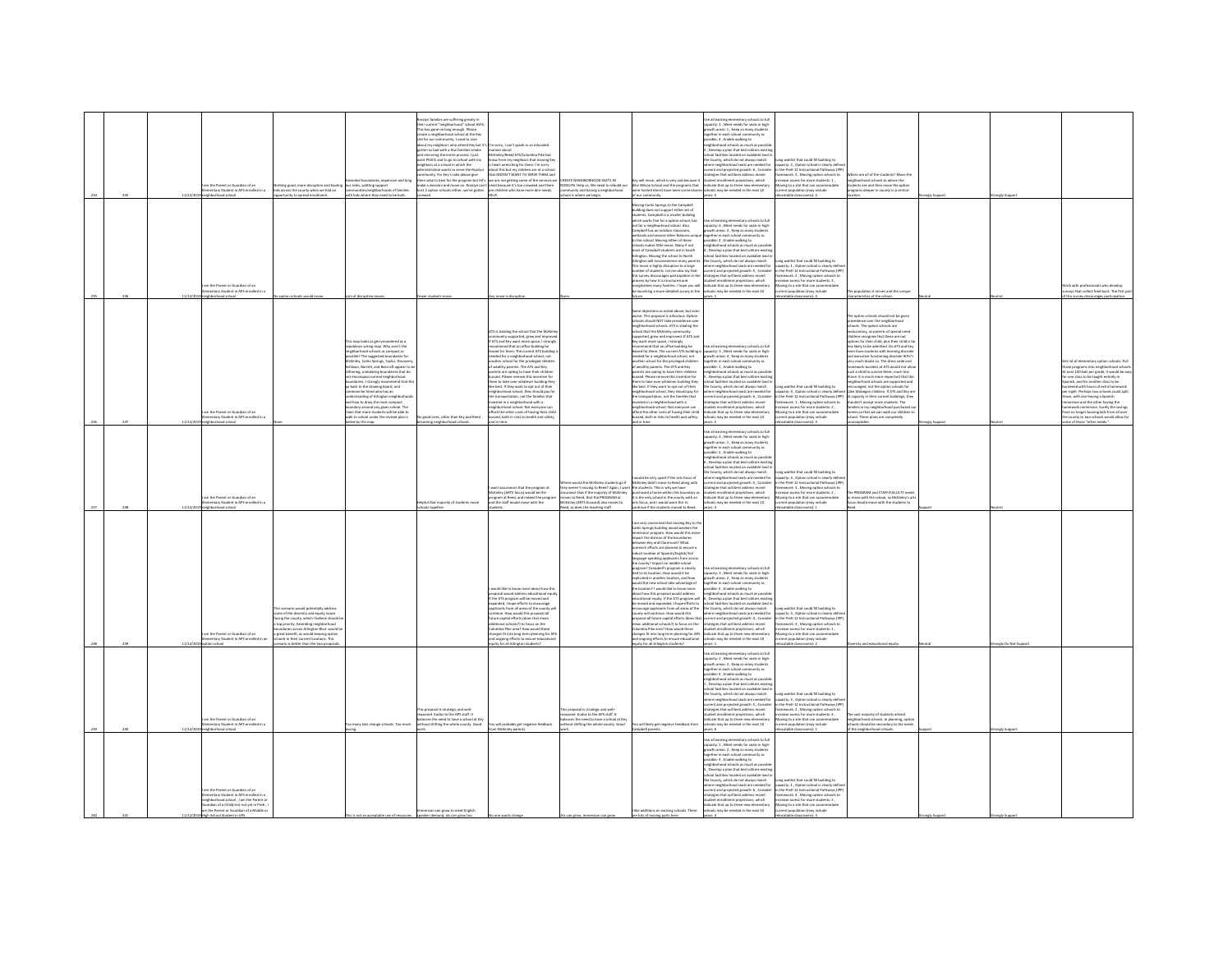|  |                                                                                                                                                                                                           |                                                                                                                                                                                                                                                                                                                                     |                                                                                                                                                                                                                                                                                                                                                                                                                                                                                                                                                                                                                                                     | slyn families are suffering greatly in<br>heir current "neighborhood" school ASFS<br>.<br>This has gone on long enough. Please<br>create a neighborhood school at the Key                                                                                                                                                                                                           |                                                                                                                                                                                                                                                                                                                                                                                                                                                                                                                                                                                                                                                                                                                                                                            |                                                                                                                                                                                                                                                |                                                                                                                                                                                                                                                                                                                                                                                                                                                                                                                                                                                                                                                                                                                                                                                                                                                                                                                                                                                                                                                                                                          | Use all existing elementary schools to full<br>apacity: 2, Meet needs for seats in high<br>with areas: 1 . Keep as many student<br>rether in each school community as<br>ible: 4, Enable walking to                                                                                                                                                                                                                                                                                                                                                                                                                                                                                                                                                          |                                                                                                                                                                                                                                                                                                            |                                                                                                                                                                                                                                                                                                                                                                                                                                                                                                                                                                                                                                                                                                                                                                                                                                                                                               |             |            |             |
|--|-----------------------------------------------------------------------------------------------------------------------------------------------------------------------------------------------------------|-------------------------------------------------------------------------------------------------------------------------------------------------------------------------------------------------------------------------------------------------------------------------------------------------------------------------------------|-----------------------------------------------------------------------------------------------------------------------------------------------------------------------------------------------------------------------------------------------------------------------------------------------------------------------------------------------------------------------------------------------------------------------------------------------------------------------------------------------------------------------------------------------------------------------------------------------------------------------------------------------------|-------------------------------------------------------------------------------------------------------------------------------------------------------------------------------------------------------------------------------------------------------------------------------------------------------------------------------------------------------------------------------------|----------------------------------------------------------------------------------------------------------------------------------------------------------------------------------------------------------------------------------------------------------------------------------------------------------------------------------------------------------------------------------------------------------------------------------------------------------------------------------------------------------------------------------------------------------------------------------------------------------------------------------------------------------------------------------------------------------------------------------------------------------------------------|------------------------------------------------------------------------------------------------------------------------------------------------------------------------------------------------------------------------------------------------|----------------------------------------------------------------------------------------------------------------------------------------------------------------------------------------------------------------------------------------------------------------------------------------------------------------------------------------------------------------------------------------------------------------------------------------------------------------------------------------------------------------------------------------------------------------------------------------------------------------------------------------------------------------------------------------------------------------------------------------------------------------------------------------------------------------------------------------------------------------------------------------------------------------------------------------------------------------------------------------------------------------------------------------------------------------------------------------------------------|--------------------------------------------------------------------------------------------------------------------------------------------------------------------------------------------------------------------------------------------------------------------------------------------------------------------------------------------------------------------------------------------------------------------------------------------------------------------------------------------------------------------------------------------------------------------------------------------------------------------------------------------------------------------------------------------------------------------------------------------------------------|------------------------------------------------------------------------------------------------------------------------------------------------------------------------------------------------------------------------------------------------------------------------------------------------------------|-----------------------------------------------------------------------------------------------------------------------------------------------------------------------------------------------------------------------------------------------------------------------------------------------------------------------------------------------------------------------------------------------------------------------------------------------------------------------------------------------------------------------------------------------------------------------------------------------------------------------------------------------------------------------------------------------------------------------------------------------------------------------------------------------------------------------------------------------------------------------------------------------|-------------|------------|-------------|
|  |                                                                                                                                                                                                           |                                                                                                                                                                                                                                                                                                                                     |                                                                                                                                                                                                                                                                                                                                                                                                                                                                                                                                                                                                                                                     | the for our community. I used to care<br>about my neighbors who attend Key but it<br>gotten so bad with a few families smoke<br>and mirroring the entire process. I just<br>wint PEACE and to go to school with my<br>eightors at a school in which the<br>stration wants to serve the Brisile<br>community. For Key's sake please give<br>hem what is best for the program but let | n sorry, I can't speak in an educated<br>nanner about<br>McKinley/Reed/ATS/Columbia Pike but<br>know from my neighbors that moving Key<br>beart wrenching for them. I'm som<br>about this but my children are at a school<br>out this out my creation are at a strict<br>at DOESN'T WANT TO SERVE THEM an<br>are not getting some of the services                                                                                                                                                                                                                                                                                                                                                                                                                          | ATE NEIGHBORHOOD SEATS IN<br>SSLYN. Help us. We need to rebuild or                                                                                                                                                                             | ley will move, which is very sad because it<br>like Wilson School and the programs that<br>wre hosted there) have been cornerstones                                                                                                                                                                                                                                                                                                                                                                                                                                                                                                                                                                                                                                                                                                                                                                                                                                                                                                                                                                      | eighborhood schools as much as possil<br>, Develop a plan that best utilizes exist<br>ool facilities located on available land i<br>the County, which do not always match<br>ere neighborhood seats are needed for<br>here neighborhood seals are needed for<br>errent and projected growth: 6 , Consider<br>rategies that will best address recent<br>udent enrollment projections, which<br>dicate that up to three new elementary<br>hools may be needed in the                                                                                                                                                                                                                                                                                           | ng waitlist that could fill building to<br>city: 2. Option school is clearly defin<br>the Dreft, 12 Instructional Dathways (ID)<br>nvork: 3 , Moving option schools to<br>ase access for more students: 1 ,<br>ving to a site that can acco                                                                | here are all of the students? Move the<br>ighborhood schools to where the<br>udents are and then move the option<br>ograms deeper in county in a central                                                                                                                                                                                                                                                                                                                                                                                                                                                                                                                                                                                                                                                                                                                                      |             |            |             |
|  | im the Parent or Guardian of an<br>ementary Student in APS enrolled in a<br>ed school                                                                                                                     | Nothing good, more disruption and hauling<br>kids across the county when we had an<br>rrity to spread enrollment                                                                                                                                                                                                                    | us rides, splitting support<br>ommunities/neighborhoods of families<br>kids where they need to be built.                                                                                                                                                                                                                                                                                                                                                                                                                                                                                                                                            | make a decision and move on. Rosslyn can'<br>host 2 option schools eitherwe've gotten                                                                                                                                                                                                                                                                                               | need because it's too crowded and there<br>are children who have more dire needs.                                                                                                                                                                                                                                                                                                                                                                                                                                                                                                                                                                                                                                                                                          | sunity and having a neighborhood<br>is where we begin                                                                                                                                                                                          |                                                                                                                                                                                                                                                                                                                                                                                                                                                                                                                                                                                                                                                                                                                                                                                                                                                                                                                                                                                                                                                                                                          | ses: 5                                                                                                                                                                                                                                                                                                                                                                                                                                                                                                                                                                                                                                                                                                                                                       | int population (may include<br>$4 - 4$                                                                                                                                                                                                                                                                     |                                                                                                                                                                                                                                                                                                                                                                                                                                                                                                                                                                                                                                                                                                                                                                                                                                                                                               | aly Support |            | ngly Suppor |
|  | the Parent or Guardian of a<br>tary Student in APS enrolled in<br>loorba boorhodrigis                                                                                                                     | option schools would move                                                                                                                                                                                                                                                                                                           | ots of disruptive move                                                                                                                                                                                                                                                                                                                                                                                                                                                                                                                                                                                                                              | wer students mov                                                                                                                                                                                                                                                                                                                                                                    | Any move is disruptive                                                                                                                                                                                                                                                                                                                                                                                                                                                                                                                                                                                                                                                                                                                                                     |                                                                                                                                                                                                                                                | vine Carlin Sorines to the Campbell<br>uilding does not support either set of<br>sulents. Campbell is a smaller building<br>thich works fine for a option school, but<br>thich works fine for a optional Also<br>tot for a neighborhood school. Also<br>Campbell has an outdoor classroom.<br>tlands and several other features unio<br>wetlands and several other features unit<br>to this school. Moving either of these<br>ichools makes little serier. Many if not<br>thools makes little serier. Many if not<br>trington. Moving the school to North<br>trington. Moving the sch<br>enience many paren<br>is move is highly disruptive to a large<br>umber of students. Let me also say that<br>is survey discourages participation in the<br>best by how it is structured and<br>narginalizes many families. I hope you will<br>harginalizes many families. I hope you will<br>e launching a more detailed survey in the                                                                                                                                                                           | Use all existing elementary schools to full<br>capacity: 6 , Meet needs for seats in high-<br>rrowth areas: 3 . Keep as many student<br>parther in each school community as<br>sible: 2 . Enable walking to<br>ston: 2 , Listane waiting to:<br>hborhood schools as much as poss<br>Develop a plan that best utilizes exi<br>.<br>hool facilities located on available land i<br>re County, which do not always match<br>here neighborhood seats are needed for<br>rrent and projected erowth: 5 . Consider<br>ategies that will best address recent<br>student enrollment projections, which<br>indicate that up to three new elementary<br>schools may be needed in the next 10<br>years: 1                                                                | ng waitlist that could fill building to<br>apacity: 1, Option school is clearly defi<br>in the PreK-12 Instructional Pathways (IP)<br>ework: 2 . Moving option schools to<br>the advance for more students. I<br>ving to a site that can accome<br>vent population (may include<br>ocatable classrooms): 4 | es and the unique<br>characteristics of the school.                                                                                                                                                                                                                                                                                                                                                                                                                                                                                                                                                                                                                                                                                                                                                                                                                                           |             |            |             |
|  | m the Parent or Guardian of an<br>entary Student in APS enrolled in<br><b><i><u>innel</u></i></b> school                                                                                                  |                                                                                                                                                                                                                                                                                                                                     | map looks as gerrymandered as a<br>ublican voting map. Why aren't the<br>hborhood schools as co<br>mpact as<br>ible? The suggested boundaries fo<br>inley, Carlin Springs, Taylor, Disco<br>lawn, Barrett, and Barcroft appear to b<br>hering, undulating boundaries that do<br>encompass normal neighborhood<br><b>oundaries. I strongly recommend</b><br>b back to the drawing board, and<br>nend that th<br>2ne be hired who has an<br>derstanding of Arlington neighbo<br>d how to draw the most compac<br>dary around any given school. The<br>im that more students will be able to<br>Ik to school under the revised plan is<br>d by the map | to good ones, other than Key and Reed<br>sing neight                                                                                                                                                                                                                                                                                                                                | ATS is stealing the school that the McKini<br>mmunity supported, grew and improv-<br>If ATS and Key want more space. I strongly<br>nend that an office building be<br>sed for them. The current ATS building<br>eded for a neighborhood school, no<br>other school for the privileged childs<br>of wealthy parents. The ATS and Key<br>parents are opting to have their children<br>bussed. Please remove this incentive for<br>them to take over whatever building the<br>like best. If they want to got out of their<br>phonhood school, they should pay for<br>transportation, not the families that<br>isted in a neighborhood with a<br>ghborhood school. Not everyone car<br>afford the other costs of having their child<br>sed, both in risks to health and safety |                                                                                                                                                                                                                                                | ne objections as noted above, but ever<br>were concerned as method account under<br>the state of the proposal is ridiculous. Option<br>ichools should NOT take precedence over<br>reighborhood schools. ATS is stealing the<br>ichool that the McKinley community<br>sported, grew and improved. If ATS and<br>.<br>Wy want more space, I strongly<br>ecommend that an office building be<br>sed for them. The current ATS building<br>eased for trem. The current ATS business<br>redded for a neighborhood school, not<br>mother school for the privileged children<br>f wealthy parents. The ATS and Key<br>arents are opting to have their children<br>ssed. Please remove this incentive for<br>em to take over whatever building they<br>ke best. If they want to cot out of the<br>eighborhood school, they should pay for<br>the transportation, not the families that<br>wested in a neighborhood with a<br>eighborhood school. Not everyone can<br>fford the other costs of having their child<br>ssed, both in risks to health and safety.                                                    | se all existing elementary schools to full<br>or are was my merminery standard in high<br>rowth areas: 4 , Keep as many students<br>nyether in each school community as<br>ossible: 1 , Enable walking to<br>wighborhood schools as much as possib<br>Develop a plan that best utilizes existi<br>ool facilities located on available land i<br>e County, which do not always match<br>examply, which as not annoys mass?<br>rent and projected growth: 6 , Consider<br>ategies that will best address recent<br>sent enrolment projections, which<br>dicate that up to three new elementary<br>ools may be needed in the next 10                                                                                                                            | a waitlist that could fill building to<br>pacity: 4 , Option school is clearly define<br>the PreK-12 Instructional Pathways (IPP)<br>mework: 1 , Moving option schools to<br>use access for more students: 2,<br>oving to a site that can accommodate<br>ent population (may include<br>F dammersals ablet | he option schools should not be given<br>ecedence over the neighborhood<br>hools. The option schools are<br>clusionary, as parents of special need<br>children recognize that these are not<br>tions for their child, plus their child is fi<br>ess likely to be admitted. Do ATS and Key<br>was noory as we wannoout. Lot PCT2 and Region<br>and executive functioning disorder IEPs?<br>very much doubt so. The dress code and<br>work burdens at ATS would not alloy<br>such a child to survive there, much less<br>hrive. It is much more important that the<br>ghborhood schools are supported and<br>couraged, not the option schools for<br>incomplex, not one operate schools for<br>trained to the current buildings, they<br>houldn't accept more students. The<br>lies in my neighborhood purchased<br>mes so that we can walk our children to<br>sool. These plans are completely |             |            |             |
|  | n the Parent or Guardian of an<br>mentary Student in APS enroll                                                                                                                                           |                                                                                                                                                                                                                                                                                                                                     |                                                                                                                                                                                                                                                                                                                                                                                                                                                                                                                                                                                                                                                     | oful that majority of students                                                                                                                                                                                                                                                                                                                                                      | wint assurances that the program at<br>tricinian (ARTS feature) would be the<br>MCNINNY (MX15 focus) Would be the<br>program at Reed, and indeed the prog<br>and the staff would move with the                                                                                                                                                                                                                                                                                                                                                                                                                                                                                                                                                                             | ere would the McKinley students no if<br>ey weren't moving to Reed? Again, I want<br>rance that if the mainstry of McKinley<br>rance that in the majority to resource<br>as to Reed, that the PROGRAM at<br>Gnley (ARTS focused) also moves to | ould be very upset if the arts focus of<br>ckinley didn't move to Reed along with<br>e students. This is why we have<br>rebased a home within this houndary as<br>surchased a nome winn this ocuntary as<br>t is the only school in the county with an<br>irts focus, and I would want this to                                                                                                                                                                                                                                                                                                                                                                                                                                                                                                                                                                                                                                                                                                                                                                                                           | Use all existing elementary schools to full<br>capacity: 4 , Meet needs for seats in high-growth areas: 1 , Keep as many students<br>together in each school community as<br>ossible: 2 , Enable walking to<br>eighborhood schools as much as possib<br>Develop a plan that best utiliz<br>servesp 4 pain that bint utilizes exist<br>lool facilities located on available land<br>County, which do not always match<br>ere neighborhood seats are needed for<br>irrent and projected erowth: S. Consider<br>atesies that will best address recent<br>,<br>dent enrollment projections, which<br>dicate that up to three new elementar<br>ols may be needed in the next 10                                                                                   | ng waitlist that could fill building to<br>acity: 4, Option school is clearly defi<br>the PreK-12 Instructional Pathways (IPF<br>ework: 3 . Moving option schools to<br>asa arress for more students-2<br>ving to a site that can accom<br>lation (may include                                             | <b>PROGRAM and STAFF/FACILITY net</b><br>tow with the school, so McKinley's art<br>s should move with the students to                                                                                                                                                                                                                                                                                                                                                                                                                                                                                                                                                                                                                                                                                                                                                                         |             |            |             |
|  | loorlood school<br>m the Parent or Guardian of an<br>ntary Student in APS enrolled in an                                                                                                                  | his scenario would potentially addres<br>ome of the diversity and equity issues<br>cing the county, which I believe should I<br>top priority. Extending neighborhood<br>ndaries across Arlington Blvd. would b<br>great benefit, as would keeping option<br>is in their current locations. This<br>ario is better than the two oro. |                                                                                                                                                                                                                                                                                                                                                                                                                                                                                                                                                                                                                                                     | ools together                                                                                                                                                                                                                                                                                                                                                                       | ould like to know more about how this<br>posal would address educational equit<br>If the ATS program will be moved and<br>e Ara program will be increased<br>licants from all areas of the county w<br>tinue. How would this proposal all<br>uture capital efforts (does that mean<br>itional schools?) to focus on the<br>olumbia Pike area? How would these<br>changes fit into long term planning for AP<br>d oneoing efforts to ensure edu<br>sity for all Arlington students?                                                                                                                                                                                                                                                                                         | ed, as does the teaching staff.                                                                                                                                                                                                                | tinue if the students moved to Reed.<br>m very concerned that moving Key to th<br>arlin Springs building would weaken the<br>ern spregs coloning wood weeker cin<br>react the division of the boundaries<br>tween Key and Claremont? What<br>streach efforts are planned to ensure<br>obust number of Spanish/English/3rd<br>neuve speaking applicants from acros<br>the county? Impact on middle school<br>rogram? Campbell's program is closely<br>led to its location. How would it be<br>eplicated in another location, and how<br>vould the new school take advantage of<br>he location? I would like to know more<br>bout how this proposal would address<br>ducational equity. If the ATS program will<br>moved and annanded. I hang efforts to<br>rmoved and expanded, i nope enorts to<br>icourage applicants from all areas of the<br>runty will continue. How would this<br>roposal all future capital efforts (does that<br>ean additional schools?) to focus on the<br>stanti bluow worl Sears solit sidmulo<br>sanges fit into long term planning for AP3<br>Sztreduż nożgnitA lla vol ysu | ears: 3<br>e all existing elementary schools to full<br>se as examing elementary across to run<br>parachy: 3 , Meet needs for seats in high<br>powth areas: 2 , Keep as many students<br>together in each school community as<br>ossible: S , Enable walking to<br>elehborhood schools as much as possib<br>. Develop a plan that best utilizes existi<br>nel farilities lerated on available land<br>choor raciities located on available land<br>the County, which do not always match<br>ahere neighborhood seats are needed fo<br>current and projected growth: 4, Consider<br>strategies that will best address recent<br>student enrollment projections, which<br>dicate that up to three new elementary<br>ocls may be needed in the next 10<br>sec 1 | catable classrooms): 1<br>ng waitlist that could fill building to<br>pacity: 4 , Option school is clearly del<br>the PreK-12 Instructional Pathways (IPF<br>imework: 3 , Moving option schools to<br>ease access for more students: 1,<br>vine to a site that can accome<br>include                        |                                                                                                                                                                                                                                                                                                                                                                                                                                                                                                                                                                                                                                                                                                                                                                                                                                                                                               |             |            |             |
|  | i the Parent or Guardian of an<br>nentary Student in APS enrolled in<br>loorka boorhodrigis                                                                                                               |                                                                                                                                                                                                                                                                                                                                     | any kids change schools. Too much                                                                                                                                                                                                                                                                                                                                                                                                                                                                                                                                                                                                                   | proposal is strategic and well<br>ned. Kudos to the APS staff. It<br>ances the need to have a school at Key<br>hout shifting the whole county. Good                                                                                                                                                                                                                                 | fou will probably get negative feedback<br>tom McKinley parents.                                                                                                                                                                                                                                                                                                                                                                                                                                                                                                                                                                                                                                                                                                           | s proposal is strategic and well-<br>sened. Kudos to the APS staff. It<br>ances the need to have a school at Key<br>hout shifting the whole county. Good                                                                                       | u will likely get negative feedback from<br>mpbell parents.                                                                                                                                                                                                                                                                                                                                                                                                                                                                                                                                                                                                                                                                                                                                                                                                                                                                                                                                                                                                                                              | se all existing elementary schools to ful<br>spacity: 2, Meet needs for seats in high<br>rrowth areas: 3 . Keep as many student<br>together in each school community as<br>ssible: 4 , Enable walking to<br>lighborhood schools as much as possi<br>Develop a plan that best utilizes exis<br>.<br>hool facilities located on available land i<br>re County, which do not always match<br>tere neighborhood seats are needed for<br>rrent and projected growth: 5, Consider<br>begies that will best address recent<br>dent enrollment projections, which<br>licate that up to three new elementary<br>roots may be needed in the next 10<br>ars: 6                                                                                                          | ng waitlist that could fill building to<br>pacity: 3, Option school is clearly defin<br>the PreK-12 Instructional Pathways (IPF<br>ework: 2 . Moving option schools to<br>ase access for more students: 4<br>ving to a site that can accomm<br>rent population (may include<br>catable classrooms): 1      | ast mainrity of students atten<br>ighborhood schools. In planning, optio<br>100ls should be secondary to the need<br>of the neighborhood schools.                                                                                                                                                                                                                                                                                                                                                                                                                                                                                                                                                                                                                                                                                                                                             |             | ngly Suppo |             |
|  | :<br>:lementary Student in APS enrolled in a<br>:eighborhood school , I am the Parent or<br>rdian of a Childfren) not vet in PreK.<br>n the Parent or Guardian of a Middle or<br>gh School Student in APS |                                                                                                                                                                                                                                                                                                                                     |                                                                                                                                                                                                                                                                                                                                                                                                                                                                                                                                                                                                                                                     | sion can erow to meet English                                                                                                                                                                                                                                                                                                                                                       |                                                                                                                                                                                                                                                                                                                                                                                                                                                                                                                                                                                                                                                                                                                                                                            |                                                                                                                                                                                                                                                | lor additions on existing schools. There<br>lots of moving parts here.                                                                                                                                                                                                                                                                                                                                                                                                                                                                                                                                                                                                                                                                                                                                                                                                                                                                                                                                                                                                                                   | Jse all existing elementary schools to full<br>cie all existing elementary schools to tule<br>sapacity: 1 , Meet needs for seats in high<br>growth areas: 2 , Keep as many students<br>ngether in each school community as<br>assible: 3 , Enable walking to<br>weighborhood schools as much<br>, Develop a plan that best utilizes existi<br>pol facilities located on available land i<br>he County, which do not always match<br>where neighborhood seats are needed for<br>current and projected growth: 6 , Consider<br>strategies that will best address recent<br>tudent enrollment projections, which<br>indicate that up to three new elementary<br>schools may be needed in the next 10                                                            | a waitlist that could fill building to<br>anglesty: 1, Option school is clearly define<br>the PreK-12 Instructional Pathways (IPF<br>ramework: 4 , Moving option schools to<br>rease access for more students: 2,<br>foving to a site that can accommodate<br>ent population (may include                  |                                                                                                                                                                                                                                                                                                                                                                                                                                                                                                                                                                                                                                                                                                                                                                                                                                                                                               |             |            |             |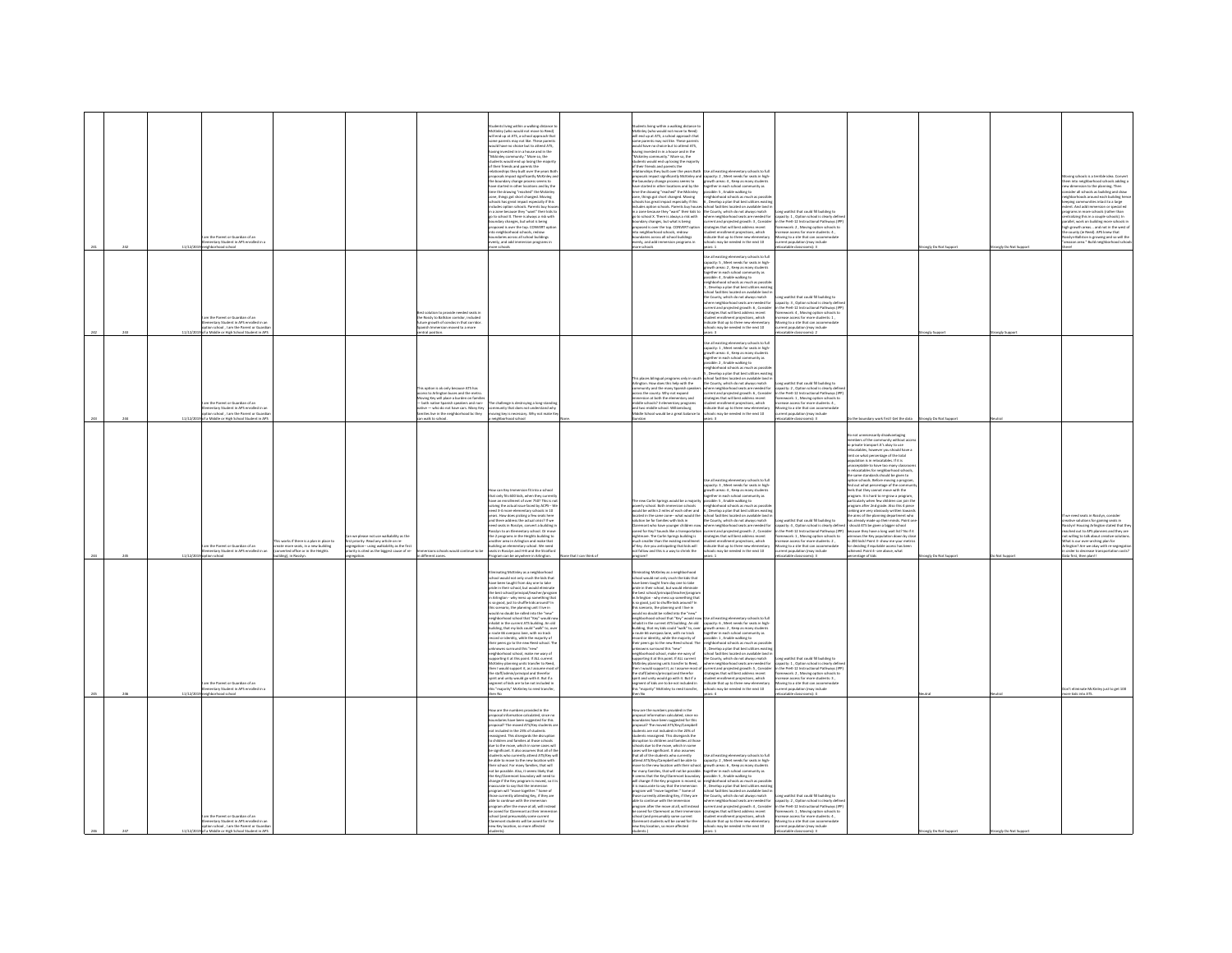|  |          | am the Parent or Guardian of an                                                                                                                                                                                                  |                                                                                                                                                              |                                                                                                                                                                                                                                                       | udents living within a walking distance t<br>McKinley (who would not move to Reed)<br>will end up at ATS, a school approach that<br>se parents may not like. These parent<br>uld have no choice but to attend ATS,<br>would have no choice but to attend ATS,<br>having invested in in a house and in the<br>"Mickinky community." More so, the<br>students would end up losing the majority<br>of their friends and parents the<br>relationships they built over t<br>proposals impact significantly McKinley as<br>the boundary change process seems to<br>have started in other locations and by the<br>time the drawing "reached" the Mckinle<br>zone, things got short changed. Moving<br>schools has great impact especially if thi<br>summer some and the induction of the state of the state of the state of the state of the state of the state of the state of the state of the basis of the basis of the state of the state of the state of the state of the sta<br>proposed is over the top. CONVERT op<br>into neighborhood schools, redraw<br>ndaries across all school buildings                                                                                       |                      | dents living within a walking distance to<br>ckinley (who would not move to Reed)<br>ell end up at ATS, a school approach that<br>.<br>ne parents may not like. These parent<br>uld have no choice but to attend ATS,<br>aculd have no choice but to attend ATS,<br>raving irrested in in a bouse and in the<br>"Mckinley community." More so, the<br>Mckinley community." More so, the<br>rubients would end up losing the majority<br>of their friends and parents t<br>e boundary change process seems to<br>ave started in other locations and by the<br>me the drawing "reached" the Mckinley<br>one, things got short changed. Moving<br>chools has great impact especially if this<br>ncludes option schools. Parents buy hous<br>concerna groun suppose the results by house<br>in a zone because they "want" their kids to<br>no school X. There is always a risk with<br>condary changes, but what is being<br>proposed is over the top. CONVERT option<br>to neighborhood schools, redraw<br>oundaries across all school buildings<br>venly, and add immersion programs in                   | posals impact significantly McKinley and capacity: 2, Meet needs for seats in high<br>growth areas: 4, Keep as many studen<br>ogether in each school community as<br>sible: 5 . Enable walking to<br>ighborhood schools as much as po<br>, Develop a plan that best utilizes e<br>, percept part one constant in a second control facilities located on available land in<br>the County, which do not always match<br>where neighborhood seats are needed for<br>surrent and projected growth: 3 , Consider<br>strategies that will best address recent<br>student enrollment projections, which<br>ndicate that up to three new elementary<br>ichools may be needed in the next 10                     | ong waitlist that could fill building to<br>spacity: 1 , Option school is clearly define<br>the PreK-12 Instructional Pathways (IPF<br>imework: 2, Moving option schools to<br>ease access for more students: 4<br>oving to a site that can accommodat                                                                                                                                         |                                                                                                                                                                                                                                                                                                                                                                                                                                                                                                                                                                                                                                                                                                                                                                                                                                                                                                                                                                                      |                      |                      | ing schools is a terrible idea. Conver<br>into neighborhood schools adding a<br>a dimension to the planning. Then<br>sider all schools as building and draw<br><b>Incidence's account each huilding he</b><br>ties intact to a lare<br>versy commission or special ed<br>bent. And add immersion or special ed<br>ograms in more schools (rather than<br>mtralizing this in a couple schools). In<br>railel, work on building more schools in<br>high growth areas and not in the west o<br>cunty (ie Reed). APS knew that<br>osslyn-Ballston is growing and so will the<br>amazon area." Build neighborhood schoo |
|--|----------|----------------------------------------------------------------------------------------------------------------------------------------------------------------------------------------------------------------------------------|--------------------------------------------------------------------------------------------------------------------------------------------------------------|-------------------------------------------------------------------------------------------------------------------------------------------------------------------------------------------------------------------------------------------------------|---------------------------------------------------------------------------------------------------------------------------------------------------------------------------------------------------------------------------------------------------------------------------------------------------------------------------------------------------------------------------------------------------------------------------------------------------------------------------------------------------------------------------------------------------------------------------------------------------------------------------------------------------------------------------------------------------------------------------------------------------------------------------------------------------------------------------------------------------------------------------------------------------------------------------------------------------------------------------------------------------------------------------------------------------------------------------------------------------------------------------------------------------------------------------------------|----------------------|---------------------------------------------------------------------------------------------------------------------------------------------------------------------------------------------------------------------------------------------------------------------------------------------------------------------------------------------------------------------------------------------------------------------------------------------------------------------------------------------------------------------------------------------------------------------------------------------------------------------------------------------------------------------------------------------------------------------------------------------------------------------------------------------------------------------------------------------------------------------------------------------------------------------------------------------------------------------------------------------------------------------------------------------------------------------------------------------------------|---------------------------------------------------------------------------------------------------------------------------------------------------------------------------------------------------------------------------------------------------------------------------------------------------------------------------------------------------------------------------------------------------------------------------------------------------------------------------------------------------------------------------------------------------------------------------------------------------------------------------------------------------------------------------------------------------------|------------------------------------------------------------------------------------------------------------------------------------------------------------------------------------------------------------------------------------------------------------------------------------------------------------------------------------------------------------------------------------------------|--------------------------------------------------------------------------------------------------------------------------------------------------------------------------------------------------------------------------------------------------------------------------------------------------------------------------------------------------------------------------------------------------------------------------------------------------------------------------------------------------------------------------------------------------------------------------------------------------------------------------------------------------------------------------------------------------------------------------------------------------------------------------------------------------------------------------------------------------------------------------------------------------------------------------------------------------------------------------------------|----------------------|----------------------|--------------------------------------------------------------------------------------------------------------------------------------------------------------------------------------------------------------------------------------------------------------------------------------------------------------------------------------------------------------------------------------------------------------------------------------------------------------------------------------------------------------------------------------------------------------------------------------------------------------------|
|  | 11/12/20 | entary Student in APS enrolled in a<br>loorks boorhod rigiser<br>n the Parent or Guardian of an<br>mentary Student in APS enrolled<br>tion school , I am the Parent or G<br>of a Middle or High School Student in A              |                                                                                                                                                              | solution to provide needed seats in<br>their sourcest to provide research assessments<br>the Rossly to Ballston corridor, included<br>Spanish Immersion moved to a more<br>tral position.                                                             | venly, and add immersion programs in<br>nore schools                                                                                                                                                                                                                                                                                                                                                                                                                                                                                                                                                                                                                                                                                                                                                                                                                                                                                                                                                                                                                                                                                                                                  |                      | are schools                                                                                                                                                                                                                                                                                                                                                                                                                                                                                                                                                                                                                                                                                                                                                                                                                                                                                                                                                                                                                                                                                             | sare 1<br>Jse all existing elementary schools to full<br>se as executing entertaining accounts in high<br>prowth areas: 2 , Keep as many students<br>together in each school community as<br>possible: 4 , Enable walking to<br>righborhood schools as much as possib<br>, Develop a plan that best utilizes existi<br>ool facilities located on available land i<br>he County, which do not always match<br>ere neighborhood seats are needed for<br>.<br>rrent and projected growth: 6 , Consider<br>ategies that will best address recent<br>dent enrollment projections, which<br>licate that up to three new elementary<br>roots may be needed in the next 10                                      | ent population (may include<br>catable classrooms): 3<br>ong waitlist that could fill building to<br>acity: 3 . Option school is clearly defin<br>the Pret 17 Instructional Pathways (IP)<br>ework: 4 . Moving option schools to<br>tase arress for mon<br>condens 1<br>rease access for more scuberts<br>wing to a site that can accomment population (may include<br>scatable classrooms): 2 |                                                                                                                                                                                                                                                                                                                                                                                                                                                                                                                                                                                                                                                                                                                                                                                                                                                                                                                                                                                      | angly Do Not Support | rongly Do Not Suppor |                                                                                                                                                                                                                                                                                                                                                                                                                                                                                                                                                                                                                    |
|  |          | im the Parent or Guardian of an<br>entary Student in APS enrolled in a<br>tion school . I am the Parent or Gua<br>a Middle or High School Stude                                                                                  |                                                                                                                                                              | option is ok only because ATS has<br>ccess to Arlington buses and the metro.<br>foving Key will place a burden on famili<br>both native Spanish speakers and non-<br>ative -- who do not have cars. Many Key<br>iles live in the neighborhood bc they | The challenge is destroying a long-standir<br>community that does not understand to:<br>moving key is necessary. Why not make K<br>rstand why                                                                                                                                                                                                                                                                                                                                                                                                                                                                                                                                                                                                                                                                                                                                                                                                                                                                                                                                                                                                                                         |                      | his places bilingual programs only in so:<br>vlington. How does this help with the<br>ommunity and the many Spanish speaks<br>oss the county. Why not expand<br>nersion at both the elementary and<br>iddle schools? 3 elementary programs<br>nd two middle school. Williamsburg<br>ddle School would be a great balance to                                                                                                                                                                                                                                                                                                                                                                                                                                                                                                                                                                                                                                                                                                                                                                             | <b>Jse all existing elementary schools to full</b><br>spacity: 1, Meet needs for seats in high<br>.<br>powth areas: 4 , Keep as many student<br>ogether in each school community as<br>.<br>sible: 2 , Enable walking to<br>ighborhood schools as much as possil<br>Develop a plan that best utilizes exist<br>hool facilities located on available lan<br>e County, which do not always match<br>re neighborhood seats are needed fo<br>rent and projected growth: 6 , Consider<br>ategies that will best address recent<br>dent enrollment projections, which<br><b>Scate that up to three new elementary</b><br>02 fxen sell ni beheen ed vam alco                                                   | g waitlist that could fill building to<br>acity: 2, Option school is clearly del<br>the PreK-12 Instructional Pathways (IP<br>ework: 1, Moving option schools to<br>ease access for more students: 4,<br>oving to a site that can accommodate<br>lation (may include<br>F dammassis able                                                                                                       | work first! Get the dat                                                                                                                                                                                                                                                                                                                                                                                                                                                                                                                                                                                                                                                                                                                                                                                                                                                                                                                                                              | dy Do Not S          |                      |                                                                                                                                                                                                                                                                                                                                                                                                                                                                                                                                                                                                                    |
|  |          | is works if there is a plan in place to<br>im the Parent or Guardian of an<br>eate more seats, in a new building<br>ventary Student in APS enrolled in an<br>werted office or in the Heights<br>loorlas noit<br>ling), in Rossly | we please not use walkability as the<br>t priority. Read any article on re<br>gation-using walkability as the firs<br>ty is cited as the biggest cause of re | ions schools would continue to b<br>different zones                                                                                                                                                                                                   | How can Key Immersion fit into a school<br>that only fits 600 kids, when they current<br>se an enrollment of over 7502 This is no<br>ing the article issue faced by ACPS W<br>solving the actual issue faced by ACPS-- Wraps<br>need 3-4 more elementary schools in 10<br>years. How does picking a few seats here<br>and there address the actual crisis? If we<br>need seats in Rosslyn, convert a building in<br>Rosslyn<br>the 2 programs in the Heights building to<br>other area in Arlinaton and make that<br>ilding an elementary school. We need<br>iats in Rosslyn and H-B and the Stratfor<br>gram can be anywhere in Arlington                                                                                                                                                                                                                                                                                                                                                                                                                                                                                                                                            | e that I can think o | he new Carlin Springs would be a majority<br>overty school. Both immersion schools<br>rould be within 2 miles of each other and<br>cated in the same zone—what would the<br>slution be for families with kids in<br>aremont who have younger children nos<br>med for Key? Sounds like a transportatio<br>ightmare. The Carlin Springs building is<br>.<br>ruch smaller than the existing enrollment<br>if Key. Are you anticipating that kids will<br>ot follow and this is a way to shrink the                                                                                                                                                                                                                                                                                                                                                                                                                                                                                                                                                                                                         | Jse all existing elementary schools to ful<br>apacity: 3 . Meet needs for seats in high<br>wth areas: 4, Keep as many stude<br>rether in each school community as<br>.<br>ible: 5 , Enable walking to<br>hborhood schools as much as possi<br>neignocenood schools as much as possion<br>6, Develop a plan that best utilizes existin<br>school facilities located on available land i<br>the County, which do not always match<br>there neighborhood seats are needed for<br>urrent and projected growth: 2 , Consider<br>strategies that will best address recent<br>tudent enrollment projections, which<br>rdicate that up to three new elementary<br>ools may be needed in the next 10             | ng waitlist that could fill building to<br>pacity: 4, Option school is clearly define<br>the PreK-12 Instructional Pathways (IPP)<br>nework: 1, Moving option schools to<br>rease access for more students: 2.<br>oving to a site that can accome<br>ation (may include<br>ari a                                                                                                               | not unnecessarily disadvantaging<br>nbers of the community with:<br>embers of the community without acce<br>private transport.It's olay to use<br>localables, however you should have a<br>nit on what percentage of the total<br>spulation is in relocatables. If it is<br>acceptable to have too many classroon<br>relocatables for neighborhood school:<br>le same standards should be given to<br>ion schools. Before moving a program<br>find out what percentage of the com<br>eels that they cannot move with the<br>peram. It is hard to re-erow a program<br>www.after2nd.orgde.disnthis.dinia<br>king are very obviou<br>e airrs of the planning department who<br>is already made up their minds. Point on<br>hould ATS be given a bigger school<br>icause they have a long wait list? No if it<br>nows the Key population down by cl<br>o 200 kids! Point 3- show me your metr<br>deciding if equitable access has bee<br>eved. Point 4- see above, what<br>tage of kids | egly Do Not Suppe    | Not Supp             | re solutions for gaining seats in<br>ilyn! Housing Arlington stated that the<br>hed out to APS planners and they are<br>not willing to talk about creative solution<br>What is our over-archine olan for<br>rlington? Are we okay with re-segregat<br>rder to decrease transp<br>first, then plan!!                                                                                                                                                                                                                                                                                                                |
|  | 11/12/2  | m the Parent or Guardian of an<br>Intary Student in APS enrolled in<br>ighborhood school                                                                                                                                         |                                                                                                                                                              |                                                                                                                                                                                                                                                       | ating McKinley as a neighborhood<br>school would not only crush the kids that<br>have been taught from day one to take<br>pride in their school, but would eliminate<br>prise in their school, but would eliminate<br>the best school/principal/teacher/program<br>in Arlington - why mess up something th<br>is so good, just to shuffle kids around? In<br>this scenario, the planning unit I live in<br>would no doubt be rolled into the "new"<br>neighborhood school that "Key" would no<br>inhabit in the current ATS building. An old<br>building, that my kids could "walk" to, over<br>route 66 overpass lane, with no track<br>ecord or identity, while the majority of<br>"state" peers go to the new Reed school. The<br>their peers go to the new Reed school. The<br>unknowns scrround this "new"<br>supporting it at this point. If ALL current<br>supporting it at this point. If ALL current<br>McKinley planning units transfer to Reed,<br>then I would support it, as I assume most<br>the staff/admin/principal and therefor<br>spirit and unity would go with it. But if a<br>segment of kids are to be not included in<br>"majority" McKinley to reed transfer |                      | tating McKinley as a neighborhood<br>.<br>hool would not only crush the kids that<br>ave been taught from day one to take<br>ride in their school, but would elimi<br>he best school/principal/teacher/program<br>Arlington - why mess up something that<br>is so good, just to shuffle kids around? In<br>his scenario, the planning unit I live in<br>vould no doubt be rolled into the "new"<br>reighborhood school that "Key" would no<br>.<br>habit in the current ATS building. An old<br>uilding, that my kids could "walk" to, over<br>route 66 overpass lane, with no track<br>cord or identity, while the majority of<br>eir peers go to the new Reed school. The<br>neir peers go to the new need school. If<br>relations surround this "new"<br>relation achool, make me wary of<br>upporting it at this point. If ALL current<br>:Kinley planning units transfer to Reed,<br>in I would support it, as I assume most o<br>e staff/admin/principal and therefor<br>and unity would go with it. But if a<br>ment of kids are to be not included in<br>s "majority" McKinley to reed transfer | se all existing elementary schools to ful<br>capacity: 6 , Meet needs for seats in high<br>growth areas: 2 , Keep as many students<br>.<br>together in each school comm.<br>possible: 1 , Enable walking to<br><b>Hunity</b> as<br>sumer = y=sumer wares<br>injthborhood schools as much as possible, Divelop a plan that best utilizes existi<br>thool facilities located on available land<br>se County, which do not always match<br>sere neighborhood seats are needed for<br>rrent and projected growth: 5 , Consider<br>strategies that will best address recent<br>udent enrollment projections, which<br>dicate that up to three new elementary<br>tols may be needed in the next 10<br>ears: 4 | ng waitlist that could fill building to<br>apacity: 1 , Option school is clearly define<br>1 the PreK-12 Instructional Pathways (IPF<br>amework: 2, Moving option schools to<br>hase access for more students: 3 .<br>pving to a site that can accome<br>on (may include<br>table classroo                                                                                                     |                                                                                                                                                                                                                                                                                                                                                                                                                                                                                                                                                                                                                                                                                                                                                                                                                                                                                                                                                                                      |                      |                      | rate McKinley just to get 100<br>ZTA othi idda en                                                                                                                                                                                                                                                                                                                                                                                                                                                                                                                                                                  |
|  |          | am the Parent or Guardian of an<br>nentary Student in APS enrolled in an<br>on school I am the Parent or Go                                                                                                                      |                                                                                                                                                              |                                                                                                                                                                                                                                                       | How are the numbers provided in the<br>How are the numbers provided in the<br>proposal information calculated, since no<br>boundaries have been suggested for this<br>proposal? The moved ATS/Key students and included in the 23% of students<br>reassigned. This disregards the<br>to children and families at those schools<br>due to the move, which in some cases will<br>be significant. It also assumes that all of th<br>ents who currently attend ATS/Key will<br>be able to move to the new location with<br>eir school. For many families, that will<br>not be possible. Also, it seems likely that<br>the Key/Clar<br>hange if the Key program is moved, so it<br>inaccurate to say that the immersion<br>program will "move together." Some of<br>those currently attending Key, if they are<br>able to continue with the immersion<br>program after the move at all, will instea<br>be zoned for Claremont as their imm<br>chool (and presumably some current<br>Claremont students will be zoned for the<br>tew Key location, so more affected                                                                                                                         |                      | ow are the numbers provided in the<br>contracts in the transfer of the transfer of the proposal information calculated, since no<br>boundaries have been suggested for this<br>proposal? The moved ATS/Key/Campbell<br>ruption to children and families at tho<br>ools due to the move, which in some<br>ises will be significant. It also assumes<br>hat all of the students who currently<br>tend ATS/Key/Campbell will be able to<br>ove to the new location with their school.<br>r many families, that will not be possible.<br>seems that the Key/Claremont boundary<br>Il change if the Key program is moved,<br>is inaccurate to say that the immersion<br>rogram will "move together." Some of<br>hose currently attending Key, if they are<br>ible to continue with the immersion<br>program after the move at all, will instead<br>a zoned for Claremont as their immersion<br>hool (and presumably some current<br>aremont students will be zoned for the<br>w Key location, so more affected                                                                                               | Jse all existing elementary schools to full<br>capacity: 2, Meet needs for seats in high<br>owth areas: 6 . Keep as many studen<br>grouth areas: 6, Neep as many students<br>together in each school community as possible: 5 , Enable walking to<br>mightschool school is a much as possible:<br>5 , Develop a plan that best utilizes existing<br>5 , Develop a plan that<br>current and projected growth: 4, Conside<br>strategies that will best address recent<br>tudent enrollment projections, which<br>ndicate that up to three new elementary<br>is may be needed in the next 10                                                                                                               | ng waitlist that could fill building to<br>city: 2, Option school is clearly def<br>in the PreK-12 Instructional Pathways (IPI<br>ramework: 1 . Moving option schools to<br>rease access for more students: 4<br>oving to a site that can accome<br>sin include                                                                                                                                |                                                                                                                                                                                                                                                                                                                                                                                                                                                                                                                                                                                                                                                                                                                                                                                                                                                                                                                                                                                      |                      |                      |                                                                                                                                                                                                                                                                                                                                                                                                                                                                                                                                                                                                                    |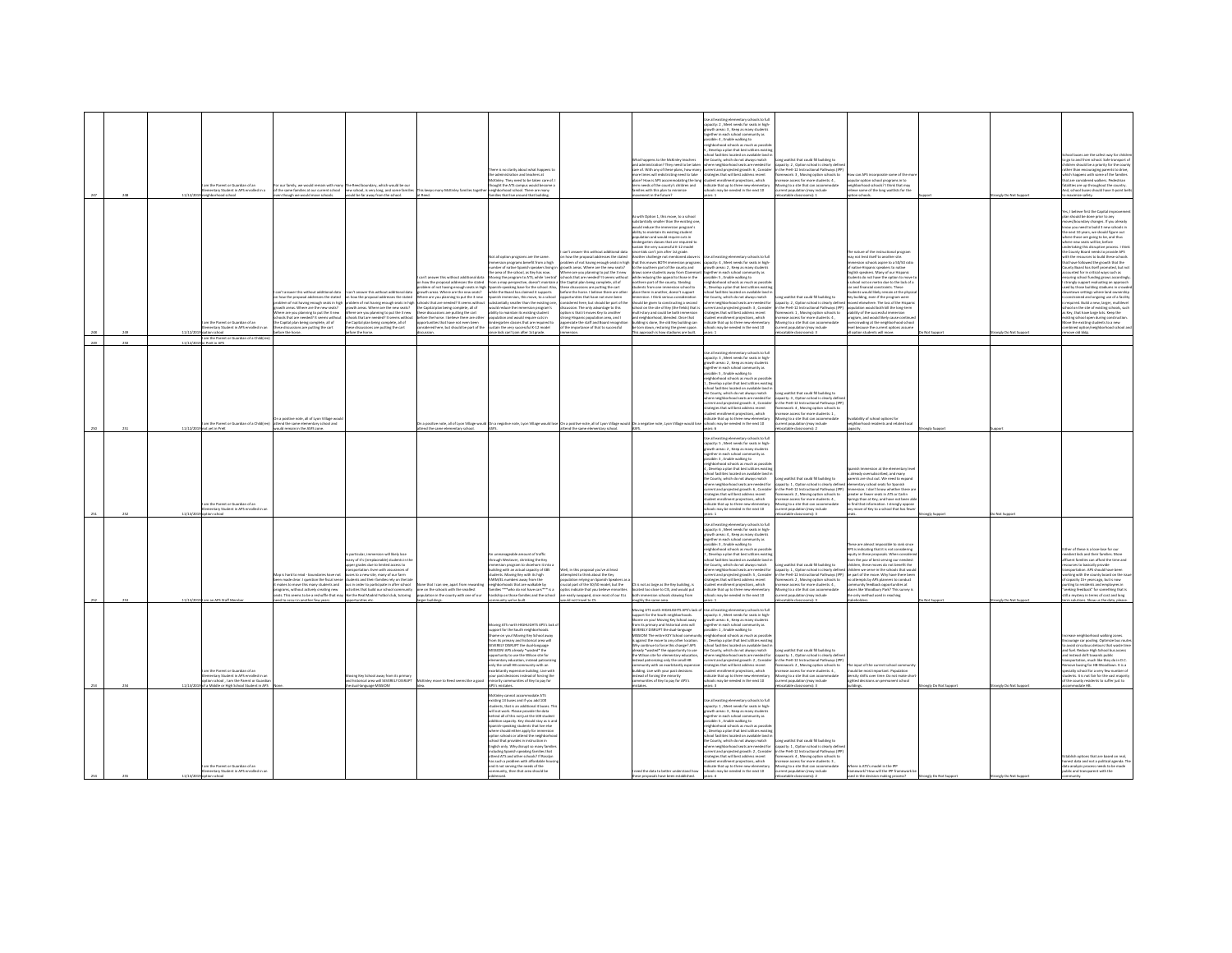|     |     |          | m the Parent or Guardian of an<br>entary Student in APS enrolled in a                                                                                    | our family, we would remain with many. The Reed boundary, which would be our<br>of the same families at our current school<br>new school, is very long, and some families<br>though we would move schools.<br>suld be far away from the school.                                                                                                                                                                                                                                                                                                                                                                                                                                                                           | ere is no clarity about what happens to<br>e administration and teachers at<br>cKinley. They need to be taken care of.<br>thought the ATS campus would become a<br>his keeps many McKinley families toeer<br>seighborhood school. There are many<br>lies that live around that build<br>at Reed.                                                                                                                                                                                                                                                                                                                                                                                                                                                                                                                                                                                                                                                                                                                                                                                                                                                     |                                                                                                                                                                                                                                                                                                                                                                                                                                                                                                                                                                                                                                                                           | What happens to the McKinley teachers<br>and administration? They need to be taker<br>are of. With any of these plans, how man<br>re times will redistricting need to take<br>ce? How is APS accommodating the long<br>rm needs of the county's children and<br>stimining of nalo aidd ddw asilin<br>nent in the future?                                                                                                                                                                                                                                                                                                                                                                                                                                                                                                                                                                                                                                                                                               | .<br>Use all existing elementary schools to full<br>capacity: 2 , Meet needs for seats in high-<br>owth areas: 3 . Keep as many students<br><b>Inches in each orborn</b><br>vitu ac<br>ible: 4, Enable walking to<br>ighborhood schools as much as post<br>Develop a plan that best utilizes existi<br>ool facilities located on available land<br>he County, which do not always match<br>where neighborhood seats are needed for<br>rategies that will best address recent<br>sudent enrollment projections, which<br>indicate that up to three new elementary<br>ools may be needed in the next 10<br>ars: 1                                            | ong waitlist that could fill building to<br>acity: 2, Option school is clearly defi<br>current and projected growth: 6, Consider in the PreK-12 Instructional Pathways (IPP<br>nework: 3 , Moving option schools to<br>ease access for more students: 4 ,<br>oving to a site that can accommodate<br>sent population (may include<br>atable class            | w can APS incorporate some of the<br>pular option school programs in to<br>neighborhood schools? I think that may<br>ive some of the long waitlists for the<br>ion schools                                                                                                                                                                                                                                                                                                                                                                                                                                                                                                                       |                 | ongly Do Not Supp    | buses are the safest way for chil-<br>to go to and from school. Safe transport of<br>fren should be a priority for the count<br>rather than encouraging parents to drive,<br>which happens with some of the families<br>hat are considered walkers. Pedestrian<br>talities are up throughout the country<br>Ind. school buses should have 3-point bel<br>dmize safety.                                                                                                                                                                                                                                                                                                                                                                                                                                                                                                                                                                                                                                                               |
|-----|-----|----------|----------------------------------------------------------------------------------------------------------------------------------------------------------|---------------------------------------------------------------------------------------------------------------------------------------------------------------------------------------------------------------------------------------------------------------------------------------------------------------------------------------------------------------------------------------------------------------------------------------------------------------------------------------------------------------------------------------------------------------------------------------------------------------------------------------------------------------------------------------------------------------------------|------------------------------------------------------------------------------------------------------------------------------------------------------------------------------------------------------------------------------------------------------------------------------------------------------------------------------------------------------------------------------------------------------------------------------------------------------------------------------------------------------------------------------------------------------------------------------------------------------------------------------------------------------------------------------------------------------------------------------------------------------------------------------------------------------------------------------------------------------------------------------------------------------------------------------------------------------------------------------------------------------------------------------------------------------------------------------------------------------------------------------------------------------|---------------------------------------------------------------------------------------------------------------------------------------------------------------------------------------------------------------------------------------------------------------------------------------------------------------------------------------------------------------------------------------------------------------------------------------------------------------------------------------------------------------------------------------------------------------------------------------------------------------------------------------------------------------------------|------------------------------------------------------------------------------------------------------------------------------------------------------------------------------------------------------------------------------------------------------------------------------------------------------------------------------------------------------------------------------------------------------------------------------------------------------------------------------------------------------------------------------------------------------------------------------------------------------------------------------------------------------------------------------------------------------------------------------------------------------------------------------------------------------------------------------------------------------------------------------------------------------------------------------------------------------------------------------------------------------------------------|------------------------------------------------------------------------------------------------------------------------------------------------------------------------------------------------------------------------------------------------------------------------------------------------------------------------------------------------------------------------------------------------------------------------------------------------------------------------------------------------------------------------------------------------------------------------------------------------------------------------------------------------------------|--------------------------------------------------------------------------------------------------------------------------------------------------------------------------------------------------------------------------------------------------------------------------------------------------------------------------------------------------------------|--------------------------------------------------------------------------------------------------------------------------------------------------------------------------------------------------------------------------------------------------------------------------------------------------------------------------------------------------------------------------------------------------------------------------------------------------------------------------------------------------------------------------------------------------------------------------------------------------------------------------------------------------------------------------------------------------|-----------------|----------------------|--------------------------------------------------------------------------------------------------------------------------------------------------------------------------------------------------------------------------------------------------------------------------------------------------------------------------------------------------------------------------------------------------------------------------------------------------------------------------------------------------------------------------------------------------------------------------------------------------------------------------------------------------------------------------------------------------------------------------------------------------------------------------------------------------------------------------------------------------------------------------------------------------------------------------------------------------------------------------------------------------------------------------------------|
|     |     |          | m the Parent or Guardian of an<br>nentary Student in APS enrolled in an<br>l am the Parent or Guardian of a Child<br>'n PreK in APS                      | in't answer this without additional data<br>n't answer this without additional data<br>how the proposal addresses the stated<br>how the proposal addresses the stated<br>blem of not having enough seats in high<br>lem of not having enough seats in high<br>rowth areas. Where are the new seats?<br>owth areas. Where are the new seats?<br>there are you planning to put the 3 new<br>fhere are you planning to put the 3 new<br>chools that are needed? It seems withou<br>ols that are needed? It seems with:<br>he Capital plan being complete, all of<br>hese discussions are putting the cart<br>e Capital plan being complete, all of<br>le discussions are putting the cart<br>fore the horse.<br>re the horse | Not all option programs are the same<br>rsion programs benefit from a high<br>mber of native Spanish speakers living i<br>he area of the school, as Key has now.<br>an't anouar this without additional dat<br>ving the program to ATS, while 'central'<br>how the proposal addresses the stated<br>m a map perspective, doesn't maintain a<br>anish-speaking base for the school. Also,<br>slem of not having enough seats in high Sp<br>wth areas. Where are the new seats?<br>while the Board has claimed it supports<br>ere are you planning to put the 3 new<br>ools that are needed? It seems without<br>anich immersion this move to a school<br>intially smaller than the existing one,<br>the Capital plan being complete, all of<br>would reduce the immersion program's<br>these discussions are outtine the cart<br>lity to maintain its existing student<br>ore the horse. I believe there are ot<br>ulation and would require cuts in<br>tunities that have not even been<br>ergarten classes that are required to<br>ered here, but should be part of the<br>in the very successful K-12 model<br>ce kids can't join after 1st grade. | an't answer this without additional data<br>how the proposal addresses the stated<br>lem of not having enough seats in high<br>owth areas. Where are the new seats?<br>there are you planning to put the 3 new<br>hools that are needed? It seems without<br>e Capital plan being complete, all of<br>se discussions are putting the cart<br>fore the horse. I believe there are other<br>when has that have not even her<br>idered here, but should be part of the<br>cussion. The only advantage to this<br>tion is that it moves Key to another<br>ng Hispanic population area, and I<br>eciate the staff and Board recognitis<br>the importance of that to successful | with Option 1, this move, to a school<br>stantially smaller than the existing on<br>would reduce the immersion program's<br>Ibility to maintain its existing student<br>.<br>pulation and would require cuts in<br>dergarten classes that are required<br>tain the very successful K-12 model<br>nce kids can't join after 1st erade.<br>ther challenge not mer<br>oned above it<br>t this moves BOTH immersion programs<br>o the southern part of the county and<br>raws some students away from Claremor<br>hile reducing the appeal to those in the<br>orthern part of the county. Stealing<br>lents from one immersion school to<br>ace them in another, doesn't support<br>rsion. I think serious consideratio<br>uld be given to constructing a second<br>hool on the site of Key (the fields) that is<br>Iti-story and could be both immersion<br>d neighborhood, blended. Once that<br>Iding is done, the old Key building can<br>torn down, restoring the green space.<br>approach is how stadiums are built. | se all existing elementary schools to full<br>capacity: 4, Meet needs for seats in high-<br>growth areas: 2, Keep as many students<br>together in each school con<br><b>LINEY AS</b><br>sible: S , Enable walking to<br>ghborhood schools as much as possibli<br>Develop a plan that best utilizes existir<br>pol facilities located on available land<br>se County, which do not always match<br>vere neighborhood seats are needed for<br>rategies that will best address recent<br>dent enrollment projections, which<br>dicate that up to three new elementar<br>cols may be needed in the next 10<br>we 1                                             | a waitint that could fill huilding to<br>apacity: 2, Option school is clearly def<br>surrent and projected erowth: 3 . Consider in the PreK-12 Instructional Pathways (IPP)<br>framework: 1 . Moving option schools to<br>ase access for more students: 4,<br>oving to a site that can accommodate<br>rent population (may include<br>catable classrooms): 3 | e nature of the instructional program<br>w not lend itself to another site<br>esion schools aspire to a 50/50 rat<br>of native Hispanic speakers to native<br>Inglish speakers. Many of our Hispanic<br>dents do not have the option to move t<br>chool not on metro due to the lack of a<br>car and financial constraints. These<br>lents would likely remain at the ohys<br>iy building, even if the program were<br>oved elsewhere. The loss of the Hispan<br>population would both kill the lone-term<br>iability of the successful imm<br>ogram, and would likely cause contin<br>trowding at the neighborhood schoc<br>el because the current options assume<br>option students will move. |                 | ongly Do Not Support | les. I believe first the Capital improve<br>plan should be done prior to any<br>s/boundary changes. If you already<br>ow you need to build 3 new schools in<br>the next 10 years, we should figure out<br>here those are going to be, and thus<br>here new seats will be, before<br>fertaking this disruptive process. I thin<br>the County Board needs to provide APS<br>th the resources to build these schools<br>at have followed the growth that the<br>County Board has itself promoted, but not<br>counted for in critical ways such as<br>uring school funding grows according<br>rongly support evaluating an approach<br>ed by those building stadiums in crow<br>town settings where land ownership<br>constrained and ongoing use of a facility<br>required. Build a new, larger, multilevel<br>chool on the site of existing schools, suc-<br>is Key, that have large lots. Keep the<br>ting school open during constructio<br>we the existing students to a new<br>bined option/neighborhood school a<br>shid blo svon |
| 249 | 250 | 11/12/20 |                                                                                                                                                          |                                                                                                                                                                                                                                                                                                                                                                                                                                                                                                                                                                                                                                                                                                                           |                                                                                                                                                                                                                                                                                                                                                                                                                                                                                                                                                                                                                                                                                                                                                                                                                                                                                                                                                                                                                                                                                                                                                      |                                                                                                                                                                                                                                                                                                                                                                                                                                                                                                                                                                                                                                                                           |                                                                                                                                                                                                                                                                                                                                                                                                                                                                                                                                                                                                                                                                                                                                                                                                                                                                                                                                                                                                                        |                                                                                                                                                                                                                                                                                                                                                                                                                                                                                                                                                                                                                                                            |                                                                                                                                                                                                                                                                                                                                                              |                                                                                                                                                                                                                                                                                                                                                                                                                                                                                                                                                                                                                                                                                                  |                 |                      |                                                                                                                                                                                                                                                                                                                                                                                                                                                                                                                                                                                                                                                                                                                                                                                                                                                                                                                                                                                                                                      |
|     |     | 11/12/2  | m the Parent or Guardian of a Child(ren)<br>st vet in PreK                                                                                               | n a positive note, all of Lyon Village wou<br>attend the same elementary school and<br>uld remain in the ASFS zone                                                                                                                                                                                                                                                                                                                                                                                                                                                                                                                                                                                                        | .<br>On a positive note, all of Lyon Village would On a negative note, Lyon Village would lose On a positive note, all of Lyon Village would On a negative note, Lyon Village would los<br>tend the same elementary school.<br>aces.                                                                                                                                                                                                                                                                                                                                                                                                                                                                                                                                                                                                                                                                                                                                                                                                                                                                                                                 | ttend the same elementary school.                                                                                                                                                                                                                                                                                                                                                                                                                                                                                                                                                                                                                                         | asse                                                                                                                                                                                                                                                                                                                                                                                                                                                                                                                                                                                                                                                                                                                                                                                                                                                                                                                                                                                                                   | .<br>Jse all existing elementary schools to full<br>spacity: 3 , Meet needs for seats in high-<br>owth areas: 2, Keep as many students<br>ogether in each school community as<br>sible: 5, Enable walking to<br>eighborhood schools as much as possib<br>., Develop a plan that best utilizes existi<br>hool facilities located on available land<br>arrent and projected growth: 4, Consider<br>testes that will best address recent<br>t projections, which<br>dicate that up to three new elementary<br>chools may be needed in the next 10<br>mars: 6                                                                                                  | Long waitlist that could fill building to<br>capacity: 3 , Option school is clearly del<br>in the PreK-12 Instructional Pathways (IPI<br>newrole: 4 Mening ordina schools to<br>ease access for mo<br>Aoving to a site that can accommodate<br>urrent population (may include<br>catable classrooms): 2                                                      | ability of school options for<br>neighborhood residents and related local                                                                                                                                                                                                                                                                                                                                                                                                                                                                                                                                                                                                                        | rely Suppor     |                      |                                                                                                                                                                                                                                                                                                                                                                                                                                                                                                                                                                                                                                                                                                                                                                                                                                                                                                                                                                                                                                      |
|     |     |          | m the Parent or Guardian of an<br>ntary Student in APS enrolled in a<br>n school                                                                         |                                                                                                                                                                                                                                                                                                                                                                                                                                                                                                                                                                                                                                                                                                                           |                                                                                                                                                                                                                                                                                                                                                                                                                                                                                                                                                                                                                                                                                                                                                                                                                                                                                                                                                                                                                                                                                                                                                      |                                                                                                                                                                                                                                                                                                                                                                                                                                                                                                                                                                                                                                                                           |                                                                                                                                                                                                                                                                                                                                                                                                                                                                                                                                                                                                                                                                                                                                                                                                                                                                                                                                                                                                                        | se all existing elementary schools to full<br>capacity: S. Meet needs for seats in high<br>owth areas: 2 , Keep as many student<br>ether in each school commu<br>sible: 3 , Enable walking to<br>eighborhood schools as much as possil<br>Develop a plan that best utilizes exist<br>ichool facilities located on available land<br>the County, which do not always match<br>tere neighborhood seats are needed for<br>rrent and projected growth: 6, Consider<br>ategies that will best address recent<br>lent enrollment projections, which<br>dicate that up to three new elementary<br>Of two selection in balance art u                               | ong waitlist that could fill building to<br>capacity: 1 . Option school is clearly define<br>in the PreK-12 Instructional Pathways (IPP)<br>framework: 2 , Moving option schools to<br>rease access for more students: 4,<br>foving to a site that can accome<br>mau include<br>atable classrooms):                                                          | nish termension at the elementary<br>iready oversubscribed, and many<br>rents are shut out. We need to expans<br>entary school seats for Spanish<br>mersion. I don't know whether there<br>hater or fewer seats in ATS or Carlin<br>ings than at Key, and have not been a<br>o find that information. I strongly oppos<br>ove of Key to a school that has fer                                                                                                                                                                                                                                                                                                                                    | angly Suppr     | Not Suppe            |                                                                                                                                                                                                                                                                                                                                                                                                                                                                                                                                                                                                                                                                                                                                                                                                                                                                                                                                                                                                                                      |
|     |     |          | in APS Staff Mer                                                                                                                                         | rticular, immersion will likely lose<br>any of it's (irreplaceable) students in the<br>er grades due to limited access to<br>.<br>ortation. Even with assu<br>Map is hard to read - boundaries have not<br>ses to a new site, many of our farm<br>seen made clear. I question the fiscal sem<br>ents and their families rely on the lat<br>had photography under old summ of asken<br>usemes and until announce rely on the later<br>chivities that build our school community<br>be the Real Madrid Futbol club, tutoring<br>ograms, without actively creating new<br>rats. This seems to be a reshuffle that may<br>d to occur in another few ve-                                                                       | unmanageable amount of traffi<br>hrough Westover, shrinking the Key<br>ersion program to shoehorn it into<br>ding with an actual capacity of 485<br>lents. Moving Key with its high<br>RM/EL numbers away from the<br>ne that I can see anast from rewar<br>thborhoods that are walkable by<br>miles ***who do not have cars*** is a<br>miles ***who do not have cars*** is a<br>rdship on those families and the school<br>one on the schools with the smallest<br>ation in the county with one of ou<br>ity we've built.<br>buildings.                                                                                                                                                                                                                                                                                                                                                                                                                                                                                                                                                                                                             | II, in this proposal you've at least<br>impted to think about the Key<br>sulation relying on Spanish Speakers at<br>cial part of the SO/50 model, but the<br>dics indicate that you believe minorities<br>e easily swapped, since most of our Ets<br>not travel to CS.                                                                                                                                                                                                                                                                                                                                                                                                    | S is not as large as the Key building, is<br>cated too close to CIS, and would put<br>oth immersion schools drawing from<br>ably the same area.                                                                                                                                                                                                                                                                                                                                                                                                                                                                                                                                                                                                                                                                                                                                                                                                                                                                        | se all existing elementary schools to full<br>acity: 6, Meet needs for seats in high<br>rowth areas: 4, Keep as many students<br>together in each school con<br>unity as<br>sible: 3 , Enable walking to<br>ishherbood schools as much as nossil<br>Develop a plan that best utilizes existi<br>hool facilities located on available land i<br>he County, which do not always match<br>re neighborhood seats are needed for<br>rrent and projected growth: S, Conside<br>ategies that will best address recent<br>nt projections, which<br>dent encourant projection, which<br>ficate that up to three new elementar<br>hools may be needed in the next 10 | ng waitlist that could fill building to<br>acity: 1, Option school is clearly defi<br>in the PreK-12 Instructional Pathways (IPP)<br>framework: 2 . Moving option schools to<br>hase access for more students: 4.<br>oving to a site that can accommodate<br>ent population (may include<br>F-Commensativ ablast                                             | se are almost impossible to rank since<br>PS is indicating that it is not consid<br>uity in these proposals. When consid<br>m the poy of best serving our needlest<br>dren, these moves do not benefit the<br>Idren we serve in the schools that wou<br>be part of the move. Why have there been<br>to attempts by APS planners to conduct<br>with fourthank concerturation of<br>ces like Woodbury Park? This survey is<br>only method used in reaching                                                                                                                                                                                                                                         |                 | ely Do Nrd Sun       | ter of these is a localize for our<br>diest kids and their families. More<br>fluent families can afford the time and<br>arces to basically provide<br>sportation. APS should have been<br>vorking with the county board on the iss<br>of capacity 15+ years are, but is now<br>ting to residents and employees in<br><b>Seeking feedback" for something that is</b><br>till a mystery in terms of cost and long<br>solutions. Show us the data, plea-                                                                                                                                                                                                                                                                                                                                                                                                                                                                                                                                                                                |
|     |     |          | m the Parent or Guardian of an<br>mentary Student in APS enrolled in a<br>on orbord. I am the Parent or Guardi<br>a Middle or High School Student in APS | oving Key School away from its primary<br><b>Notice in a real will SEVERELY DISRUPT</b><br>e dual-language MISSIONI                                                                                                                                                                                                                                                                                                                                                                                                                                                                                                                                                                                                       | ving ATS north HIGHLIGHTS APS's lack o<br>iupport for the South neighborhoods.<br>Shame on you! Moving Key School away<br>m its orimary and historical area will<br>VERELY DISRUPT the dual-language<br>ISSION! APS already "wasted" the<br>pportunity to use the Wilson site for<br>lementary education, instead patror<br>ely the small HB community with an<br>exorbitantly expensive building. Live with<br>your past decisions instead of forcing the<br>Kinley move to Reed seems like a nor<br>ity communities of Key to pay for                                                                                                                                                                                                                                                                                                                                                                                                                                                                                                                                                                                                              |                                                                                                                                                                                                                                                                                                                                                                                                                                                                                                                                                                                                                                                                           | ing ATS north HIGHLIGHTS APS's lack<br>upport for the South neighborhoods.<br>hame on you! Moving Key School away<br>om its primary and historical area will<br>VERELY DISRUPT the dual-language<br>SSION! The entire KEY School cor<br>against the move to any other location<br>y continue to force this change? APS<br>eady "wasted" the opportunity to use<br>he Wilson site for elementary education<br>tead patronizing only the small HB<br>mmunity with an exorbitantly expen<br>Iding. Live with your past decisions<br>tead of forcing the minority<br>unities of Key to pay for APS's                                                                                                                                                                                                                                                                                                                                                                                                                       | se all existing elementary schools to full<br>spacity: 4, Meet needs for seats in high<br>owth areas: 6 . Keep as many students<br>ther in each school<br>sible: 1, Enable walking to<br>ighborhood schools as much as post<br>Develop a plan that best utilizes existi<br>ichool facilities located on available land<br>he County, which do not always match<br>here neighborhood seats are needed for<br>Frent and projected growth: 2, Consider<br>ategies that will best address recent<br>dent enrollment projections, which<br>Scate that up to three new elementary<br>Is may be needed in the next 10                                             | ong waitlist that could fill building to<br>capacity: 1 . Option school is clearly defin<br>in the PreK-12 Instructional Pathways (IPP)<br>work: 2, Moving option schools to<br>ease access for more students: 4,<br>oving to a site that can accommodate<br>ent population (may include<br>ocatable classrooms):                                            | input of the current school of<br>suld be most important. Population<br>nsity shifts over time. Do not make shor<br>led decisions on permanent school                                                                                                                                                                                                                                                                                                                                                                                                                                                                                                                                            | ongly Do Not S  | rongly Do Not Supp   | se neighborhood walking zones.<br>surage car pooling. Optimize bus rou<br>avoid circuitous detours that waste timed fuel. Reduce High School bus access<br>and instead shift towards public<br>sportation, much like they do in D.C.<br>now busing for HB-Woodlawn. It is a<br>ecialty school for a very few number of<br>dents. It is not fair for the vast majorit<br>the county residents to suffer just to<br>mmodate HB.                                                                                                                                                                                                                                                                                                                                                                                                                                                                                                                                                                                                        |
|     |     |          | m the Parent or Guardian of an<br>mentary Student in APS enrolled in an                                                                                  |                                                                                                                                                                                                                                                                                                                                                                                                                                                                                                                                                                                                                                                                                                                           | Griley cannot accommodate ATS<br>isting 13 buses and if you add 100<br>udents, that is an additional 4 buse<br>will not work. Please provide the data<br>hind all of this not just the 100 student<br>nino air or tris not just the 200 student<br>dition capacity. Key should stay as is an<br>anish-speaking students that live else<br>where should either apply for immersion<br>tion schools or attend the neighbor<br>.<br>Ichool that provides in instruction in<br>English only. Why disrupt so many fam<br>Juding Spanish speaking families that<br>and ATS and other schools? If Bossley<br>as such a problem with afford<br>and it not serving the needs of the<br>munity, then that area should be                                                                                                                                                                                                                                                                                                                                                                                                                                       |                                                                                                                                                                                                                                                                                                                                                                                                                                                                                                                                                                                                                                                                           | wed the data to better understand how<br>als have been established.                                                                                                                                                                                                                                                                                                                                                                                                                                                                                                                                                                                                                                                                                                                                                                                                                                                                                                                                                    | .<br>Jse all existing elementary schools to full<br>tapacity: 1 , Meet needs for seats in high-<br>owth areas: 3, Keep as many students<br>seather in each school community as<br>sible: S , Enable walking to<br>eighborhood schools as much as po<br>. Develop a plan that best utilizes existi<br>ool facilities located on available land<br>e County, which do not always match<br>here neighborhood seats are needed for<br>begies that will best address recent<br>t projections, which<br>ndicate that up to three new elementary<br>schools may be needed in the next 10<br>years: 4                                                              | ng waitlist that could fill building to<br>acity: 1, Option school is clearly def<br>urrent and projected growth: 2, Consider in the PreK-12 Instructional Pathways (IPP<br>newrole: 4 Monday ordina schools to<br>Moving to a site that can accommodate<br>sturrent population (may include                                                                 | Where is ATS's model in the IPP<br>mework? How will the IPP framework be<br>sed in the decision making                                                                                                                                                                                                                                                                                                                                                                                                                                                                                                                                                                                           | enaly Do Not Su |                      | ish netines that are hased on rea<br>est data and not a political agenda. Ti<br>data analysis process needs to be made<br>public and transparent with the                                                                                                                                                                                                                                                                                                                                                                                                                                                                                                                                                                                                                                                                                                                                                                                                                                                                            |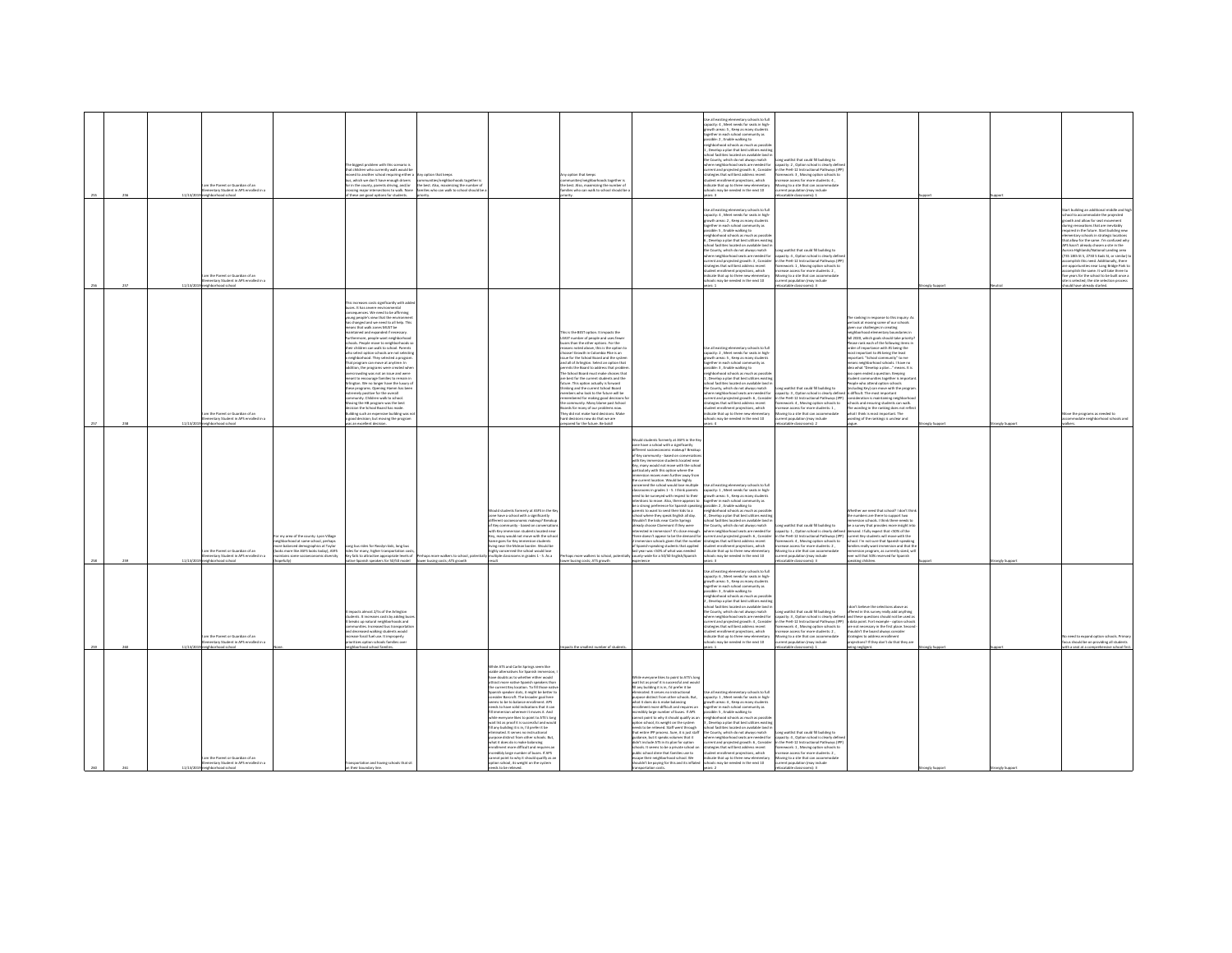|                                                                                                                                                                                                                                                                                                                                                                                                                                                                                                                                                                                                                                                                                                                                                                                                                                                                                                 | $260 -$                                                                                                                                                                                                                                                                                                                                                                                                                                                                                                                                                                                                                  | 250                                                                                                                                                                                                                                                                                                                                                                                                                                                                                                                                                                                                                                                                                                                                                                                                                                                                                                                                                                                                                                             | new                                                                                                                                                                                                                                                                                                                                                                                                                                                                                                                                                                                                                                                                                                                                                                                                                                                                                                           |                                                                                                                                                                                                                                                                                                                                                                                                                                                                                                                                                                                                                                                          | 166                                                                                                                                                                                                                                                                                                                                                                                                                                                                                                                                                                                                                                |
|-------------------------------------------------------------------------------------------------------------------------------------------------------------------------------------------------------------------------------------------------------------------------------------------------------------------------------------------------------------------------------------------------------------------------------------------------------------------------------------------------------------------------------------------------------------------------------------------------------------------------------------------------------------------------------------------------------------------------------------------------------------------------------------------------------------------------------------------------------------------------------------------------|--------------------------------------------------------------------------------------------------------------------------------------------------------------------------------------------------------------------------------------------------------------------------------------------------------------------------------------------------------------------------------------------------------------------------------------------------------------------------------------------------------------------------------------------------------------------------------------------------------------------------|-------------------------------------------------------------------------------------------------------------------------------------------------------------------------------------------------------------------------------------------------------------------------------------------------------------------------------------------------------------------------------------------------------------------------------------------------------------------------------------------------------------------------------------------------------------------------------------------------------------------------------------------------------------------------------------------------------------------------------------------------------------------------------------------------------------------------------------------------------------------------------------------------------------------------------------------------------------------------------------------------------------------------------------------------|---------------------------------------------------------------------------------------------------------------------------------------------------------------------------------------------------------------------------------------------------------------------------------------------------------------------------------------------------------------------------------------------------------------------------------------------------------------------------------------------------------------------------------------------------------------------------------------------------------------------------------------------------------------------------------------------------------------------------------------------------------------------------------------------------------------------------------------------------------------------------------------------------------------|----------------------------------------------------------------------------------------------------------------------------------------------------------------------------------------------------------------------------------------------------------------------------------------------------------------------------------------------------------------------------------------------------------------------------------------------------------------------------------------------------------------------------------------------------------------------------------------------------------------------------------------------------------|------------------------------------------------------------------------------------------------------------------------------------------------------------------------------------------------------------------------------------------------------------------------------------------------------------------------------------------------------------------------------------------------------------------------------------------------------------------------------------------------------------------------------------------------------------------------------------------------------------------------------------|
|                                                                                                                                                                                                                                                                                                                                                                                                                                                                                                                                                                                                                                                                                                                                                                                                                                                                                                 | 11/13/2                                                                                                                                                                                                                                                                                                                                                                                                                                                                                                                                                                                                                  | 11/13/2                                                                                                                                                                                                                                                                                                                                                                                                                                                                                                                                                                                                                                                                                                                                                                                                                                                                                                                                                                                                                                         | 11/1979                                                                                                                                                                                                                                                                                                                                                                                                                                                                                                                                                                                                                                                                                                                                                                                                                                                                                                       |                                                                                                                                                                                                                                                                                                                                                                                                                                                                                                                                                                                                                                                          |                                                                                                                                                                                                                                                                                                                                                                                                                                                                                                                                                                                                                                    |
| n the Parent or Guardian of an<br>mentary Student in APS enrolled in a                                                                                                                                                                                                                                                                                                                                                                                                                                                                                                                                                                                                                                                                                                                                                                                                                          | n the Parent or Guardian of an<br>nentary Student in APS enrolled in a<br>lood school                                                                                                                                                                                                                                                                                                                                                                                                                                                                                                                                    | the Parent or Guardian of an<br>mentary Student in APS enrolled in a<br>hood school                                                                                                                                                                                                                                                                                                                                                                                                                                                                                                                                                                                                                                                                                                                                                                                                                                                                                                                                                             | m the Parent or Guardian of an<br>entary Student in APS enrolled in a                                                                                                                                                                                                                                                                                                                                                                                                                                                                                                                                                                                                                                                                                                                                                                                                                                         | m the Parent or Guardian of an<br>entary Student in APS enrolled in<br>started school                                                                                                                                                                                                                                                                                                                                                                                                                                                                                                                                                                    | m the Parent or Guardian of an<br>entary Student in APS enrolled in<br>and school                                                                                                                                                                                                                                                                                                                                                                                                                                                                                                                                                  |
|                                                                                                                                                                                                                                                                                                                                                                                                                                                                                                                                                                                                                                                                                                                                                                                                                                                                                                 |                                                                                                                                                                                                                                                                                                                                                                                                                                                                                                                                                                                                                          | or my area of the county: Lyon Village<br>ishborhood at same school, perhap<br>re balanced demographics at Taylor<br>oks more like ASFS looks today), ASFS<br>intains some socioeconomic diversity<br>(vilutes                                                                                                                                                                                                                                                                                                                                                                                                                                                                                                                                                                                                                                                                                                                                                                                                                                  |                                                                                                                                                                                                                                                                                                                                                                                                                                                                                                                                                                                                                                                                                                                                                                                                                                                                                                               |                                                                                                                                                                                                                                                                                                                                                                                                                                                                                                                                                                                                                                                          |                                                                                                                                                                                                                                                                                                                                                                                                                                                                                                                                                                                                                                    |
| sportation and having schools that sit                                                                                                                                                                                                                                                                                                                                                                                                                                                                                                                                                                                                                                                                                                                                                                                                                                                          | triants almost 27% of the Arlington<br>students. It increases costs by adding but<br>It breaks up natural neighborhoods and<br>mmunities, Increased bus transportati<br>Name atestuate seldow hazaronah he<br>ease fossil fuel use. It improperly<br>ritizes option schools families over<br>hborhood school families.                                                                                                                                                                                                                                                                                                   | ne bus rides for Rosslyn kids, lone bus<br>s for many, higher transportation cos<br>(ey fails to attractive appropriate levels of<br>ve Spanish speakers for 50/50 model                                                                                                                                                                                                                                                                                                                                                                                                                                                                                                                                                                                                                                                                                                                                                                                                                                                                        | ncreases costs sienificantly with adde<br>uses. It has severe environmental<br>quences. We need to be affirming<br>ing people's view that the envi<br>changed and we need to all help. This<br>eans that walk zones MUST be<br>intained and expanded if necessary.<br>heir children can walk to school. Parents<br>ho select option schools are not selectin<br>neighborhood. They selected a program<br>hat program can move at anytime, in<br>tion, the programs were created whe<br>wding was not an issue and were<br>eant to encourage families to remain in<br>ington. We no longer have the luxury of<br>ese programs. Opening Hamm has been<br>tremely positive for the overall<br>remmunity. Children walk to school.<br>wing the HB program was the best<br>ion the School Board has made.<br>iding such an expensive building was n<br>good decision; but moving the program<br>n excellent decisi |                                                                                                                                                                                                                                                                                                                                                                                                                                                                                                                                                                                                                                                          | te biggest problem with this scenario<br>that children who currently walk would be<br>wed to another school requiring either<br>i, which we don't have enough drivers<br>or in the county, parents driving, and/or<br>sing major intersections to walk. None<br>vese are good options for students.                                                                                                                                                                                                                                                                                                                                |
|                                                                                                                                                                                                                                                                                                                                                                                                                                                                                                                                                                                                                                                                                                                                                                                                                                                                                                 |                                                                                                                                                                                                                                                                                                                                                                                                                                                                                                                                                                                                                          | haps more walkers to school, poten<br>ower busing costs; ATS growth<br>diam'r.                                                                                                                                                                                                                                                                                                                                                                                                                                                                                                                                                                                                                                                                                                                                                                                                                                                                                                                                                                  |                                                                                                                                                                                                                                                                                                                                                                                                                                                                                                                                                                                                                                                                                                                                                                                                                                                                                                               |                                                                                                                                                                                                                                                                                                                                                                                                                                                                                                                                                                                                                                                          | y option that keeps<br>mmunities/neighborhoods together is<br>the best. Also, maximizing the number of<br>lamilies who can walk to school should be                                                                                                                                                                                                                                                                                                                                                                                                                                                                                |
| While ATS and Carlin Springs seem like<br>viable alternatives for Spanish immersio<br>have doubts as to whether either would<br>art more native Snanish creakers that<br>e current Key location. To fill those nativ<br>Spanish speaker slots, it might be better to<br>consider Barcroft. The broader goal here<br>seems to be to balance enrollment. APS<br>eeds to have solid indications that it can<br>immersion wherever it moves it. And<br>tile everyone likes to point to ATS's long<br>.<br>wait list as proof it is successful and would<br>fill any building it is in, I'd prefer it be<br>sinated it serves no instructional<br>ose distinct from other schools. But<br>what it does do is make balancing<br>ollment more difficult and requires a<br>credibly large number of buses. If APS<br>nnot point to why it should qualify as an<br>tion school, its weight on the system |                                                                                                                                                                                                                                                                                                                                                                                                                                                                                                                                                                                                                          | void students formarly at ASFS in the Ke<br>zone have a school with a significantly<br>ferent socioeconomic makeup? Break<br>of Key community - based on conversat<br>th Key immersion students located near<br>ley, many would not move with the school<br>Same goes for Key immersion students<br>ing near the Mclean border. Would be<br>highly concerned the school would lose<br>sultiple classrooms in grades 1 - 5. As a                                                                                                                                                                                                                                                                                                                                                                                                                                                                                                                                                                                                                 |                                                                                                                                                                                                                                                                                                                                                                                                                                                                                                                                                                                                                                                                                                                                                                                                                                                                                                               |                                                                                                                                                                                                                                                                                                                                                                                                                                                                                                                                                                                                                                                          |                                                                                                                                                                                                                                                                                                                                                                                                                                                                                                                                                                                                                                    |
|                                                                                                                                                                                                                                                                                                                                                                                                                                                                                                                                                                                                                                                                                                                                                                                                                                                                                                 | acts the smallest number of students                                                                                                                                                                                                                                                                                                                                                                                                                                                                                                                                                                                     | as more walkers to school, oote<br>ver busing costs; ATS growth                                                                                                                                                                                                                                                                                                                                                                                                                                                                                                                                                                                                                                                                                                                                                                                                                                                                                                                                                                                 | his is the BEST option. It impacts the<br>EAST number of people and uses fewer<br>uses than the other options. For the<br>sons noted above, this is the option to<br>sosel Growth in Colombia Pike is an<br>ue for the School Board and the syster<br>and all of Arlinaton. Select an option that<br>nits the Board to address that proble<br>he School Board must make choices that<br>ire best for the current students and the<br>ture. This option actually is forward<br>sking and the current School Board<br>mbers who look to the future will be<br>nembered for making epod decisions f<br>community. Many blame past School<br>sards for many of our problems now.<br>hey did not make hard decisions. Make<br>and derivings now do that we are<br>red for the future. Be b                                                                                                                         |                                                                                                                                                                                                                                                                                                                                                                                                                                                                                                                                                                                                                                                          | y option that keeps<br>mmunities/neighborhoods together i<br>the best. Also, maximizing the number of<br>ies who can walk to school should by                                                                                                                                                                                                                                                                                                                                                                                                                                                                                      |
| hile everyone likes to point to ATS's long<br>wait list as proof it is successful and woul<br>fill any building it is in, I'd prefer it be<br>minated. It serves no instructional<br>purpose distinct from other schools. But,<br>what it does do is make balancing<br>liment more difficult and requires an<br>ncredibly large number of buses. If APS<br>not point to why it should qualify as an<br>ption school, its weight on the system<br>reeds to be relieved. Staff went through<br>that entire IPD noncess. Sine it is just staff<br>puldance, but it speaks volumes that it<br>didn't include ATS in its plan for option<br>hools. It seems to be a private school on<br>ublic school dime that families use to<br>scape their neighborhood school. We<br>houldn't be paying for this and its inflated                                                                               |                                                                                                                                                                                                                                                                                                                                                                                                                                                                                                                                                                                                                          | ould students formerly at ASFS in the Ke<br>cone have a school with a significantly<br>different socioeconomic makeup? Breaku<br>of Key community - based on conversatio<br>with Key immersion students located nea<br>Gry, many would not move with the scho<br>icularly with this option where the<br>tersion moves even further away from<br>current location. Would be highly<br>cerned the school would lose multiple<br>assrooms in erades 1 - 5. I think parents<br>eed to be surveyed with respect to their<br>tentions to move. Also, there appears to<br>be a strong preference for Spanish speakin<br>ants to want to send their kirk to a<br>chool where they speak English all day.<br><b>Nouldn't the kids near Carlin Springs</b><br>Iready choose Claremont if they were<br>unes sants a't! Conjansami ni hatasara<br>ere doesn't appear to be the demand fo<br>mersion schools eiven that the numbe<br>Spanish-speaking students that applied<br>st year was <50% of what was needed<br>ounty-wide for a 50/50 English/Spanish |                                                                                                                                                                                                                                                                                                                                                                                                                                                                                                                                                                                                                                                                                                                                                                                                                                                                                                               |                                                                                                                                                                                                                                                                                                                                                                                                                                                                                                                                                                                                                                                          |                                                                                                                                                                                                                                                                                                                                                                                                                                                                                                                                                                                                                                    |
| e all existing elementary schools to full<br>sacity: 1, Meet needs for seats in high<br>th areas: 4, Keep as many stude<br>ether in each school community as<br>sible: 5, Enable walking to<br>shheeheed schools as much as new<br>evelop a plan that best utilizes exis<br>pol facilities located on available land<br>County, which do not always match<br>ere neighborhood seats are needed for<br>rent and projected growth: 6, Consider<br>degies that will best address recent<br>itudent enrollment projections, which<br>solicate that up to three new elementary<br>schools may be needed in the next 10                                                                                                                                                                                                                                                                               | .<br>Ise all existing elementary schools to full<br>apacity: 6 , Meet needs for seats in high-<br>wth areas: S , Keep as many student<br>sther in each school community as<br>ssible: 3, Enable walking to<br>ighborhood schools as much as possit<br>Develop a plan that best utilizes exist<br>ool facilities located on available land i<br>he County, which do not always match<br>here neighborhood seats are needed for<br>trent and projected growth: 4 , Consider<br>atesies that will best address recent<br>d'aidar annibraican tos<br>cate that up to three new elementar<br>ols may be needed in the next 10 | ie all existing elementary schools to full<br>apacity: 1 . Meet needs for seats in high<br>wth areas: S , Keep as many student<br>ether in each school community as<br>sible: 2, Enable walking to<br>abborbood schools as much as nossi<br>evelop a plan that best utilizes exist<br>ol facilities located on available land<br>e County, which do not always match<br>re neighborhood seats are needed for<br>rent and projected growth: 6, Consider<br>degies that will best address recent<br>dent enrollment projections, which<br>icate that up to three new elementary<br>ools may be needed in the next 10                                                                                                                                                                                                                                                                                                                                                                                                                              | se all existing elementary schools to full<br>pacity: 2 , Meet needs for seats in high-<br>pacity: 2 , Meet needs for seats in high-<br>path areas: 5 , Keep as many students<br>sether in each school community as<br>sible: 3 . Enable walking to<br>borhood schools as much as possi<br>Develop a plan that best utilizes existin<br>ol facilities located on available land i<br>County, which do not always match<br>here neighborhood seats are needed for<br>rrent and projected erowth: 6. Conside<br>egies that will best address recent<br>dent enrollment projections, which<br>icate that up to three new elementary<br>ols may be needed in the next 10                                                                                                                                                                                                                                          | .<br>Japacity: 4 , Meet needs for seats in high-<br>spacity: 4 , Meet needs for seats in high-<br>rowth areas: 2 , Keep as many students<br>ether in each school community as<br>sible: 5, Enable walking to<br>eighborhood schools as much as possi<br>Develop a plan that best utilizes exist<br>school facilities located on available land<br>the County, which do not always match<br>ere neighborhood seats are needed for<br>rent and projected growth: 3, Consider<br>tegies that will best address recent<br>tudent enrollment projections, which<br>dicate that up to three new elementary<br>Is may be needed in the next 10<br>rs:1          | to all existing elementary schools to full<br>city: 4, Meet needs for seats in high<br>rowth areas: S , Keep as many students<br>gether in each school community as<br>sible: 2 . Enable walking to<br>hborhood schools as much as p<br>Develop a plan that best utilizes exist<br>ool facilities located on available land i<br>County, which do not always match<br>ere neighborhood seats are needed for<br>urrent and projected erowth: 6. Consider<br>legies that will best address recent<br>ent enrollment projections, which<br>ficate that up to three new elementary<br>ols may be needed in the next 10<br>$\mathbf{r}$ |
| a waitint that could fill huilding to<br>apacity: 4, Option school is clearly definition the PreK-12 Instructional Pathways (IP)<br>mework: 1. Moving option schools to<br>ase access for more students: 2,<br>oving to a site that can accom<br>sent population (may include                                                                                                                                                                                                                                                                                                                                                                                                                                                                                                                                                                                                                   | or waiting that could fill holding to<br>ung wenture, to contrast the matter of the second state of the second state of the second state of the state of<br>apacity: 3 , Option school is clearly defined and these questions should not be used a<br>the PreK-12 Instruction<br>mework: 4 . Moving option schools to<br>ase arress for more students-2<br>ving to a site that can accor<br>ent population (may include<br>atable classrooms): 1                                                                                                                                                                         | na waitlist that could fill building to<br>pacity: 1 , Option school is clearly defined<br>the PreK-12 Instructional Pathways (IPP)<br>nework: 4 . Moving option schools to<br>hase access for more students: 2.<br>ing to a site that can accommodate<br>ent oopulation (may include<br>atable classrooms): 3                                                                                                                                                                                                                                                                                                                                                                                                                                                                                                                                                                                                                                                                                                                                  | g waitlist that could fill building to<br>sacity: 3, Option school is clearly define<br>the PreK-12 Instructional Pathways (IPP)<br>Nework: 4, Moving option schools to<br>ease access for more students: 1,<br>wing to a site that can accommodate<br>nt population (may include                                                                                                                                                                                                                                                                                                                                                                                                                                                                                                                                                                                                                             | org waitlist that could fill building to<br>pacity: 4 . Option school is clearly defin<br>the Dref', 17 Instructional Dathways (ID)<br>ework: 1, Moving option schools to<br>crease access for more students: 2.<br>wing to a site that can accome<br>nt population (may include<br>2 : (amoovakla sidstaa                                                                                                                                                                                                                                                                                                                                               | ing waitlist that could fill building to<br>acity: 2, Option school is clearly defi<br>n the PreK-12 Instructional Pathways (IPP)<br>Nework: 3, Moving option schools to<br>ease access for more students: 4,<br>oving to a site that can accommodate<br>ent population (may include<br>stable classrooms): 2                                                                                                                                                                                                                                                                                                                      |
|                                                                                                                                                                                                                                                                                                                                                                                                                                                                                                                                                                                                                                                                                                                                                                                                                                                                                                 | don't believe the selections above as<br>offered in this survey really add anythin<br>are not necessary in the first place. Secon-<br>houldn't the board always con-<br>rategies to address enrol<br>ctions? If they don't do that they an<br>ing negligent.                                                                                                                                                                                                                                                                                                                                                             | side t'ands i Clandra texte hope our sedes<br>the numbers are there to support two<br>tersion schools. I think there needs to<br>be a survey that provides more insight in<br>demand. I fully expect that <50% of the<br>current Key students will move with the<br>school. I'm not sure that Spanish-speakin<br>nilies really want immersion and that th<br>esion program, as currently sized, wi<br>ever will that 50% reserved for Spanish<br>eaking children.                                                                                                                                                                                                                                                                                                                                                                                                                                                                                                                                                                               | ranking in response to this inquiry:<br>we look at moving some of our schools<br>given our challenges in creating<br>irhborhood elementary boundaries in<br>fall 2020, which goals should take priority<br>Please rank each of the following items in<br>order of importance with #1 being the<br>most important to #6 being the least<br>important. "School community" to me<br>means neighborhood schools. I have no<br>idea what "Develop a plan" means. It is<br>to open ended a question. Keeping<br>udent communities together is impo<br>eople who attend option schools<br>ding Key) can move with the progra<br>is difficult. The most important<br>consideration is maintaining neighborho<br>ools and ensuring students can walk<br>The wording in the ranking does not refle<br>what I think is most important. The<br>ding of the rankings is unclear and                                        |                                                                                                                                                                                                                                                                                                                                                                                                                                                                                                                                                                                                                                                          |                                                                                                                                                                                                                                                                                                                                                                                                                                                                                                                                                                                                                                    |
|                                                                                                                                                                                                                                                                                                                                                                                                                                                                                                                                                                                                                                                                                                                                                                                                                                                                                                 | mely Support                                                                                                                                                                                                                                                                                                                                                                                                                                                                                                                                                                                                             |                                                                                                                                                                                                                                                                                                                                                                                                                                                                                                                                                                                                                                                                                                                                                                                                                                                                                                                                                                                                                                                 |                                                                                                                                                                                                                                                                                                                                                                                                                                                                                                                                                                                                                                                                                                                                                                                                                                                                                                               | rely Suppor                                                                                                                                                                                                                                                                                                                                                                                                                                                                                                                                                                                                                                              |                                                                                                                                                                                                                                                                                                                                                                                                                                                                                                                                                                                                                                    |
|                                                                                                                                                                                                                                                                                                                                                                                                                                                                                                                                                                                                                                                                                                                                                                                                                                                                                                 |                                                                                                                                                                                                                                                                                                                                                                                                                                                                                                                                                                                                                          | nely Suppo                                                                                                                                                                                                                                                                                                                                                                                                                                                                                                                                                                                                                                                                                                                                                                                                                                                                                                                                                                                                                                      |                                                                                                                                                                                                                                                                                                                                                                                                                                                                                                                                                                                                                                                                                                                                                                                                                                                                                                               |                                                                                                                                                                                                                                                                                                                                                                                                                                                                                                                                                                                                                                                          |                                                                                                                                                                                                                                                                                                                                                                                                                                                                                                                                                                                                                                    |
|                                                                                                                                                                                                                                                                                                                                                                                                                                                                                                                                                                                                                                                                                                                                                                                                                                                                                                 | eed to expand option schools. Prima<br>sus should be on providing all students<br>th a seat at a comprehensive school fin                                                                                                                                                                                                                                                                                                                                                                                                                                                                                                |                                                                                                                                                                                                                                                                                                                                                                                                                                                                                                                                                                                                                                                                                                                                                                                                                                                                                                                                                                                                                                                 | ove the programs as needed to<br>modate neighborhood schools an                                                                                                                                                                                                                                                                                                                                                                                                                                                                                                                                                                                                                                                                                                                                                                                                                                               | rt building an additional middle and hi<br>ool to accommodate the projected<br>with and allow for seat movement<br>ne renovations that are inevitably<br>ared in the future. Start building new<br>ntary schools in strategic locations<br>at allow for the same. I'm confused whi<br>hasn't already chosen a site in the<br>rora Highlands/National Landing area<br>735 18th St S. 2730 S Eads St. or similar)<br>dah this nearl Additionally then<br>opportunities near Long Bridge Park to<br>complish the same. It will take three to<br>www.for the school to be built once<br>is selected; the site selection process<br>uld have already started. |                                                                                                                                                                                                                                                                                                                                                                                                                                                                                                                                                                                                                                    |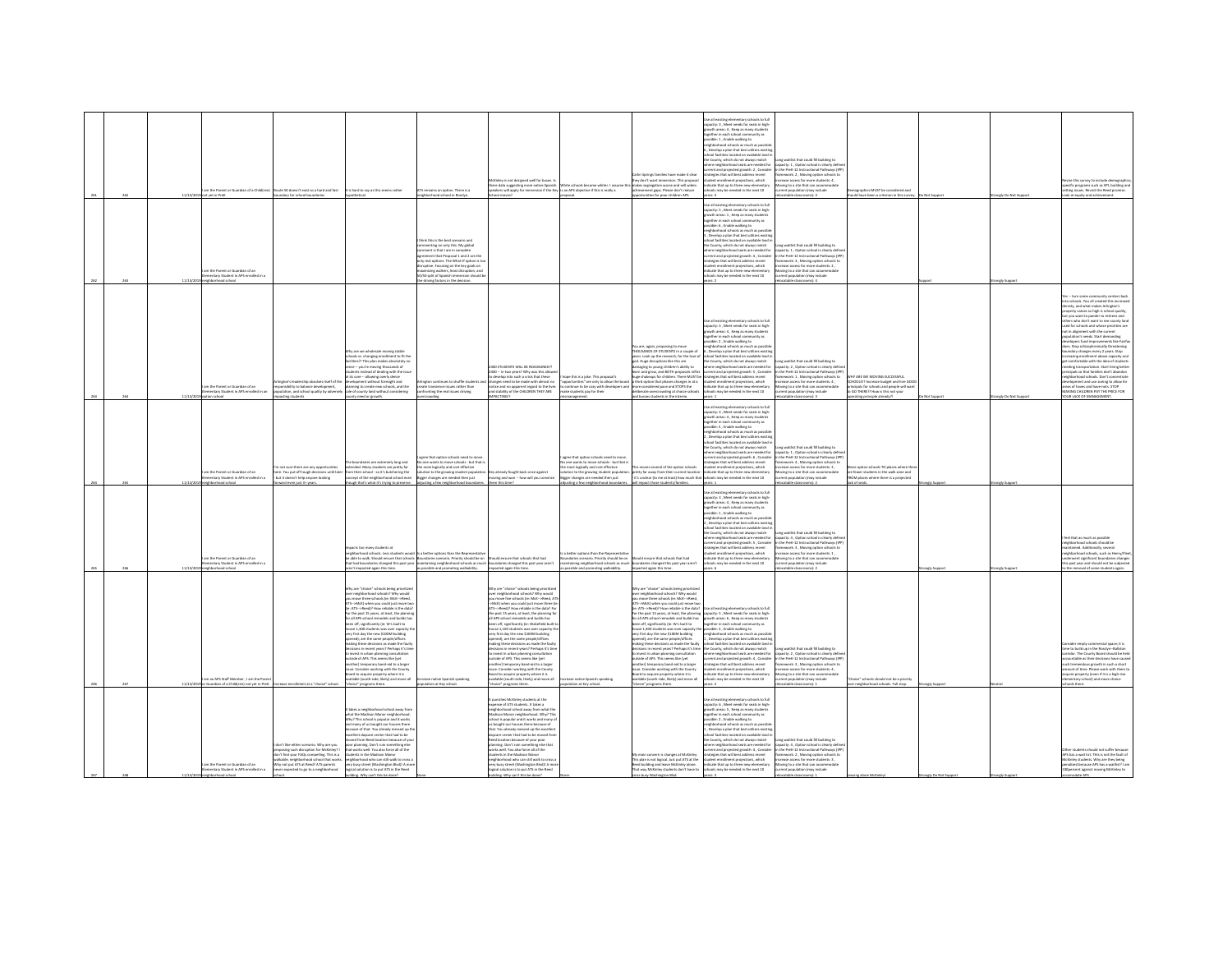| m the Parent or Guardian of an<br>entary Student in APS enrolled in a<br>Icorba boorhodrigi                                                                                                                                                                                                                                                                                                                                                                                                                                                                                                                                                                                              |
|------------------------------------------------------------------------------------------------------------------------------------------------------------------------------------------------------------------------------------------------------------------------------------------------------------------------------------------------------------------------------------------------------------------------------------------------------------------------------------------------------------------------------------------------------------------------------------------------------------------------------------------------------------------------------------------|
| n not sure there are any opportunities<br>ere. You out off tough decisions until late<br>but it doesn't help anyone looking<br>ward even just 3+ years.                                                                                                                                                                                                                                                                                                                                                                                                                                                                                                                                  |
| ndaries are extremely long and<br>ended. Many students are pretty far<br>om their school - so it's butchering the<br>cept of the neighborhood school even<br>sugh that's what it's trying to preserve.                                                                                                                                                                                                                                                                                                                                                                                                                                                                                   |
| one wants to move schools - but that<br>he most logically and cost effective<br>slution to the growing student popula<br>changes are needed then just<br>qusting a few neighborhood boundaries                                                                                                                                                                                                                                                                                                                                                                                                                                                                                           |
| w already fought back once against<br>moving and won -- how will you convir<br>em this time?                                                                                                                                                                                                                                                                                                                                                                                                                                                                                                                                                                                             |
| one wants to move schools - but that<br>e most logically and cost effective<br>ution to the growing student population<br>ger changes are needed then just<br>sting a few neighborhood boundari                                                                                                                                                                                                                                                                                                                                                                                                                                                                                          |
| moves several of the option schools<br>retty far away from their current location<br>it's unclear (to me at least) how much the<br>ill impact those students/families.                                                                                                                                                                                                                                                                                                                                                                                                                                                                                                                   |
| rent and projected erowth: 6. Consider<br>regies that will best address recent<br>dent enrollment projections, which<br>dicate that up to three new elementary<br>ols may be needed in the next 10<br>wars: 1<br>se all existing elementary schools to full<br>apacity: 3 , Meet needs for seats in high-<br>rowth areas: 4 , Keep as many students<br>parther in each school community as<br>ssible: 1 . Enable walking to<br>borhood schools as much as possib<br>, Develop a plan that best utilizes existin<br>pol facilities located on available land i<br>County, which do not always match<br>here neighborhood seats are needed for<br>rrent and projected growth: 5 , Consider |
| capacity: 1, Option school is clearly defin<br>in the PreK-12 Instructional Pathways (IPI<br>sework: 4, Moving option schools to<br>crease access for more students: 3,<br>loving to a site that can accommodate<br>tion (may include<br>atable classrooms): 2<br>ne waitlist that could fill buildine to<br>capacity: 4 , Option school is clearly define<br>in the PreK-12 Instructional Pathways (IPP                                                                                                                                                                                                                                                                                 |
| e option schools TO places where th<br>re fewer students in the walk zone and<br>ROM places where there is a projected<br>ck of seats.                                                                                                                                                                                                                                                                                                                                                                                                                                                                                                                                                   |
| aly Support                                                                                                                                                                                                                                                                                                                                                                                                                                                                                                                                                                                                                                                                              |
| ongly Suppor                                                                                                                                                                                                                                                                                                                                                                                                                                                                                                                                                                                                                                                                             |
| leel that as much as possible                                                                                                                                                                                                                                                                                                                                                                                                                                                                                                                                                                                                                                                            |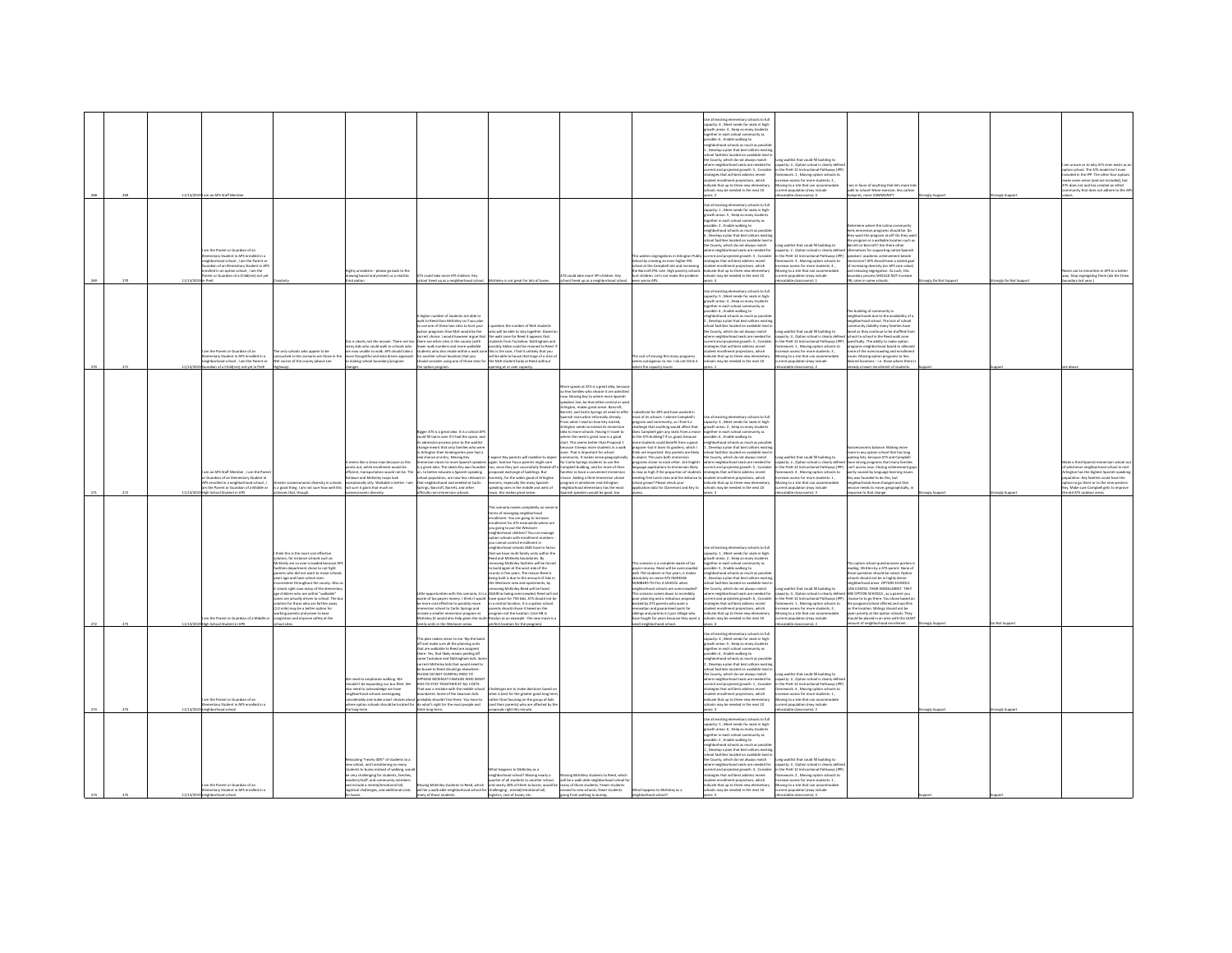| 11/13/2019<br>am an APS Staff Memb                    |                                                                                                                                                                                                                                                                                                                                                                                                                                                                                                                                                                                                                            |                                                                                                                                                                                                                                                                                      |                                                                                                                                                                                                                                                                                                                                                                                                                                                                                                                                                                 |                                                                                                                                                                                                                                                                                                                                                                                                                                                                                                                                                                                                                                                                                                                                                                                                                                                                                                                                                                                                                                                                                                                                                                                                                                                   |                                                                                                                                                                                                                                                                                                                                                                                                                                                                                                                                                                                                                                                                                                                                                                                                                                                                                                            |                                                                                                                                                                                                                                                                                                                                                                                                                                                                                                                                                                                                                                                                                             | ie all existing elementary schools to full<br>er as existing elementary schools to ru<br>pacity: 4 , Meet needs for seats in high<br>owth areas: 3 , Keep as many students<br>ther in each school con<br>munity as<br>sible: 6, Enable walking to<br>hherbood schools as much as nossi<br>.<br>Develop a plan that best utili<br>facilities located on available land<br>e County, which do not always match<br>ere neighborhood seats are needed fo<br>rent and projected growth: S, Consider<br>trategies that will best address recent<br>tudent enrollment projections, which<br>ndicate that up to three new elementary<br>ools may be needed in the next 10                                                                                  | Long waitlist that could fill building to<br>apacity: 3, Option school is clearly defi<br>n the PreK-12 Instructional Pathways (IP)<br>Nework: 1, Moving option schools to<br>ease access for more students: 2,<br>Moving to a site that can accommodate<br>rent population (may include<br>catable classrooms): 4                                                                                                                                                                       | am in favor of anything that lets more ki<br>walk to school! More exercise, less carbo<br>cotprint, more COMMUNITY.                                                                                                                                                                                                                                                                                                                                                                           |                        | ngly Suppo         | n unsure as to why ATS even exists as a<br>on school. The ATS model isn't even<br>uded in the IPP. The other four option<br>te some sense (and are included), but<br>TS does not and has created an elitist<br>ammunity that does not adhere to the AP                            |
|-------------------------------------------------------|----------------------------------------------------------------------------------------------------------------------------------------------------------------------------------------------------------------------------------------------------------------------------------------------------------------------------------------------------------------------------------------------------------------------------------------------------------------------------------------------------------------------------------------------------------------------------------------------------------------------------|--------------------------------------------------------------------------------------------------------------------------------------------------------------------------------------------------------------------------------------------------------------------------------------|-----------------------------------------------------------------------------------------------------------------------------------------------------------------------------------------------------------------------------------------------------------------------------------------------------------------------------------------------------------------------------------------------------------------------------------------------------------------------------------------------------------------------------------------------------------------|---------------------------------------------------------------------------------------------------------------------------------------------------------------------------------------------------------------------------------------------------------------------------------------------------------------------------------------------------------------------------------------------------------------------------------------------------------------------------------------------------------------------------------------------------------------------------------------------------------------------------------------------------------------------------------------------------------------------------------------------------------------------------------------------------------------------------------------------------------------------------------------------------------------------------------------------------------------------------------------------------------------------------------------------------------------------------------------------------------------------------------------------------------------------------------------------------------------------------------------------------|------------------------------------------------------------------------------------------------------------------------------------------------------------------------------------------------------------------------------------------------------------------------------------------------------------------------------------------------------------------------------------------------------------------------------------------------------------------------------------------------------------------------------------------------------------------------------------------------------------------------------------------------------------------------------------------------------------------------------------------------------------------------------------------------------------------------------------------------------------------------------------------------------------|---------------------------------------------------------------------------------------------------------------------------------------------------------------------------------------------------------------------------------------------------------------------------------------------------------------------------------------------------------------------------------------------------------------------------------------------------------------------------------------------------------------------------------------------------------------------------------------------------------------------------------------------------------------------------------------------|----------------------------------------------------------------------------------------------------------------------------------------------------------------------------------------------------------------------------------------------------------------------------------------------------------------------------------------------------------------------------------------------------------------------------------------------------------------------------------------------------------------------------------------------------------------------------------------------------------------------------------------------------------------------------------------------------------------------------------------------------|------------------------------------------------------------------------------------------------------------------------------------------------------------------------------------------------------------------------------------------------------------------------------------------------------------------------------------------------------------------------------------------------------------------------------------------------------------------------------------------|-----------------------------------------------------------------------------------------------------------------------------------------------------------------------------------------------------------------------------------------------------------------------------------------------------------------------------------------------------------------------------------------------------------------------------------------------------------------------------------------------|------------------------|--------------------|-----------------------------------------------------------------------------------------------------------------------------------------------------------------------------------------------------------------------------------------------------------------------------------|
| on the Parent or Guardian of an                       | imentary Student in APS enrolled in a<br>ighborhood school , I am the Parent of<br>rdian of an Elementary Student in AP3<br>clied in an outloo school 1 am the<br>ent or Guardian of a Child(ren) not y                                                                                                                                                                                                                                                                                                                                                                                                                    | hiv unrealistic- please go back to the<br>ring board and prese                                                                                                                                                                                                                       | .<br>Could take more VPI children, Key<br>ool freed up as a neighborhood school                                                                                                                                                                                                                                                                                                                                                                                                                                                                                 | cKinley is not great for lots of buses                                                                                                                                                                                                                                                                                                                                                                                                                                                                                                                                                                                                                                                                                                                                                                                                                                                                                                                                                                                                                                                                                                                                                                                                            | TS resold take more VPI children Key<br>ool freed up as a neighborhood schos                                                                                                                                                                                                                                                                                                                                                                                                                                                                                                                                                                                                                                                                                                                                                                                                                               | widens segregations in Arlington Publ<br>hool by creating an even higher FRL<br>chool at the Campbell site and increasing<br>e Barcroft FRL rate. High poverty scho<br>t children. Let's not make the problem<br>n worse APS.                                                                                                                                                                                                                                                                                                                                                                                                                                                               | .<br>Jse all existing elementary schools to full<br>apacity: 1 , Meet needs for seats in high-<br>owth areas: 5 . Keep as many student<br>rether in each school com<br>sunity as<br>sible: 2, Enable walking to<br>eighborhood schools as much as possibli<br>i , Develop a plan that best utilizes existir<br>hool facilities located on available land i<br>County, which do not always match<br>hood seats are needed for<br>rent and projected growth: 3 , Consider<br>ategies that will best address recent<br>dent enrollment projections, which<br>inste that un to three new eleme<br>ay be needed in the next 10                                                                                                                          | Long waitlist that could fill building to<br>capacity: 2 , Option school is clearly defined<br>in the PreK-12 Instructional Pathways (IPP)<br>framework: 3 , Moving option schools to<br>screase access for more students: 4.<br>wing to a site that can accommodate<br>tion (may include<br>atable classrooms): 1                                                                                                                                                                       | rine where the Latino com<br>Seels immersion programs should be. Do<br>they want the program at all? Do they wa<br>the program in a walkable location such as<br>tarrett or Barrooft? Are there other<br>ves for supporting native Spanish<br>speakers' academic achievement beside<br>immersion? APS should have a stated goal<br>of increasing diversity (an APS core value<br>and reducing segregation. As such, this<br>houndary process SHOULD NOT increase<br>RL rates in some schools. | angly Do Not Suppo     | rongly Do Not Supp | wh out to minorities in APS in a hett<br>y. Stop segregating them (ala the Drev<br>dary last year.)                                                                                                                                                                               |
| n the Darant or Guardian of an                        | a only schools who appear to be<br>nentary Student in APS enrolled in a<br>hborhood school , I am the Parent or<br>touched in this scenario are those in th<br>V corner of the county (above Lee<br>lian of a Childfren) not vet in PreK                                                                                                                                                                                                                                                                                                                                                                                   | is is clearly not the answer. There are too<br>any kids who could walk to schools who<br>.<br>Yow unable to walk. APS should take a<br>e thoughtful and data driven approac<br>aking school boundary/program                                                                         | higher number of students are able to<br>alk to Reed than McKinley so if you plan<br>use one of these two sites to host your<br>stion programs than McK would be the<br>there are other sites in the county (with<br>lower walk numbers and more walkable<br>option program                                                                                                                                                                                                                                                                                     | I question the number of McK students<br>who will be able to stay together. Based<br>rrect choice. I would however argue that the walk zone for Reed it appears that<br>students from Tuckahoe, Nottingham and<br>possibly Glebe could be rezoned to Reed.<br>www.wanamateur.com/wandamateur/wandamateur/wandamateur/wandamateur/wandamateur/wandamateur/wandamateur/wandamateur/wandamateur/wandamateur/wandamateur/wandamateur/wandamateur/wandamateur/wandamateur/wandamateur/wandamateur<br>ening at or over capacity.                                                                                                                                                                                                                                                                                                                                                                                                                                                                                                                                                                                                                                                                                                                        |                                                                                                                                                                                                                                                                                                                                                                                                                                                                                                                                                                                                                                                                                                                                                                                                                                                                                                            | e cost of moving this many program<br>ems outrageous to me. I do not think it<br>lves the capacity issues                                                                                                                                                                                                                                                                                                                                                                                                                                                                                                                                                                                   | se all existing elementary schools to full<br>pacity: 5, Meet needs for seats in high<br>owth areas: 3 , Keep as many studen<br>gether in each school community as<br>sible: 6, Enable walking to<br>ighborhood schools as much as possib<br>Develop a plan that best utilizes existin<br>ool facilities located on available land<br>County, which do not always match<br>where neighborhood seats are needed for<br>irrent and projected erowth: 4. Consider<br>desies that will best address recent<br>dent enrollment projections, which<br>licate that up to three new elementary<br>tools may be needed in the next 10                                                                                                                       | community stability many families have<br>Long waitlist that could fill building to faced as they continue to be shuffled fro<br>capacity: 4, Option school is clearly defined school to school in the Reed walk zone<br>in the PreK-12 Instructional Pathways (IPP) specifically. The ability to make option<br>mework: 1 . Moving option schools to<br>ase access for more students: 3<br>oving to a site that can accommodate<br>ent population (may include<br>atable classrooms): 2 | The building of community in<br>neighborhoods due to the availability of<br>hborhood school. The lack of school<br>programs neighborhood based to alleviat<br>some of the overcrowding and enrollmer<br>sme of one overstowing programs to less<br>sues. Moving option programs to less<br>lesired locations— i.e. those where there i<br>adv a lower enrollment of students.                                                                                                                 |                        |                    |                                                                                                                                                                                                                                                                                   |
| High School Student in APS                            | am an APS Staff Member . I am the Parer<br><b>Juardian of an Elementary Student in</b><br>nic diversity in sc<br>i enrolled in a neighborhood school , I<br>the Parent or Guardian of a Middle or<br>a good thing. I am not sure how well this<br>jeves that, though.                                                                                                                                                                                                                                                                                                                                                      | eems like a straw man because as thi<br>ints out, while enrollment would be<br>cient, transportation would not be. The<br>lawn and McKinley maps look<br>ceptionally silly. Walkable is better. I am<br>it sure it gains that much on<br>conomic diversity.                          | gger ATS is a great idea. It is a school Al<br>ould fill twice over if it had the space, and<br>admission process prior to the waitlis<br>ance meant that only families who we<br>.<br>rington their kindergarten year had a<br>chance at entry. Moving Key<br>rsion closer to more Spanish speak<br>to better educate a Spanish-speaking<br>chool population, are now less relevant<br>that neighborhood and needed at Carlin<br>Springs, Barcroft, Barrett, and other<br>fficially non-immersion schools.                                                     | ect Key parents will mobilize to obje<br>s again. Science Focus parents might care<br>a great idea. The ideals Key was founded too, since they just successfully fended off a Campbell building, and for more of their<br>osed exchange of buildings, But<br>onestly, for the wider good of Arlington<br>learners, especially the many Spanish-<br>speaking ones in the middle and west of<br>own, this makes great sense.                                                                                                                                                                                                                                                                                                                                                                                                                                                                                                                                                                                                                                                                                                                                                                                                                        | fore spaces at ATS is a great idea, becau<br>o few families who choose it are admitt-<br>ow. Moving Key to where more Spanish<br>peakers live, be that either central or we<br>lington, makes great sense. Barcroft,<br>rrett, and Carlin Springs all need to offer<br>nish instruction informally already<br>rom what I read on how Key started.<br>-<br>Arlington needs to extend its immersion<br>idea to more schools. Having it travel to<br>where the need is great now is a good<br>start. This seems better than Proposal 1<br>ause it loeeps more students in a wall<br>cecause is seeps more supports in a way<br>community. It makes sense geographic<br>for Carlin Springs students to use the<br>illies to have a convenient imm<br>sice. Adding a third Immersion choice<br>agram in whichever mid-Arlington<br>ighborhood elementary has the most<br>.<br>nish speakers would be good, too. | ubstitute for APS and have worked in<br>most of its schools. I admire Campbell's<br>param and community, so I find it a<br>hallenge that anything would affect that.<br>bas Campbell gain any seats from a move<br>b the ATS building? If so, good, because<br>ore students could benefit from a good<br>eram-but it loses its earders, which I<br>he are important. Key parents are likely<br>shiject. This puts both immersion<br>grams closer to each other. Are English-<br>usee applications to Immersion likely<br>tay as high if the proportion of student<br>eding free lunch rises and the distance to<br>hool grows? Please check your<br>plication data for Claremont and Key to | se all existing elementary schools to full<br>pacity: 4 . Meet needs for seats in high<br>papacity: ~ , www. revise to:<br>growth areas: 2 , Keep as many stude<br>together in each school community i<br>ssible: 6, Enable walking to<br>righborhood schools as much as possi<br>Develop a plan that best utilizes exist<br>mention of poetrosies were weeders extent<br>tool facilities located on available land<br>: County, which do not always match<br>here neighborhood seats are needed for<br>rrent and projected erowth: S. Consider<br>testes that will best address recent<br>ent enrollment projections, which<br>dicate that up to three new elementary<br>hools may be needed in the next 10<br><b>Draw</b>                        | ong waitlist that could fill building to<br>capacity: 2, Option school is clearly defined thave strong programs that many families<br>in the PreK-12 Instructional Pathways (IPP)<br>ework: 4 . Moving option schools to<br>ease access for more students: 1,<br>oving to a site that can accommodate<br>rrent population (may include<br>pratable classrooms): 3                                                                                                                        | omic balance. Making more<br>room in any option school that has long<br>waiting lists, because ATS and Campbell<br>can't access now. Closing achievement gas<br>setty caused by language learning issue<br>was founded to do this, but<br>neighborhoods have changed and that<br>mission needs to move, geographically, is<br>esponse to that change.                                                                                                                                         |                        | neby Sunnys        | lake a third Spanish immersion school o<br>whichever neighborhood school in mid<br>Insten has the histest Soanish-speaki<br>tion. Key familie<br>s could have the<br>tion to go there or to the new western<br>ly. Make sure Campbell gets to improve<br>he old ATS outdoor areas |
| 22%<br>11/13/2019 High School Student in APS          | hink this is the most cost effective<br>lution, for instance schools such as<br>cKinely are so over-crowded because A<br>lities department chose to not fight<br>ents who did not want to move school<br>rs ago and have school sizes<br>Insistent throughout the county. Also<br>tands right now many of the elements<br>e children who are within "walkable"<br>es are actually driven to school. The bu<br>tion for those who are farther away<br>0 mile) may be a better option for<br>irking parents and prove to ease<br>am the Parent or Guardian of a Middle or<br>ngestion and improve safety at the<br>ol sites. |                                                                                                                                                                                                                                                                                      | more cost effective to possibly move<br>rsion school to Carlin Springs and<br>clude a smaller immersion program at<br>mily units in the Westover areas.                                                                                                                                                                                                                                                                                                                                                                                                         | 'his scenario makes completely no sen<br>erms of managing neighborhood<br>rrollment. You are going to increase<br>diment for ATS me<br>.<br>Milia where are<br>you going to put the Westove<br>neighborhood children? You can manage<br>option schools with enrollment number<br>you cannot control enrollment in<br>abborbood schools AND have to facto<br>that we have multi family units within the<br>Reed and McKinely boundaries. By<br>removing McKinley facilities will be forced<br>to build again at the west side of the<br>ounty in five years. The reason Reed is<br>being built is due to the amount of kids<br>the Westover area and apartments; by<br>ver area and apa<br>vventover area and apartments; by<br>roving McKinley Reed will be faced<br>ittle opportunities with this scenario. It is a AGAIN as being overcrowded. Reed will no<br>ate of tax payers money. I think it would have space for 750 kids. ATS should not be<br>in a central location, it is a option school<br>ents should chose it based on the<br>program not the location. (Use HB in<br>ckinley (it would also help given the multi-Rosslyn as an example - the new move is<br>mily units in the Westover areas. perfect location for the program). |                                                                                                                                                                                                                                                                                                                                                                                                                                                                                                                                                                                                                                                                                                                                                                                                                                                                                                            | is scenario is a complete waste of tax<br>ayers money. Reed will be overcrowded<br>eith 750 students in five years, it makes<br><b>solutely no sense ATS INCREASE</b><br>UMBERS TO FILL A SCHOOL when<br>eighborhood schools are overcrowded<br>is scenario comes down to incredibly<br>or planning and a ridiculous proposal<br>ked by ATS parents who want a<br>novation and guaranteed spots for<br>slings and parents in Lyon Village who<br>we fought for years because they want a<br>Joorha boorhood rivien lise                                                                                                                                                                     | in all existing elementary schools to full<br>sacity: 1 , Meet needs for seats in high-<br>swth areas: 2 , Keep as many students<br>ether in each school community as<br>sible: S , Enable walking to<br>ehborhood schools as much as possib<br>procession and that best utilizes exists<br>hool facilities located on available land<br>e County, which do not always match<br>ere neighborhood seats are needed for<br>rent and projected erowth: 6. Conside<br>gies that will best address recent<br>lent enrollment projections, which<br>cate that up to three new elementary<br>ools may be needed in the next 10<br>we a                                                                                                                    | ong waitlist that could fill building to<br>apacity: 4 . Option school is clearly defined ARE OPTION SCHOOLS . as a parent you<br>n the PreK-12 Instructional Pathways (IPP) choose to to go there. You chose based o<br>Nework: 1, Moving option schools to<br>ease access for more students: 3,<br>oving to a site that can accommodate<br>ent population (may include<br>catable classrooms): 2                                                                                       | his option school questionnaire portion<br>leading. Written by a ATS parent. None of<br>wie questions should be noted. Option<br>shoots should not be in highly dense<br>neighborhood areas. OPTION SCHOOLS<br>CAN CONTOL THEIR ENROLLMENT. THEY<br>program/school offered and sacrifice<br>n the location. Siblings should not be<br>(iven priority at the option schools. The<br>hould be placed in an area with the LEAST<br>nount of neighborhood enrol<br><b>Seam</b>                    | <b>Malla Sciencert</b> | Not Support        |                                                                                                                                                                                                                                                                                   |
| m the Parent or Guardian of an<br>$^{22}$<br>11/13/20 | ntary Student in APS enrolled in a<br>borhood school                                                                                                                                                                                                                                                                                                                                                                                                                                                                                                                                                                       | seed to emphasize walking. We<br>ildn't be expanding our bus fleet. We<br>iso need to acknowledge we have<br>ghborhood schools overlapping<br>iderably and make smart choices al<br>option schools should be located fo                                                              | is plan makes sense to me. Rip the ban<br>off and make sure all the planning units<br>hat are walkable to Reed are assigned<br>here. Yes, that likely means peeling off<br>ome Tuckahoe and Nottingham kids. So<br>urrent McKinley kids that would need to<br>bused to Reed should go elsewhere.<br>LEASE DO NOT OVERELL REED TO<br><b>PPEASE MCKINLEY FAMILIES WHO WANTED</b><br>That was a mistake with the middle schor<br>sundaries. Some of the Swanson kids<br>obably shouldn't be there. You have to<br>what's right for the most people and<br>clong-te | ness are to make decisions based or<br>what is best for the greater good long terr<br>rather than focusing on the group of kids<br>(and their parents) who are affected by th<br>sals right this r                                                                                                                                                                                                                                                                                                                                                                                                                                                                                                                                                                                                                                                                                                                                                                                                                                                                                                                                                                                                                                                |                                                                                                                                                                                                                                                                                                                                                                                                                                                                                                                                                                                                                                                                                                                                                                                                                                                                                                            |                                                                                                                                                                                                                                                                                                                                                                                                                                                                                                                                                                                                                                                                                             | se all existing elementary schools to full<br>spacity: 4 , Meet needs for seats in high-<br>rowth areas: 5 . Keep as many students<br>ther in each school con<br>runity as<br>geoner in each school community as<br>ssible: 6 , Enable walking to<br>ighborhood schools as much as possil<br>Develop a plan that best utilizes existin<br>al facilities located on available land i<br>County, which do not always match<br>ere neighborhood seats are needed for<br>rent and projected growth: 1 , Conside<br>rategies that will best address recent<br>dent enrollment projections, which<br>dicate that up to three new eleme<br>may be needed in the next 10                                                                                   | Long waitlist that could fill huilding to<br>capacity: 3, Option school is clearly definition of the PreK-12 Instructional Pathways (IP<br>framework: 4, Moving option schools to<br>crease access for more students: 1,<br>loving to a site that can accom-<br>n (may include                                                                                                                                                                                                           |                                                                                                                                                                                                                                                                                                                                                                                                                                                                                               | ingly Suppor           | rongly Suppo       |                                                                                                                                                                                                                                                                                   |
| n the Parent or Guardian of an<br>od school           | nentary Student in APS enrolled in a                                                                                                                                                                                                                                                                                                                                                                                                                                                                                                                                                                                       | ating "nearly 40%" of students to a<br>w school, and transitioning so many<br>dents to buses instead of walking, wou<br>very challenging for students, families<br>chers/staff, and community memb<br>Linclude a mental/emotional toll,<br>gistical challenges, and additional costs | ing McKinley students to Reed, which<br>will be a walk-able neighborhood school for challenging - mental/emotional toll,<br>any of those students.                                                                                                                                                                                                                                                                                                                                                                                                              | hat happens to McKinley as a<br><b>seighborhood school? Moving nearly a</b><br>awarter of all students to another school.<br>quarter or an students to ancorer scrutch, went or a water-atter megnozon scrutch is and nearly 20% of them to busies, would be many of those students. Fewer students<br> in challenging - mental/emotional toll, moved to new s<br>logistics, cost of buses, etc.<br>contractors and                                                                                                                                                                                                                                                                                                                                                                                                                                                                                                                                                                                                                                                                                                                                                                                                                               | na McKinlay students to Bearl which<br>will be a walk-able neighborhood school fi<br>going from walking to busing.                                                                                                                                                                                                                                                                                                                                                                                                                                                                                                                                                                                                                                                                                                                                                                                         | What happens to McKinley as a<br>hood school?                                                                                                                                                                                                                                                                                                                                                                                                                                                                                                                                                                                                                                               | se all existing elementary schools to full<br>ecity: S. Meet needs for seats in high<br>wth areas: 6, Keep as many student<br>igether in each school community as<br>assible: 2 , Enable walking to<br>eighborhood schools as much as possib<br>.<br>Develop a plan that best utilizes ex<br>onl fortities located on contable in<br>Develop a pain that best utilizes existing<br>tool facilities located on available land in<br>County, which do not always match<br>ere neighborhood seats are needed for<br>ategies that will best address recent<br>dent enrolment projections recent<br>dent enrolment projections relate<br>udent enrollment projections, whi<br>dicate that up to three new eleme<br>schools may be needed in the next 10 | ong waitlist that could fill building to<br>capacity: 4, Option school is clearly defi<br>rrent and projected erowth: 4. Consider in the PreK-12 Instructional Pathways (IP<br>ramework: 2 . Moving option schools to<br>students: 1<br>loving to a site that can accor<br>servent population (may include                                                                                                                                                                               |                                                                                                                                                                                                                                                                                                                                                                                                                                                                                               |                        |                    |                                                                                                                                                                                                                                                                                   |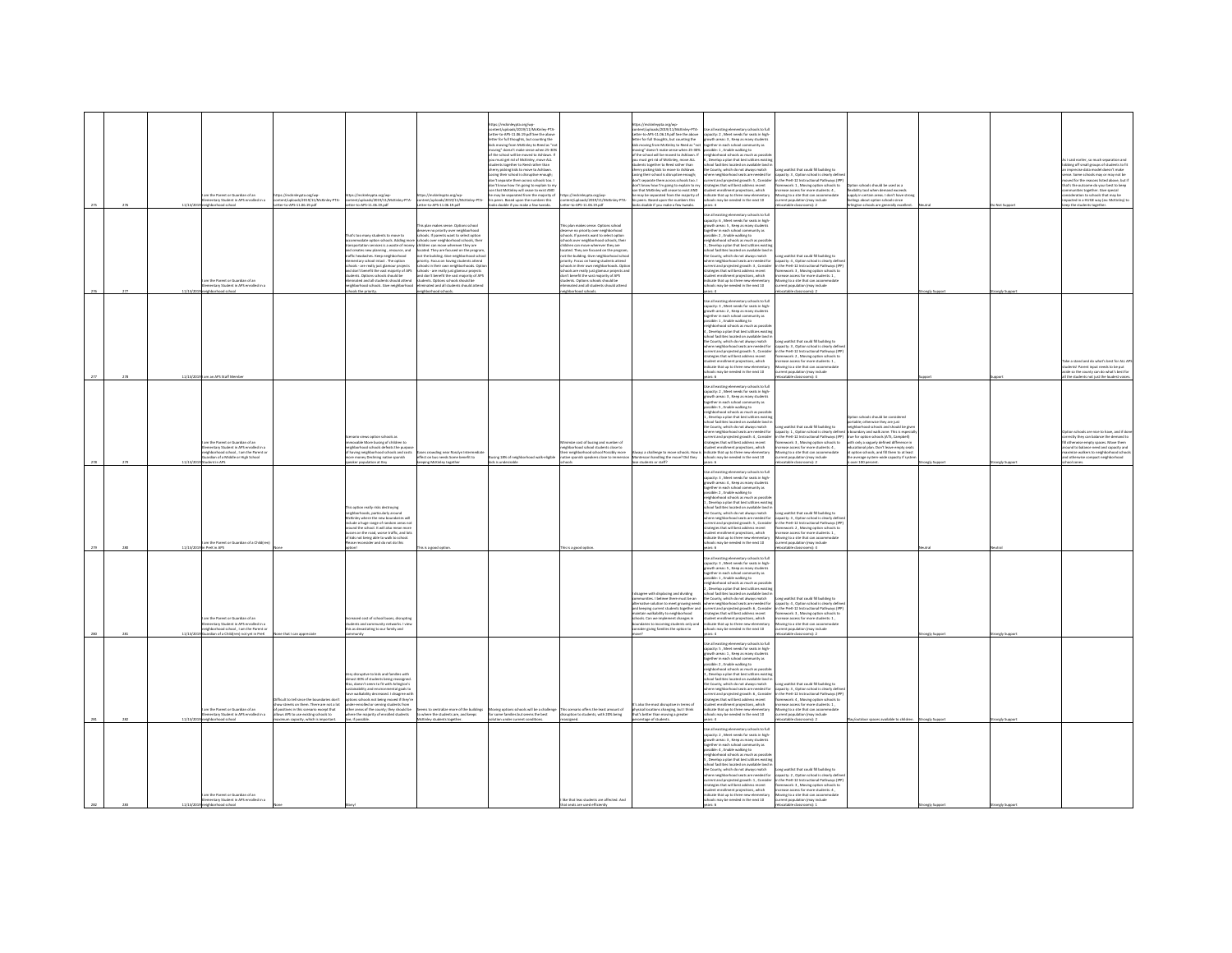|                 |               |                                                                                            |                                                                                      |                                                                                                                                             |                                                                                                                                                                   | as://mckinleypta.org/wp-<br>wer funleyeds (2019/11/McKinlay, PTA-                                                     |                                                                                                                         | tos://mckinkyota.org/wo-                                                                                                    | ie all existing elementary schools to full                                                                                                                                                                                                                                    |                                                                                                                                                                                                                                                                                                |                                                                                      |                |                      |                                                                                                                             |
|-----------------|---------------|--------------------------------------------------------------------------------------------|--------------------------------------------------------------------------------------|---------------------------------------------------------------------------------------------------------------------------------------------|-------------------------------------------------------------------------------------------------------------------------------------------------------------------|-----------------------------------------------------------------------------------------------------------------------|-------------------------------------------------------------------------------------------------------------------------|-----------------------------------------------------------------------------------------------------------------------------|-------------------------------------------------------------------------------------------------------------------------------------------------------------------------------------------------------------------------------------------------------------------------------|------------------------------------------------------------------------------------------------------------------------------------------------------------------------------------------------------------------------------------------------------------------------------------------------|--------------------------------------------------------------------------------------|----------------|----------------------|-----------------------------------------------------------------------------------------------------------------------------|
|                 |               |                                                                                            |                                                                                      |                                                                                                                                             |                                                                                                                                                                   | ter.tn.405.11 OK 19 ndf See the abou<br>ter for full thoughts, but counting the                                       |                                                                                                                         | content/uploads/2019/11/McKinley-PTA-<br>atter-to-APS-11.06.19.pdf See the above<br>ter for full thoughts, but counting the | e as exacing elementary schools to ful<br>pacity: 2 , Meet needs for seats in high<br>swth areas: 3 , Keep as many students                                                                                                                                                   |                                                                                                                                                                                                                                                                                                |                                                                                      |                |                      |                                                                                                                             |
|                 |               |                                                                                            |                                                                                      |                                                                                                                                             |                                                                                                                                                                   | s moving from McKinley to Reed as "no<br>oving" doesn't make sense when 25-309                                        |                                                                                                                         | ids moving from McKinley to Reed as "no<br>noving" doesn't make sense when 25-30% po                                        | together in each school con<br>munity as<br>ssible: 1, Enable walking to                                                                                                                                                                                                      |                                                                                                                                                                                                                                                                                                |                                                                                      |                |                      |                                                                                                                             |
|                 |               |                                                                                            |                                                                                      |                                                                                                                                             |                                                                                                                                                                   | of the school will be moved to Ashlawn. If                                                                            |                                                                                                                         | of the school will be moved to Ashlawn. If                                                                                  | neighborhood schools as much as possi                                                                                                                                                                                                                                         |                                                                                                                                                                                                                                                                                                |                                                                                      |                |                      | said partier, on much conaration and                                                                                        |
|                 |               |                                                                                            |                                                                                      |                                                                                                                                             |                                                                                                                                                                   | .<br>must get rid of McKinley, move ALL<br>dents treather to Beed rather than                                         |                                                                                                                         | you must get rid of McKinley, move ALL<br>tudents together to Reed rather than<br>therry picking kids to move to Ashlawn.   | , Develop a plan that best utilizes existin<br>chool facilities located on available land                                                                                                                                                                                     |                                                                                                                                                                                                                                                                                                |                                                                                      |                |                      | i i sino earner, so much separation ano<br>bbing off small groups of students to fit<br>i imprecise data model doesn't make |
|                 |               |                                                                                            |                                                                                      |                                                                                                                                             |                                                                                                                                                                   | dents together to Reed rather than<br>rry picking kids to move to Ashlaw<br>Losing their school is disruptive enough; |                                                                                                                         | osing their school is disruptive enough;                                                                                    | County, which do not always match                                                                                                                                                                                                                                             | ong waitlist that could fill building to                                                                                                                                                                                                                                                       |                                                                                      |                |                      | ense. Some schools may or may not be                                                                                        |
|                 |               |                                                                                            |                                                                                      |                                                                                                                                             |                                                                                                                                                                   | It separate them across schools too.<br>don't know how I'm going to explain to my                                     |                                                                                                                         | on't separate them across schools too. I<br>don't know how I'm going to explain to my                                       | strategies that will best address recent                                                                                                                                                                                                                                      | there neighborhood seats are needed for capacity: 3 , Option school is clearly define<br>urrent and projected growth: 5 , Consider in the PreK-12 Instructional Pathways (IPP                                                                                                                  | ion schools should be used as a                                                      |                |                      | wed for the reasons listed above, but i<br>that's the outcome do your best to keep                                          |
|                 |               | on the Parent or Guardian of an                                                            | ://mckinleypta.org/wp-                                                               |                                                                                                                                             | s://mckinleypta.org/wp                                                                                                                                            | n that McKinley will cease to exist AND                                                                               | s://mckinleyota.org/wp                                                                                                  | on that McKinley will cease to exist AND                                                                                    | student enrollment projections, which<br>dicate that up to three new elementary                                                                                                                                                                                               | framework: 1, Moving option schools to<br>increase access for more students: 4,<br>Aoving to a site that can accomm                                                                                                                                                                            | dbility tool when demand exceed:<br>ply in certain areas. I don't have st            |                |                      | munities together. Give special<br>nsideration to schools that may be                                                       |
|                 |               | ntary Student in APS enrolled in a<br>borhood school                                       | v PTA<br>l/uploads/2019/11/Mc<br>to-APS-11.06.19.pdf                                 | x://mckinleypta.org/wp-<br>tent/uploads/2019/11/McK<br>xr-to-APS-11.06.19.pdf<br>nley-PTA                                                   | int/uploads/2019/11/1<br>n-to-APS-11.06.19.pdf                                                                                                                    | may be separated from the majority of<br>peers. Based upon the numbers this<br>ks doable if you make a few tweaks.    | tent/uploads/2019/11/1<br>ter-to-APS-11.06.19.pdf                                                                       | e may be separated from the majority of<br>is peers. Based upon the numbers this<br>tols doable if you make a few tweaks.   | may be needed in the next 10                                                                                                                                                                                                                                                  | lation (may include                                                                                                                                                                                                                                                                            | lings about option                                                                   |                | Not Suppor           | ted in a HUGE way (ex: McKinley) to                                                                                         |
|                 |               |                                                                                            |                                                                                      |                                                                                                                                             |                                                                                                                                                                   |                                                                                                                       |                                                                                                                         |                                                                                                                             |                                                                                                                                                                                                                                                                               |                                                                                                                                                                                                                                                                                                | hools are gener.                                                                     |                |                      | the students togethe                                                                                                        |
|                 |               |                                                                                            |                                                                                      |                                                                                                                                             |                                                                                                                                                                   |                                                                                                                       |                                                                                                                         |                                                                                                                             | se all existing elementary schools to full<br>pacity: 6 . Meet needs for seats in high                                                                                                                                                                                        |                                                                                                                                                                                                                                                                                                |                                                                                      |                |                      |                                                                                                                             |
|                 |               |                                                                                            |                                                                                      |                                                                                                                                             | plan makes sense. Options school                                                                                                                                  |                                                                                                                       | s plan makes sense. Options school                                                                                      |                                                                                                                             | owth areas: S., Keep as many student                                                                                                                                                                                                                                          |                                                                                                                                                                                                                                                                                                |                                                                                      |                |                      |                                                                                                                             |
|                 |               |                                                                                            |                                                                                      | hat's too many students to move to                                                                                                          | ieserve no priority over neighborhood<br>chools. If parents want to select option<br>mmodate option schools. Adding more schools over neighborhood schools, their |                                                                                                                       | serve no priority over neighborhood<br>hools. If parents want to select optio<br>hools over neighborhood schools, their |                                                                                                                             | together in each school community as<br>possible: 2 , Enable walking to<br>eighborhood schools as much as possi                                                                                                                                                               |                                                                                                                                                                                                                                                                                                |                                                                                      |                |                      |                                                                                                                             |
|                 |               |                                                                                            |                                                                                      | miportation services is a waste of money children can move wherever they are<br>d creates new planning , resource, and                      | located. They are focused on the program                                                                                                                          |                                                                                                                       | ildren can move wherever they are<br>cated. They are focused on the program                                             |                                                                                                                             | , Develop a plan that best utilizes existin<br>hool facilities located on available land i                                                                                                                                                                                    |                                                                                                                                                                                                                                                                                                |                                                                                      |                |                      |                                                                                                                             |
|                 |               |                                                                                            |                                                                                      |                                                                                                                                             |                                                                                                                                                                   |                                                                                                                       | on the building. Give neighborhood sche<br>riority. Focus on having students attend                                     |                                                                                                                             | e County, which do not always match<br>here neighborhood seats are needed for                                                                                                                                                                                                 |                                                                                                                                                                                                                                                                                                |                                                                                      |                |                      |                                                                                                                             |
|                 |               |                                                                                            |                                                                                      | raffic headaches. Keep neighborhood<br>lementary school intact . The option<br>chools - are really just glamour projects                    | not the building. Give neighborhood school<br>priority. Focus on having students attend<br>schools in their own neighborhoods. Opti                               |                                                                                                                       | ols in their own neighborhoods. Opti                                                                                    |                                                                                                                             | rent and projected growth: 3, Consider                                                                                                                                                                                                                                        | Long waitlist that could fill building to<br>capacity: 4 , Option school is clearly define<br>in the PreK-12 Instructional Pathways (IPP                                                                                                                                                       |                                                                                      |                |                      |                                                                                                                             |
|                 |               |                                                                                            |                                                                                      | and don't benefit the vast majority of APS<br>tudents. Options schools should be                                                            | schools - are really just glamour projects<br>and don't benefit the vast majority of APS                                                                          |                                                                                                                       | tools are really just glamour projects an<br>n't benefit the vast majority of APS                                       |                                                                                                                             | rategies that will best address recent<br>udent enrollment projections, which                                                                                                                                                                                                 | framework: 3, Moving option schools to<br>increase access for more students: 1,                                                                                                                                                                                                                |                                                                                      |                |                      |                                                                                                                             |
|                 |               | m the Parent or Guardian of an                                                             |                                                                                      | inated and all students should attend<br>hood schools. Give neighborhood                                                                    | students. Options schools should be                                                                                                                               |                                                                                                                       | dents. Options schools should be<br>ated and all students should atte                                                   |                                                                                                                             | <b>Scate that up to three new elementary</b><br>may be needed in the next 10                                                                                                                                                                                                  | Aoving to a site that can accommo                                                                                                                                                                                                                                                              |                                                                                      |                |                      |                                                                                                                             |
|                 |               | ne : Jewin un unuitouri or an<br>intary Student in APS enrolled in a<br>horhood school     |                                                                                      | ols the priority.                                                                                                                           | eliminated and all students should atten<br>neighborhood schools.                                                                                                 |                                                                                                                       |                                                                                                                         |                                                                                                                             |                                                                                                                                                                                                                                                                               | current population (may include<br>relocatable classrooms): 2                                                                                                                                                                                                                                  |                                                                                      | angly Supp     | ongly Su             |                                                                                                                             |
|                 |               |                                                                                            |                                                                                      |                                                                                                                                             |                                                                                                                                                                   |                                                                                                                       |                                                                                                                         |                                                                                                                             | ise all existing elementary schools to full<br>apacity: 3 , Meet needs for seats in high-                                                                                                                                                                                     |                                                                                                                                                                                                                                                                                                |                                                                                      |                |                      |                                                                                                                             |
|                 |               |                                                                                            |                                                                                      |                                                                                                                                             |                                                                                                                                                                   |                                                                                                                       |                                                                                                                         |                                                                                                                             | .<br>rowth areas: 2 , Keep as many students<br>agether in each school community as                                                                                                                                                                                            |                                                                                                                                                                                                                                                                                                |                                                                                      |                |                      |                                                                                                                             |
|                 |               |                                                                                            |                                                                                      |                                                                                                                                             |                                                                                                                                                                   |                                                                                                                       |                                                                                                                         |                                                                                                                             | sible: 1, Enable walking to                                                                                                                                                                                                                                                   |                                                                                                                                                                                                                                                                                                |                                                                                      |                |                      |                                                                                                                             |
|                 |               |                                                                                            |                                                                                      |                                                                                                                                             |                                                                                                                                                                   |                                                                                                                       |                                                                                                                         |                                                                                                                             | ghborhood schools as much as possible<br>Develop a plan that best utilizes existing                                                                                                                                                                                           |                                                                                                                                                                                                                                                                                                |                                                                                      |                |                      |                                                                                                                             |
|                 |               |                                                                                            |                                                                                      |                                                                                                                                             |                                                                                                                                                                   |                                                                                                                       |                                                                                                                         |                                                                                                                             | hool facilities located on available land i<br>a County, which do not always match                                                                                                                                                                                            |                                                                                                                                                                                                                                                                                                |                                                                                      |                |                      |                                                                                                                             |
|                 |               |                                                                                            |                                                                                      |                                                                                                                                             |                                                                                                                                                                   |                                                                                                                       |                                                                                                                         |                                                                                                                             |                                                                                                                                                                                                                                                                               | <b>County, which do not always match Long waitlist that could fill building to</b><br>nere neighborhood seats are needed for <b>Capacity: 3, Option school is clearly define</b><br>crent and projected growth: 5, Consider <b>in the PreK-12 In</b>                                           |                                                                                      |                |                      |                                                                                                                             |
|                 |               |                                                                                            |                                                                                      |                                                                                                                                             |                                                                                                                                                                   |                                                                                                                       |                                                                                                                         |                                                                                                                             | strategies that will best address recent<br>student enrolment projections, which                                                                                                                                                                                              | framework: 2, Moving option schools to                                                                                                                                                                                                                                                         |                                                                                      |                |                      | ake a stand and do what's best for ALL Al                                                                                   |
|                 |               |                                                                                            |                                                                                      |                                                                                                                                             |                                                                                                                                                                   |                                                                                                                       |                                                                                                                         |                                                                                                                             | dicate that up to three new elementary                                                                                                                                                                                                                                        | screase access for more students: 1,<br>Movine to a site that can accommodate                                                                                                                                                                                                                  |                                                                                      |                |                      | udents! Parent input needs to be put                                                                                        |
| 10 <sup>2</sup> | 1171979       | an apt traff Me                                                                            |                                                                                      |                                                                                                                                             |                                                                                                                                                                   |                                                                                                                       |                                                                                                                         |                                                                                                                             | ols may be needed in the next 10                                                                                                                                                                                                                                              | strent population (may include<br>table classrooms): 4                                                                                                                                                                                                                                         |                                                                                      |                |                      | ide on the county can do what's hest for<br>he students not just the loudest voir                                           |
|                 |               |                                                                                            |                                                                                      |                                                                                                                                             |                                                                                                                                                                   |                                                                                                                       |                                                                                                                         |                                                                                                                             | e all existing elementary schools to full                                                                                                                                                                                                                                     |                                                                                                                                                                                                                                                                                                |                                                                                      |                |                      |                                                                                                                             |
|                 |               |                                                                                            |                                                                                      |                                                                                                                                             |                                                                                                                                                                   |                                                                                                                       |                                                                                                                         |                                                                                                                             | apacity: 2, Meet needs for seats in high-<br>owth areas: 3 . Keep as many student                                                                                                                                                                                             |                                                                                                                                                                                                                                                                                                |                                                                                      |                |                      |                                                                                                                             |
|                 |               |                                                                                            |                                                                                      |                                                                                                                                             |                                                                                                                                                                   |                                                                                                                       |                                                                                                                         |                                                                                                                             | seether in each school con<br>inity as<br>sible: S., Enable walking to                                                                                                                                                                                                        |                                                                                                                                                                                                                                                                                                |                                                                                      |                |                      |                                                                                                                             |
|                 |               |                                                                                            |                                                                                      |                                                                                                                                             |                                                                                                                                                                   |                                                                                                                       |                                                                                                                         |                                                                                                                             | eighborhood schools as much as possibl<br>, Develop a plan that best utilizes existin<br>.                                                                                                                                                                                    |                                                                                                                                                                                                                                                                                                | n schools should be con                                                              |                |                      |                                                                                                                             |
|                 |               |                                                                                            |                                                                                      |                                                                                                                                             |                                                                                                                                                                   |                                                                                                                       |                                                                                                                         |                                                                                                                             | hool facilities located on available land i                                                                                                                                                                                                                                   |                                                                                                                                                                                                                                                                                                | rtable; otherwise they are just                                                      |                |                      |                                                                                                                             |
|                 |               |                                                                                            |                                                                                      |                                                                                                                                             |                                                                                                                                                                   |                                                                                                                       |                                                                                                                         |                                                                                                                             | the County, which do not always match<br>there neighborhood seats are needed for                                                                                                                                                                                              | ong waitlist that could fill building to<br>apacity: 1 , Option school is clearly defined                                                                                                                                                                                                      | wishborhood schools and should be sive<br>sundary and walk zone. This is espec       |                |                      | on schools are nice to have, and if dor                                                                                     |
|                 |               | m the Darent or Guardian of an                                                             |                                                                                      | arin views netine schools a<br>emans wewe operan schools as<br>rmovable More busing of children to<br>eighborhood schools defeats the purps |                                                                                                                                                                   |                                                                                                                       | mize cost of busing and number of                                                                                       |                                                                                                                             |                                                                                                                                                                                                                                                                               | rrent and projected growth: 4 , Consider in the PreK-12 Instructional Pathways (IPP)<br>rategies that will best address recent framework: 3 , Moving option schools to<br>ne vrek-12 instructional vatriways (o<br>nework: 3 , Moving option schools to<br>rease access for more students: 4 , | true for option schools (ATS, Campbell)<br>with only a vaguely defined difference is |                |                      | rectly they can balance the demand to<br>otherwise empty spaces. Move them                                                  |
|                 |               | entary Student in APS enrolled in                                                          |                                                                                      | having neighborhood schools and costs                                                                                                       | ases crowding near Rosslyn Interi                                                                                                                                 |                                                                                                                       | ighborhood school students close to<br>ir neighborhood school Possibly mon                                              | wys a challenge to move schools. How                                                                                        | lment projections, which<br>indicate that up to three new elementary                                                                                                                                                                                                          | Aoving to a site that can accommodate                                                                                                                                                                                                                                                          | ational plan. Don't leave empty se<br>option schools, and fill them to at least      |                |                      | and to balance need and capacity and<br>mize walkers to neighborhood schoo                                                  |
|                 | 11/13/20      | ighborhood school , I am the Parent or<br>ardian of a Middle or High School<br>dent in APS |                                                                                      | e money Declining native spanish<br>aker population at Key                                                                                  | effect on bus needs Some benefit to<br><b>Neping McKinley together</b>                                                                                            | Busing 18% of neighborhood walk-eligible<br>s is undesirable                                                          | re spanish speakers close to imn                                                                                        | ontessori handling the move? Did they<br>Siliate no attraducte ago                                                          | ools may be needed in the next 10<br>20.44                                                                                                                                                                                                                                    | urrent population (may include<br>catable classrooms): 2                                                                                                                                                                                                                                       | average system-wide capacity if syste<br>wer 100 percent.                            | angly Support  | <b>Ingly Support</b> | nd otherwise compact neighborhood<br>ool zones.                                                                             |
|                 |               |                                                                                            |                                                                                      |                                                                                                                                             |                                                                                                                                                                   |                                                                                                                       |                                                                                                                         |                                                                                                                             | ie all existing elementary schools to full                                                                                                                                                                                                                                    |                                                                                                                                                                                                                                                                                                |                                                                                      |                |                      |                                                                                                                             |
|                 |               |                                                                                            |                                                                                      |                                                                                                                                             |                                                                                                                                                                   |                                                                                                                       |                                                                                                                         |                                                                                                                             | pacity: 3, Meet needs for seats in high-                                                                                                                                                                                                                                      |                                                                                                                                                                                                                                                                                                |                                                                                      |                |                      |                                                                                                                             |
|                 |               |                                                                                            |                                                                                      |                                                                                                                                             |                                                                                                                                                                   |                                                                                                                       |                                                                                                                         |                                                                                                                             | growth areas: 4, Keep as many students<br>ogether in each school com<br>ss yžinur                                                                                                                                                                                             |                                                                                                                                                                                                                                                                                                |                                                                                      |                |                      |                                                                                                                             |
|                 |               |                                                                                            |                                                                                      |                                                                                                                                             |                                                                                                                                                                   |                                                                                                                       |                                                                                                                         |                                                                                                                             | ssible: 2, Enable walking to<br>eighborhood schools as much as possib                                                                                                                                                                                                         |                                                                                                                                                                                                                                                                                                |                                                                                      |                |                      |                                                                                                                             |
|                 |               |                                                                                            |                                                                                      | option really risks destroying                                                                                                              |                                                                                                                                                                   |                                                                                                                       |                                                                                                                         |                                                                                                                             | Develop a plan that best utilizes exis                                                                                                                                                                                                                                        |                                                                                                                                                                                                                                                                                                |                                                                                      |                |                      |                                                                                                                             |
|                 |               |                                                                                            |                                                                                      | eighborhoods, particularly aroun<br>cKinley where the new boundaries will                                                                   |                                                                                                                                                                   |                                                                                                                       |                                                                                                                         |                                                                                                                             | hool facilities located on available land<br>e County, which do not always match<br>here neighborhood seats are needed for                                                                                                                                                    | Long waitlist that could fill building to<br>capacity: 3 , Option school is clearly defin                                                                                                                                                                                                      |                                                                                      |                |                      |                                                                                                                             |
|                 |               |                                                                                            |                                                                                      | idude a huge range of random areas not<br>round the school. It will also mean more                                                          |                                                                                                                                                                   |                                                                                                                       |                                                                                                                         |                                                                                                                             |                                                                                                                                                                                                                                                                               | rrent and projected growth: S., Consider (in the PreK-12 Instructional Pathways (IPP)<br>atesies that will best address recent (framework: 2. Movine option schools to                                                                                                                         |                                                                                      |                |                      |                                                                                                                             |
|                 |               |                                                                                            |                                                                                      | sses on the road, worse traffic, and lot                                                                                                    |                                                                                                                                                                   |                                                                                                                       |                                                                                                                         |                                                                                                                             | dent enrollment projections, which                                                                                                                                                                                                                                            | rease access for more students: 1,                                                                                                                                                                                                                                                             |                                                                                      |                |                      |                                                                                                                             |
|                 |               | n the Parent or Guardian of a Child(re                                                     |                                                                                      | f kids not being able to walk to school.<br>fease reconsider and do not do this                                                             |                                                                                                                                                                   |                                                                                                                       |                                                                                                                         |                                                                                                                             | usent enroument projections, writin<br>dicate that up to three new elementary<br>hools may be needed in the next 10                                                                                                                                                           | Moving to a site that can accomm<br>current population (may include                                                                                                                                                                                                                            |                                                                                      |                |                      |                                                                                                                             |
|                 | 11/13/2019 in | PreK in APS                                                                                |                                                                                      |                                                                                                                                             | is is a good opti                                                                                                                                                 |                                                                                                                       | his is a good optio                                                                                                     |                                                                                                                             | rs6<br>se all existing elementary schools to full                                                                                                                                                                                                                             | catable classrooms): 4                                                                                                                                                                                                                                                                         |                                                                                      |                |                      |                                                                                                                             |
|                 |               |                                                                                            |                                                                                      |                                                                                                                                             |                                                                                                                                                                   |                                                                                                                       |                                                                                                                         |                                                                                                                             | an example entertainty schools to the<br>apacity: 3 , Meet needs for seats in high-<br>rowth areas: 5 , Keep as many students                                                                                                                                                 |                                                                                                                                                                                                                                                                                                |                                                                                      |                |                      |                                                                                                                             |
|                 |               |                                                                                            |                                                                                      |                                                                                                                                             |                                                                                                                                                                   |                                                                                                                       |                                                                                                                         |                                                                                                                             | ogether in each school community as                                                                                                                                                                                                                                           |                                                                                                                                                                                                                                                                                                |                                                                                      |                |                      |                                                                                                                             |
|                 |               |                                                                                            |                                                                                      |                                                                                                                                             |                                                                                                                                                                   |                                                                                                                       |                                                                                                                         |                                                                                                                             | ssible: 1 . Enable walking to<br>ighborhood schools as much as possi-                                                                                                                                                                                                         |                                                                                                                                                                                                                                                                                                |                                                                                      |                |                      |                                                                                                                             |
|                 |               |                                                                                            |                                                                                      |                                                                                                                                             |                                                                                                                                                                   |                                                                                                                       |                                                                                                                         | disagree with displacing and dividing                                                                                       | Develop a plan that best utilizes existin                                                                                                                                                                                                                                     |                                                                                                                                                                                                                                                                                                |                                                                                      |                |                      |                                                                                                                             |
|                 |               |                                                                                            |                                                                                      |                                                                                                                                             |                                                                                                                                                                   |                                                                                                                       |                                                                                                                         | mmunities. I believe there must be an<br>ernative solution to meet growing needs                                            | 2, Develop a pain that best utilizes existing<br>school facilities located on available land in<br>the County, which do not always match<br>where neighborhood seats are needed for                                                                                           | ong waitlist that could fill building to                                                                                                                                                                                                                                                       |                                                                                      |                |                      |                                                                                                                             |
|                 |               |                                                                                            |                                                                                      |                                                                                                                                             |                                                                                                                                                                   |                                                                                                                       |                                                                                                                         | naintain walkability to neighborhood                                                                                        | alternative solution to meet growing needs where neighborhood seats are needed for capacity: 4, Option school is clearly define<br>and keeping current students together and current and projected growth: 6, Consider in the Pre<br>strategies that will best address recent | framework: 3, Moving option schools to                                                                                                                                                                                                                                                         |                                                                                      |                |                      |                                                                                                                             |
|                 |               | m the Darent or Guardian of an<br>tary Student in APS on<br><b>Calling</b>                 |                                                                                      | ased cost of school buses, disrupting<br><b>MARS ANY</b>                                                                                    |                                                                                                                                                                   |                                                                                                                       |                                                                                                                         |                                                                                                                             | tudent enrollment projections, which<br>sdicate that up to three new elementar                                                                                                                                                                                                | crease access for more students: 1 .                                                                                                                                                                                                                                                           |                                                                                      |                |                      |                                                                                                                             |
|                 |               | hood school, I am the Parent o                                                             |                                                                                      | is as devastating to our family and                                                                                                         |                                                                                                                                                                   |                                                                                                                       |                                                                                                                         | ishoots. Can we implement changes in<br>boundaries to incoming students only and<br>consider giving families the option to  | s may be needed in the next 10                                                                                                                                                                                                                                                | communication for more stud.<br>Ioving to a site that can acco<br>tion (may include                                                                                                                                                                                                            |                                                                                      |                |                      |                                                                                                                             |
|                 |               | rdian of a Child(ren) not yet in PreK                                                      | te that I can appre                                                                  |                                                                                                                                             |                                                                                                                                                                   |                                                                                                                       |                                                                                                                         |                                                                                                                             |                                                                                                                                                                                                                                                                               |                                                                                                                                                                                                                                                                                                |                                                                                      | angly Suppo    | nely Sup             |                                                                                                                             |
|                 |               |                                                                                            |                                                                                      |                                                                                                                                             |                                                                                                                                                                   |                                                                                                                       |                                                                                                                         |                                                                                                                             | ie all existing elementary schools to full                                                                                                                                                                                                                                    |                                                                                                                                                                                                                                                                                                |                                                                                      |                |                      |                                                                                                                             |
|                 |               |                                                                                            |                                                                                      |                                                                                                                                             |                                                                                                                                                                   |                                                                                                                       |                                                                                                                         |                                                                                                                             | capacity: 5 , Meet needs for seats in high-<br>growth areas: 1 , Keep as many students<br>together in each school community as                                                                                                                                                |                                                                                                                                                                                                                                                                                                |                                                                                      |                |                      |                                                                                                                             |
|                 |               |                                                                                            |                                                                                      |                                                                                                                                             |                                                                                                                                                                   |                                                                                                                       |                                                                                                                         |                                                                                                                             | ssible: 2, Enable walking to<br>eighborhood schools as much as possi                                                                                                                                                                                                          |                                                                                                                                                                                                                                                                                                |                                                                                      |                |                      |                                                                                                                             |
|                 |               |                                                                                            |                                                                                      | ery discuptive to kids and families with                                                                                                    |                                                                                                                                                                   |                                                                                                                       |                                                                                                                         |                                                                                                                             | . Develop a plan that best utilizes existin                                                                                                                                                                                                                                   |                                                                                                                                                                                                                                                                                                |                                                                                      |                |                      |                                                                                                                             |
|                 |               |                                                                                            |                                                                                      | <b>Innost 40% of students being reassigns</b><br>Niso, doesn't seem to fit with Arlington                                                   |                                                                                                                                                                   |                                                                                                                       |                                                                                                                         |                                                                                                                             | nel farille<br><b>Englished on available land</b><br>he County, which do not always match                                                                                                                                                                                     | waitlist that could fill building to                                                                                                                                                                                                                                                           |                                                                                      |                |                      |                                                                                                                             |
|                 |               |                                                                                            |                                                                                      | .<br>Lainability and environmental goals to<br>e walkability decreased. I disagree wit                                                      |                                                                                                                                                                   |                                                                                                                       |                                                                                                                         |                                                                                                                             | ere neighborhood seats are needed for<br>rrent and projected growth: 6 , Consider                                                                                                                                                                                             | capacity: 3, Option school is clearly definition the PreK-12 Instructional Pathways (IP)                                                                                                                                                                                                       |                                                                                      |                |                      |                                                                                                                             |
|                 |               |                                                                                            | fficult to tell since the boundaries don'<br>ow streets on them. There are not a lot | stions schools not being moved if they'n                                                                                                    |                                                                                                                                                                   |                                                                                                                       |                                                                                                                         | 's also the most disruptive in terms of                                                                                     | tegies that will best address recent<br>dent enrollment projections, which                                                                                                                                                                                                    | framework: 4, Moving option schools to<br>crease access for more students: 1.                                                                                                                                                                                                                  |                                                                                      |                |                      |                                                                                                                             |
|                 |               | m the Parent or Guardian of an<br>stary Student in APS enrolled in a                       | sitives in this scenario except that<br>s APS to use existing schools to             | <b>Inder-enrolled or serving students from</b><br>ather areas of the county; they should be<br>e the majority of enrolled students          | ns to centralize more of the buildings<br>where the students are, and keeps                                                                                       | ving options schools will be a challenge<br>ome families but seems the best                                           | his scenario offers the least amount of<br>uption to students, with 20% being                                           | vical locations changing, but I think<br>hat's better than moving a greater                                                 | <b>Scate that up to three new elementary</b><br>s may be needed in the next 10                                                                                                                                                                                                | loving to a site that can accomm<br>rrent population (may include                                                                                                                                                                                                                              |                                                                                      |                |                      |                                                                                                                             |
|                 |               | loorba boorhodrigis                                                                        | imum capacity, which is important.                                                   | ive, if possible.                                                                                                                           | cKinley students together                                                                                                                                         | lution under current conditions                                                                                       | ssigned                                                                                                                 | rcentage of student                                                                                                         |                                                                                                                                                                                                                                                                               | catable classrooms):                                                                                                                                                                                                                                                                           | foor spaces available to children.                                                   | trangly Suppor | ongly Supp           |                                                                                                                             |
|                 |               |                                                                                            |                                                                                      |                                                                                                                                             |                                                                                                                                                                   |                                                                                                                       |                                                                                                                         |                                                                                                                             | ie all existing elementary schools to full                                                                                                                                                                                                                                    |                                                                                                                                                                                                                                                                                                |                                                                                      |                |                      |                                                                                                                             |
|                 |               |                                                                                            |                                                                                      |                                                                                                                                             |                                                                                                                                                                   |                                                                                                                       |                                                                                                                         |                                                                                                                             | spacity: 2 , Meet needs for seats in high-<br>rowth areas: 3 , Keep as many students                                                                                                                                                                                          |                                                                                                                                                                                                                                                                                                |                                                                                      |                |                      |                                                                                                                             |
|                 |               |                                                                                            |                                                                                      |                                                                                                                                             |                                                                                                                                                                   |                                                                                                                       |                                                                                                                         |                                                                                                                             | gether in each school community as<br>ssible: 4 , Enable walking to<br>sighborhood schools as much as pos                                                                                                                                                                     |                                                                                                                                                                                                                                                                                                |                                                                                      |                |                      |                                                                                                                             |
|                 |               |                                                                                            |                                                                                      |                                                                                                                                             |                                                                                                                                                                   |                                                                                                                       |                                                                                                                         |                                                                                                                             | , Develop a plan that best utilizes existin                                                                                                                                                                                                                                   |                                                                                                                                                                                                                                                                                                |                                                                                      |                |                      |                                                                                                                             |
|                 |               |                                                                                            |                                                                                      |                                                                                                                                             |                                                                                                                                                                   |                                                                                                                       |                                                                                                                         |                                                                                                                             | ool facilities located on available land i<br>e County, which do not always match                                                                                                                                                                                             | a waitlist that could fill building to                                                                                                                                                                                                                                                         |                                                                                      |                |                      |                                                                                                                             |
|                 |               |                                                                                            |                                                                                      |                                                                                                                                             |                                                                                                                                                                   |                                                                                                                       |                                                                                                                         |                                                                                                                             | ere neighborhood seats are needed for<br>rent and projected growth: 1, Consider<br>.                                                                                                                                                                                          | Capacity: 2, Option school is clearly defi<br>r in the PreK-12 Instructional Pathways (I                                                                                                                                                                                                       |                                                                                      |                |                      |                                                                                                                             |
|                 |               |                                                                                            |                                                                                      |                                                                                                                                             |                                                                                                                                                                   |                                                                                                                       |                                                                                                                         |                                                                                                                             | strategies that will best address recent<br>student enrollment projections, which                                                                                                                                                                                             | framework: 3, Moving option schools to                                                                                                                                                                                                                                                         |                                                                                      |                |                      |                                                                                                                             |
|                 |               | am the Parent or Guardian of an                                                            |                                                                                      |                                                                                                                                             |                                                                                                                                                                   |                                                                                                                       |                                                                                                                         |                                                                                                                             | indicate that up to three new elementary                                                                                                                                                                                                                                      | increase access for more students: 4,<br>Moving to a site that can accomm                                                                                                                                                                                                                      |                                                                                      |                |                      |                                                                                                                             |
|                 |               | entary Student in APS enrolled in a                                                        |                                                                                      |                                                                                                                                             |                                                                                                                                                                   |                                                                                                                       | like that leas students are affected. And                                                                               |                                                                                                                             | ools may be needed in the next 10                                                                                                                                                                                                                                             | strent population (may include                                                                                                                                                                                                                                                                 |                                                                                      |                |                      |                                                                                                                             |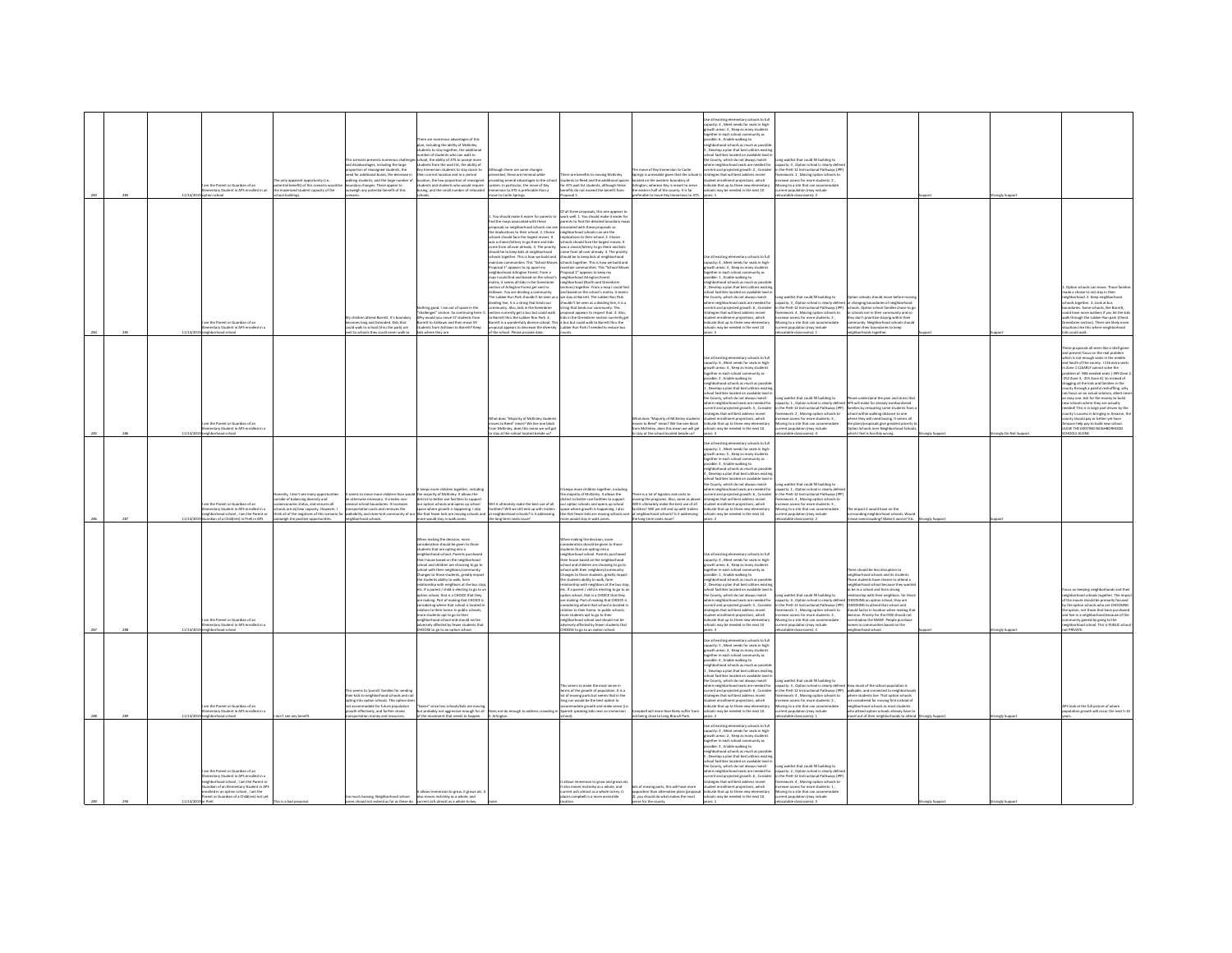|  |                                                                                                                        |                                | he only apparent opportunity (i.e.,                                                                                                                                                               | s scenario presents numerous challe<br>I disadvantages, including the large<br>ortion of reassigned students, the<br>d for additional buses, the decrease is<br>king students, and the large number of | s advantages of this<br>plan, including the ability of McKinley<br>lents to stay together, the additiona<br>mber of students who can walk to<br>hool, the ability of ATS to accept more<br>udents from the wait list, the ability of<br>mersion students to stay closer to<br>heir current location and in a central<br>ocation, the low proportion of reassigner                                                                                                                  | tough there are some changes<br>presented, these are minimal while<br>viding several advantages to the sc                                                                                                                                                                                                                                                                                                                                                                                | re are benefits to movine McKinley<br>dents to Reed and the additional space                                                                                                                                                                                                                                                                                                                                                                                                                                                                                                                                                                                                                                                                                                                   | e move of Key Immersion to Carlin<br>rings is untenable given that the school<br>ated on the western boundary of | Use all existing elementary schools to full<br>pacity: 4 . Meet needs for seats in high<br>of areas: 3 , Keep as many student<br>rether in each school community as<br>sible: 6, Enable walking to<br>wighborhood schools as much as possil<br>Develop a plan that best utilizes exist<br>ool facilities located on available land<br>e County, which do not always match<br>nere neighborhood seats are needed fo<br>rent and projected growth: 2, Conside<br>atesies that will best address recent<br>tudent enrollment projections, which | ng waitlist that could fill building to<br>pacity: 4 , Option school is clearly def<br>the PreK-12 Instructional Pathways (IP)<br>amework: 1 . Moving option schools to<br>ease access for more students: 2.                                                                        |                                                                                                                                                                                                                                                                                                                                                                                                                                         |            |                   |
|--|------------------------------------------------------------------------------------------------------------------------|--------------------------------|---------------------------------------------------------------------------------------------------------------------------------------------------------------------------------------------------|--------------------------------------------------------------------------------------------------------------------------------------------------------------------------------------------------------|------------------------------------------------------------------------------------------------------------------------------------------------------------------------------------------------------------------------------------------------------------------------------------------------------------------------------------------------------------------------------------------------------------------------------------------------------------------------------------|------------------------------------------------------------------------------------------------------------------------------------------------------------------------------------------------------------------------------------------------------------------------------------------------------------------------------------------------------------------------------------------------------------------------------------------------------------------------------------------|------------------------------------------------------------------------------------------------------------------------------------------------------------------------------------------------------------------------------------------------------------------------------------------------------------------------------------------------------------------------------------------------------------------------------------------------------------------------------------------------------------------------------------------------------------------------------------------------------------------------------------------------------------------------------------------------------------------------------------------------------------------------------------------------|------------------------------------------------------------------------------------------------------------------|----------------------------------------------------------------------------------------------------------------------------------------------------------------------------------------------------------------------------------------------------------------------------------------------------------------------------------------------------------------------------------------------------------------------------------------------------------------------------------------------------------------------------------------------|-------------------------------------------------------------------------------------------------------------------------------------------------------------------------------------------------------------------------------------------------------------------------------------|-----------------------------------------------------------------------------------------------------------------------------------------------------------------------------------------------------------------------------------------------------------------------------------------------------------------------------------------------------------------------------------------------------------------------------------------|------------|-------------------|
|  |                                                                                                                        | n the Darant or Guardian of an | tential benefit) of this scenario would<br>a maximized student capacity of the<br>tary Student in APS enrolled in an<br>aniblud lo                                                                | andery changes. These appear to<br>tweigh any potential benefit of this<br>.                                                                                                                           | ents and students who would re-<br>zing, and the small number of reloca                                                                                                                                                                                                                                                                                                                                                                                                            | system. In particular, the move of Key<br>Immersion to ATS is preferable than a<br>we to Carlin Springs.<br>. You should make it easier for parents to<br>nd the mans associated with these<br>proposals so neighborhood schools can<br>the implications to their school. 2. Choir                                                                                                                                                                                                       | <br>ATS wait list students, although these<br>ifits do not exceed the benefit from<br>osal 1.<br>                                                                                                                                                                                                                                                                                                                                                                                                                                                                                                                                                                                                                                                                                              |                                                                                                                  | closed on the weakers boundary or<br>tington, whereas Key is meant to serve<br>referable to move Key Immersion to ATS.<br>dirate that un to three new elec-<br>s may be needed in the next 10                                                                                                                                                                                                                                                                                                                                                | ving to a site that can accomm<br>nt population (may incl<br>atable classrooms): 3                                                                                                                                                                                                  |                                                                                                                                                                                                                                                                                                                                                                                                                                         |            | ingly Sup         |
|  |                                                                                                                        |                                |                                                                                                                                                                                                   |                                                                                                                                                                                                        |                                                                                                                                                                                                                                                                                                                                                                                                                                                                                    | schools should face the largest moves. It<br>was a choice/lottery to go there and kids<br>come from all over already. 3. The priority<br>hould be to keep kids at neighborhood<br>chools together. This is how we build and<br>chools together. This is how we build and<br>ntain communities. This "School Move<br>Proposal 1" appears to rip apart my<br>neighborhood Arlineton Forest, From a<br>n I could find and hased on the school<br>widing line, it is a string that binds our | slications to their school. 2. Choice<br>ools should face the largest moves. It<br>as a choice/lottery to go there and kids<br>the from all over already. 3. The priority<br>suld be to keep kids at neighborhood<br>ools together. This is how we build and<br>sintain communities. This "School Move<br>coosal 2" appears to keep my<br>shborhood Arlineton Forest<br>map I couas tros anos con un successi s. Integracornos eventgom rotest<br>matrix, it seems all bisk in the Greenbrier energies chock (North and Greenbrier<br>section of Arlington Forest get sent to sections) together. From a map<br>houldn't be seen as a dividing line, it is a<br>owner's use assess as a GWGING line, it is a<br>ling that binds our community. This<br>sposal appears to respect that, 4, Ako, |                                                                                                                  | all existing elementary schools to full<br>pacity: 4, Meet needs for seats in high<br>suth areas: 3, Keep as many student<br>rether in each school community as<br>ble: 1 . Enable walking to<br>ighborhood schools as much as possi<br>Develop a plan that best utilizes exis<br>ool facilities located on available land i<br>he County, which do not always match<br>ere neighborhood seats are needed for                                                                                                                                | ng waitlist that could fill building to<br>acity: 3 . Option school is clearly defined                                                                                                                                                                                              | tion schools should move before m<br>r changing boundaries of neighborhoo<br>cols. Option school families of<br>ichools not in their communit                                                                                                                                                                                                                                                                                           |            |                   |
|  | m the Parent or Guardian of an<br>entary Student in APS enrolled in<br>loorba boorhodri                                |                                |                                                                                                                                                                                                   | hildren attend Barrett. It's boundary<br>omes long and Extended. Kids that<br>and walk to school (thru the park) are<br>t to schools they could never walk to                                          | dothing good. I ran out of space in the<br>challenges" section. So continuing here:<br>Mhy would you move 57 students from<br>ett to Ashlawn and then move 59<br>ents from Ashlawn to Barrett? Keep<br>where they are.                                                                                                                                                                                                                                                             | community. Also, kids in the Greenbrier<br>section currently get a bus but could walk<br>to Barrett thru the Lubber Run Park. 4.<br>f the school. Please provide data.                                                                                                                                                                                                                                                                                                                   | is in the Greenbrier section currently go<br>Barrett is a wonderfully diverse school. This a bus but could walk to Barrett thru the<br>posal appears to decrease the diversity Lubber Run Park if needed to reduce bus                                                                                                                                                                                                                                                                                                                                                                                                                                                                                                                                                                         |                                                                                                                  | Form and projected growth: 6 , Consider<br>togies that will best address recent<br>dent enrollment projections, which<br>dicate that up to three new elementary<br>ols may be needed in the next 10                                                                                                                                                                                                                                                                                                                                          | the PreK-12 Instructional Pathways (IPP)<br>imework: 4 , Moving option schools to<br>crease access for more students: 2 ,<br>oving to a site that can accommodate<br>ent population (may include<br>atable classrooms): 1                                                           | they don't prioritize staying within their<br>munity. Neighborhood schools should<br>intain their boundaries to keep<br>ghbarhoods together.                                                                                                                                                                                                                                                                                            |            |                   |
|  |                                                                                                                        |                                |                                                                                                                                                                                                   |                                                                                                                                                                                                        |                                                                                                                                                                                                                                                                                                                                                                                                                                                                                    |                                                                                                                                                                                                                                                                                                                                                                                                                                                                                          |                                                                                                                                                                                                                                                                                                                                                                                                                                                                                                                                                                                                                                                                                                                                                                                                |                                                                                                                  | se all existing elementary schools to full<br>see an excelling elementary schools to hair<br>powth areas: 4 , Keep as many students<br>gether in each school community as<br>ssible: 2 . Enable walking to<br>eighborhood schools as much as possib<br>Develop a plan that best utilizes exist<br>ichool facilities located on available land<br>the County, which do not always match                                                                                                                                                       | ng waitlist that could fill building to                                                                                                                                                                                                                                             | and the pain and stress                                                                                                                                                                                                                                                                                                                                                                                                                 |            |                   |
|  | the Parent or Guardian of an<br>entary Student in APS enrolled in<br><b><i><u>innel</u></i></b> school                 |                                |                                                                                                                                                                                                   |                                                                                                                                                                                                        |                                                                                                                                                                                                                                                                                                                                                                                                                                                                                    | What does "Majority of McKinley students<br>moves to Reed" mean? We live one block<br>from McKinley, does this mean we will get<br>stay at the school located beside us?                                                                                                                                                                                                                                                                                                                 |                                                                                                                                                                                                                                                                                                                                                                                                                                                                                                                                                                                                                                                                                                                                                                                                | fay at the school located beside us?                                                                             | where neighborhood seats are needed for<br>rrent and projected erowth: 5 . Conside<br>ategies that will best address recent<br>www.streamer.com<br>dicate that up to three new elementary<br>ools may be a<br>Vhat does "Majority of McKinley students<br>noves to Reed" mean? We live one block<br>rom McKinley, does this mean we will get<br>als may be needed in the next 10                                                                                                                                                             | the PreK-12 Instructional Pathways (IPP)<br>ework: 2 . Moving option schools to<br>rease access for more students: 3<br>ving to a site that can accommodal<br>int population (may include<br>atable classrooms): 4                                                                  | pacity: 1, Option school is clearly defined APS will make for already overburdened<br>families by relocating some students from<br>school within walking distance to one<br>een they will need busing. It seems all<br>plans/proposals give greatest priority to<br>tion Schools over Neighborhood School<br>1 feel is horribly wrong.                                                                                                  |            | tely Do Not Suppe |
|  |                                                                                                                        |                                |                                                                                                                                                                                                   |                                                                                                                                                                                                        |                                                                                                                                                                                                                                                                                                                                                                                                                                                                                    |                                                                                                                                                                                                                                                                                                                                                                                                                                                                                          |                                                                                                                                                                                                                                                                                                                                                                                                                                                                                                                                                                                                                                                                                                                                                                                                |                                                                                                                  | to all existing elementary schools to full<br>Use as existing elementary scribbs to full<br>capacity: 1 , Meet needs for seats in high-<br>growth areas: 5 , Keep as many students<br>together in each school community as<br>ssible: 3 . Enable walking to<br>eighborhood schools as much as possib<br>, Develop a plan that best utilizes exist<br>thool facilities located on available land<br>the County, which do not always match                                                                                                     | ne waitlist that could fill buildine to                                                                                                                                                                                                                                             |                                                                                                                                                                                                                                                                                                                                                                                                                                         |            |                   |
|  | entary Student in APS enrolled in a<br>eighborhood school, I am the Parent or<br>ardian of a Childfren) in PreK in APS |                                | estly. I don't see many opportunities<br>side of balancing diversity and<br>.<br>loeconomic status, and ensures all<br>pols are at/near capacity. However, I<br>weigh the positive opportunities. | otherwise necessary. It creates non-<br>sical school boundaries. It increases<br>sigortation costs and removes the<br>neighborhood schools.                                                            | eps more children together, includin<br>eems to move more children than would libe majority of McKinley. It allows the<br>strict to better use facilities to support<br>antrict to betorr use faceroes to support<br>our option schools and opens up school<br>space where growth is happening. I also<br>ore would stay in walk zones                                                                                                                                             | Will it ultimately make the best use of all<br>facilities? Will we still end up with trailers<br>hink all of the negatives of this scenario far walkability and close-knit community of our like that fewer kids are moving schools and at neighborhood schools? Is it addressing<br>the long-term seats issue?                                                                                                                                                                          | reas more children together, including<br>e majority of McKinley, it allows the<br>rict to better use facilities to support<br>ence to better use raceiries to support<br>ir option schools and opens up school<br>ace where growth is happening. I also<br>a that fewer kids are moving schools and<br>re would stay in walk zoner                                                                                                                                                                                                                                                                                                                                                                                                                                                            | re is a lot of logistics and costs to<br>neighborhood schools? Is it addressing<br>he long-term seats issue?     | ere neighborhood seats are needed for<br>rent and projected erowth: 6. Conside<br>never in the oring patient and count to<br>Will it ultimately make the best use of all<br>Will its ultimately make the best use of all<br>acilities? Will we still end up with trailers<br>intent also projected growin: is , consider<br>utegies that will best address recent<br>dicate that up to three new elementary<br>dicate that up to three new elementary<br>ools may be needed in the next 10                                                   | acity: 1 . Option school is clearly defi<br>the PreK-12 Instructional Pathways (IP)<br>ework: 4, Moving option schools to<br>rease access for more students: 3<br>wing to a site that can accommodate<br>sent population (may include<br>atable classrooms): 2                      | impact it would have on the<br>ounding neighborhood schools. Wou<br>se overcrowding? Make it worse? Etc.                                                                                                                                                                                                                                                                                                                                | mely Suppo |                   |
|  |                                                                                                                        |                                |                                                                                                                                                                                                   |                                                                                                                                                                                                        | en making the decision, more<br>onsideration should be eiven to those<br>tudents that are coting into a<br>shborhood school, Parents purch<br>neignsomsos scriooi. Parents purchased<br>their house based on the neighborhood<br>ichool and children are choosing to go to<br>chool with their neighbors/community                                                                                                                                                                 |                                                                                                                                                                                                                                                                                                                                                                                                                                                                                          | hen making the decision, more<br>nsideration should be eiven to those<br>dents that are coting into a<br>thborhood school. Parents purchar<br>ignoomood school: Parents purchased<br>eir house based on the neighborhood<br>hool and children are choosing to go to<br>hool with their neighbors/com                                                                                                                                                                                                                                                                                                                                                                                                                                                                                           |                                                                                                                  | all existing pla<br>ntary schools to full<br>spacity: 4 , Meet needs for seats in high-<br>rowth areas: 6 , Keep as many students<br>ogether in each school community as<br>ssible: 1, Enable walking to                                                                                                                                                                                                                                                                                                                                     |                                                                                                                                                                                                                                                                                     | here should be less disruption to                                                                                                                                                                                                                                                                                                                                                                                                       |            |                   |
|  | n the Parent or Guardian of an<br>mentary Student in APS enrolled in a                                                 |                                |                                                                                                                                                                                                   |                                                                                                                                                                                                        | .<br>Changes to those students, greatly impact<br>the students ability to walk, form<br>minip with neighbors at the bus st<br>rtc. If a parent / child is electing to go to a<br>sption school, that is a CHOICE that they<br>re making. Part of making that CHOICE is<br>dering where that school is located<br>elation to their home. In public schools<br>nore students opt to go to their<br>seighborhood school and should not be<br>dversely affected by fewer students that |                                                                                                                                                                                                                                                                                                                                                                                                                                                                                          | singes to those students, greatly impac<br>e students ability to walk, form<br>rship with neighbors at the bus sto<br>c. If a parent / child is electing to go to a<br>tion school, that is a CHOICE that they<br>re making. Part of making that CHOICE is<br>idering where that school is located i<br>tion to their home. In public schools,<br>are students opt to go to their<br>ighborhood school and should not be<br>ersely affected by fewer students that                                                                                                                                                                                                                                                                                                                             |                                                                                                                  | ishborhood schools as much as possibl<br>Develop a plan that best utilize<br>hool facilities located on available land i<br>se County, which do not always match<br>ere neighborhood seats are needed for<br>rrent and projected arowth: S. Conside<br>tegies that will best address recent<br>udent enrollment projections, which<br>Scate that up to three new elementary<br>ools may be needed in the next 10                                                                                                                             | ne waitlist that could fill buildine to<br>acity: 4 . Option school is clearly defin<br>the PreK-12 Instructional Pathways (IPP)<br>mework: 1, Moving option schools to<br>rease access for more students: 3<br>oving to a site that can accommodate<br>ent population (may include | neighborhood schools and its students.<br>Those students have chosen to attend a<br>o be in a school and form strong<br>snship with their neighbors. for th<br>DOSING an option school, they are<br>DOSING to attend that school and<br>uld factor in location when making th<br>aia ractor in location when making to<br>slon. Priority for the FEW should not<br>rshadow the MANY. People purchase<br>mes in communities based on the |            |                   |
|  | hborhood school                                                                                                        |                                |                                                                                                                                                                                                   |                                                                                                                                                                                                        | DOSE to go to an option school.                                                                                                                                                                                                                                                                                                                                                                                                                                                    |                                                                                                                                                                                                                                                                                                                                                                                                                                                                                          | OOSE to go to an option school.                                                                                                                                                                                                                                                                                                                                                                                                                                                                                                                                                                                                                                                                                                                                                                |                                                                                                                  | se all existing elementary schools to full<br>spacity: S , Meet needs for seats in high-<br>rowth areas: 3 , Keep as many students<br>parther in each school community as<br>signation of the state will line to a state within the state within the state of the state of the state of the state of the state of the state of the state of the state of the state of the state of the state of the state o                                                                                                                                  | table class<br>$x - y$                                                                                                                                                                                                                                                              | hborhood school                                                                                                                                                                                                                                                                                                                                                                                                                         |            |                   |
|  | m the Parent or Guardian of an                                                                                         |                                |                                                                                                                                                                                                   | seems to 'ounish' families for sending<br>eir kids to neighborhood schools and<br>ting into option schools. This option do<br>modate for future population<br>wth effectively, and further drains      | 'Easier" since less schools/kids are mov<br>but probably not aggressive enough for all                                                                                                                                                                                                                                                                                                                                                                                             | oes not do enough to address crowding                                                                                                                                                                                                                                                                                                                                                                                                                                                    | s seems to make the most sense is<br>ms of the growth of population. It is a<br>of moving parts but seems that in th<br>ing run would be the best option to<br>odate growth and make sense (i.<br>inish speaking kids near an imm                                                                                                                                                                                                                                                                                                                                                                                                                                                                                                                                                              | nobell will more than likely suffer from                                                                         | the County, which do not always match<br>here neighborhood seats are needed for<br>urrent and projected growth: 6 , Conside<br>rategies that will best address recent<br>dent enrollment projections, which<br>licate that up to three new elementary<br>ools may be needed in the next 10                                                                                                                                                                                                                                                   | ong waitlist that could fill building to<br>city: 3, Option school is clearly define<br>the PreK-12 Instructional Pathways (IPP)<br>ework: 4, Moving option schools to<br>use access for more students: 2,<br>oving to a site that can accommodate<br>ent population (may include   | ow much of the school population is<br>valkable, and connected to neighbor<br>here students live. That option schools<br>considered for moving first instead of<br>phborhood schools as most students<br>attend option schools already have to                                                                                                                                                                                          |            |                   |
|  | entary Student in APS enrolled in a                                                                                    |                                |                                                                                                                                                                                                   |                                                                                                                                                                                                        |                                                                                                                                                                                                                                                                                                                                                                                                                                                                                    | of the movement that needs to happen.<br>sportation money and resources.<br>Arlington<br>see any!                                                                                                                                                                                                                                                                                                                                                                                        |                                                                                                                                                                                                                                                                                                                                                                                                                                                                                                                                                                                                                                                                                                                                                                                                | t being close to Long Branch Park.                                                                               |                                                                                                                                                                                                                                                                                                                                                                                                                                                                                                                                              | catable classrooms): 1                                                                                                                                                                                                                                                              | wel out of their neighborhoods to attend.                                                                                                                                                                                                                                                                                                                                                                                               | ongly Supp | ongly Su          |
|  | ghborhood schoo                                                                                                        |                                |                                                                                                                                                                                                   |                                                                                                                                                                                                        |                                                                                                                                                                                                                                                                                                                                                                                                                                                                                    |                                                                                                                                                                                                                                                                                                                                                                                                                                                                                          |                                                                                                                                                                                                                                                                                                                                                                                                                                                                                                                                                                                                                                                                                                                                                                                                |                                                                                                                  | se all existing elementary schools to ful<br>capacity: 4, Meet needs for seats in high<br>growth areas: 2, Keep as many student<br>parther in each school community as<br>sible: 3 . Enable walking to<br>borhood schools as much as possil<br>Develop a plan that best utilizes exist                                                                                                                                                                                                                                                       |                                                                                                                                                                                                                                                                                     |                                                                                                                                                                                                                                                                                                                                                                                                                                         |            |                   |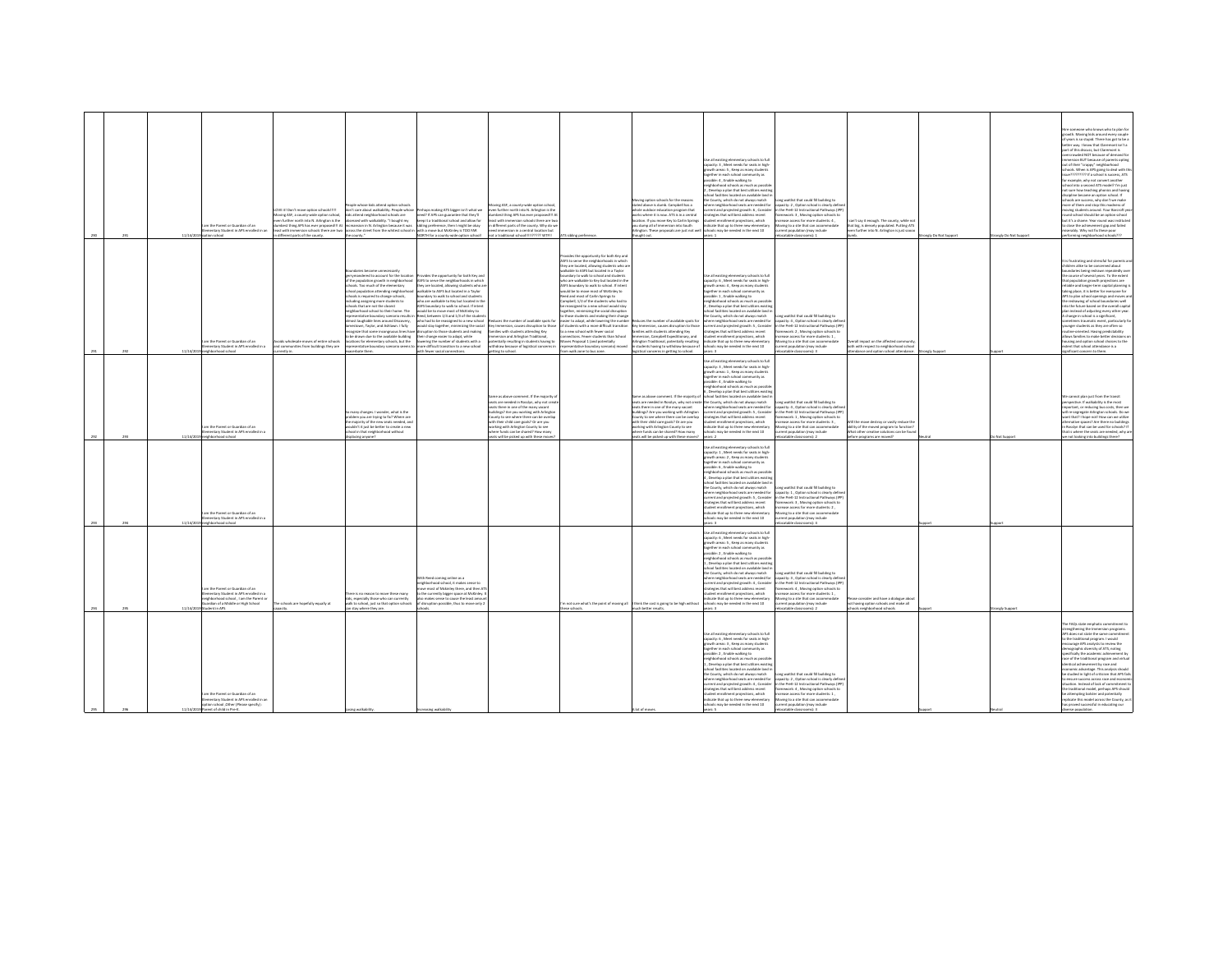|  | 11/14/2 | im the Parent or Guardian of an<br>nentary Student in APS enrolled in a<br>tion school                                                                              | IIIIliadoria naitas swam t'noti lai 3VD<br>sving ASF, a county-wide option school,<br>en further north into N. Arlinaton is the<br>best thing APS has ever proposed !!! At<br>different parts of the county. | le whose kids attend option schools<br>n't care about walkability. People whose<br>s attend neighborhood schools are<br>obsessed with walkability. "I bought my<br>unsion in N. Arlington because it was<br>ast with immersion schools there are two across the street from the whitest school is<br>the county."                                                                                                                                                                                                                                                                                       | ses making ATS bieser isn't what we<br>ed? If APS can guarantee that they'll<br>een it a traditional school and allow for<br>ibling preference, then I might be okay<br>with a move hert McKinley is TOO FAR<br><b>ORTH for a county-wide option school</b>                                                                                                                                                                                                                                                                                                                                                                                | ing ASF, a county-wide option school<br>ven further north into N. Arlineton is the<br>est thing APS has ever proposed III A<br>ast with immersion schools there are two<br>different parts of the county. Why do we<br>art immercing in a contral location but<br>tot a traditional school!!!!!????? WTF!!                                                                          | S sibling prefere                                                                                                                                                                                                                                                                                                                                                                                                                                                                                                                                                                                                                                                                                                                                                                                                             | loving option schools for the reasons<br>tated above is dumb. Campbell has a<br>whole outdoor education program that<br>eks where it is now. ATS is in a central<br>ocation. If you move Key to Carlin Sorinas<br>u dump all of immersion into South<br>ington. These proposals are just not we<br>tupht out.                                                                                   | te all existing elementary schools to full<br>pacity: 3, Meet needs for seats in high<br>owth areas: 5 . Keep as many student<br>ether in each school community as<br>ssible: 4, Enable walking to<br>ighborhood schools as much as possibli<br>, Develop a plan that best utilizes existin<br>ol facilities located on available land<br>he County, which do not always match<br>e neighborhood seats are needed for<br>rent and projected erowth: 6. Consider<br>tegies that will best address recent<br>dent enrollment projections, which<br>icate that up to three new elementar<br>ools may be needed in the next 10                            | one waitlist that could fill building to<br>city: 2, Option school is clearly defi<br>the PreK-12 Instructional Pathways (IP)<br>ework: 3, Moving option schools to<br>rease access for more students: 4.<br>wing to a site that can accome<br>rent population (may include<br>scatable classrooms): 1                   | n't say it enough. The county, while not<br>that big, is densely populated. Putting ATS<br>en further into N. Arlington is just sooo                       | gly Do Not Suppo | rongly Do Not Suppe | ire someone who knows who to plan for<br>rowth. Moving kids around every couple<br>f years is so stupid. There has got to be a<br>etter way. I know that Claremont isn't a<br>art of this discuss, but Claremont is<br>rowded NOT because of demand for<br>mersion BUT because of parents opting<br>out of their "crappy" neighborhood<br>hools. When is APS epine to deal with th<br>(7777777? If a school is success, ATS<br>or example, why not convert another<br>ool into a second ATS model? I'm just<br>tot sure how teaching phonics and having<br>sipline became an option school. If<br>chools are success, why don't we make<br>ore of them and stop this madness of<br>ovine students around. Your Barcroft ve<br>nd school should be an option school<br>but it's a shame. Year round was institutes<br>close the achievement gap and failed<br>serably. Why not fix these poor<br>rforming neighborhood schools??? |
|--|---------|---------------------------------------------------------------------------------------------------------------------------------------------------------------------|--------------------------------------------------------------------------------------------------------------------------------------------------------------------------------------------------------------|---------------------------------------------------------------------------------------------------------------------------------------------------------------------------------------------------------------------------------------------------------------------------------------------------------------------------------------------------------------------------------------------------------------------------------------------------------------------------------------------------------------------------------------------------------------------------------------------------------|--------------------------------------------------------------------------------------------------------------------------------------------------------------------------------------------------------------------------------------------------------------------------------------------------------------------------------------------------------------------------------------------------------------------------------------------------------------------------------------------------------------------------------------------------------------------------------------------------------------------------------------------|-------------------------------------------------------------------------------------------------------------------------------------------------------------------------------------------------------------------------------------------------------------------------------------------------------------------------------------------------------------------------------------|-------------------------------------------------------------------------------------------------------------------------------------------------------------------------------------------------------------------------------------------------------------------------------------------------------------------------------------------------------------------------------------------------------------------------------------------------------------------------------------------------------------------------------------------------------------------------------------------------------------------------------------------------------------------------------------------------------------------------------------------------------------------------------------------------------------------------------|-------------------------------------------------------------------------------------------------------------------------------------------------------------------------------------------------------------------------------------------------------------------------------------------------------------------------------------------------------------------------------------------------|-------------------------------------------------------------------------------------------------------------------------------------------------------------------------------------------------------------------------------------------------------------------------------------------------------------------------------------------------------------------------------------------------------------------------------------------------------------------------------------------------------------------------------------------------------------------------------------------------------------------------------------------------------|--------------------------------------------------------------------------------------------------------------------------------------------------------------------------------------------------------------------------------------------------------------------------------------------------------------------------|------------------------------------------------------------------------------------------------------------------------------------------------------------|------------------|---------------------|----------------------------------------------------------------------------------------------------------------------------------------------------------------------------------------------------------------------------------------------------------------------------------------------------------------------------------------------------------------------------------------------------------------------------------------------------------------------------------------------------------------------------------------------------------------------------------------------------------------------------------------------------------------------------------------------------------------------------------------------------------------------------------------------------------------------------------------------------------------------------------------------------------------------------------|
|  |         | m the Parent or Guardian of an<br>nentary Student in APS enrolled in a                                                                                              | sids wholesale moves of entire schor<br>nd communities from buildings they are                                                                                                                               | ymandered to account for the locat<br>f the population growth in neighborhood<br>ools. Too much of the elementary<br>ool population attending neighborhoo<br>hools is required to change schools,<br>luding assigning more students to<br>ools that are not the closest<br>hborhood school to their home. The<br>sentative boundary scenario results i<br>nost laughable lines around Discovery<br>estown. Taylor, and Ashlawn, I fully<br>pize that some incongruous lines h<br>be drawn due to the available building<br>tions for elementary schools, but the<br>sentative boundary scenario seems t | des the opportunity for both Key an<br>SFS to serve the neighborhoods in which<br>they are located, allowing students who a<br>able to ASFS hut located in a Taylor<br>ndary to walk to school and student<br>to are walkable to Key but located in th<br>FS boundary to walk to school. If inten<br>ould be to move most of McKinley to<br>eed, between 1/4 and 1/3 of the stude<br>who had to be reassigned to a new school<br>uld stay together, minimizing the social<br>ption to those students and making<br>their change easier to adapt, while<br>ering the number of students with a<br>nore difficult transition to a new school | uces the number of available spots for<br>iry Immersion, causes disruption to those<br>lies with students attending Key<br>ersion and Arlinaton Traditional.<br>tially resulting in students having to<br><b>hdraw</b> because of logistical concerns in                                                                                                                            | ides the opportunity for both Key and<br>SFS to serve the neighborhoods in which<br>y are located, allowing students who an<br>Bable to ASPS hot located in a Taylor<br>ndary to walk to school and students<br>tho are walkable to Key but located in the<br>IFS boundary to walk to school. If intent<br>ruld he to move most of McKinley to<br>eed and most of Carlin Springs to<br>empbell, 1/2 of the students who had to<br>e reassigned to a new school would stay<br>ether, minimizing the social disruption<br>those students and making their change<br>sier to adapt, while lowering the number<br>students with a more difficult transition<br>new school with fewer social<br>rections. Fewer students than School<br>es Proposal 1 (and potentially<br>sentative boundary scenario) mo-<br>walk zone to bus zon | duces the number of available spots for<br>v Immersion, causes disruption to those<br>lies with students attending Key<br>ersion, Campbell Expeditionary, and<br>ston Traditional, potentially resulting<br>tudents having to withdraw because of                                                                                                                                               | ie all existing elementary schools to full<br>apacity: 6, Meet needs for seats in high<br>buth areas: 4 . Keep as many student<br>ether in each school community as<br>ssible: 1, Enable walking to<br>ighborhood schools as much as possib<br>, Develop a plan that best utilizes existi<br>ool facilities located on available land is<br>County, which do not always match<br>ere neighborhood seats are needed for<br>rrent and projected arowth: 5 . Consider<br>legies that will best address recent<br>dent enrolment projections, which<br>icate that up to three new elementar<br>ols may be needed in the next 10                           | Long waitlist that could fill building to<br>apacity: 4, Option school is clearly defin<br>in the PreK-12 Instructional Pathways (IP)<br>sework: 2, Moving option schools t<br>rease access for more students: 1.<br>wing to a site that can accome<br>ent oopulation (may include                                       | rall impact on the affected come<br>both with respect to neighborhood school<br>nce and option school atte                                                 |                  |                     | is frustrating and stressful for parents as<br>sidren alike to be concerned about<br>indaries being redrawn repeatedly ow<br>e course of several years. To the extent<br>that population growth projections are<br>sliable and longer-term capital planning<br>labine elace it is hetter for everyone for<br>APS to plan school openings and moves a<br>e redrawing of school boundaries well<br>to the future based on the overall capita<br>lan instead of adjusting every other year<br>change in school is a significant,<br>mes traumatic event, particularly f<br>ounger students as they are often so<br>ariented. Having predictability<br>lows families to make better decisions o<br>using and option school choices to the<br>and that school attendance is a                                                                                                                                                         |
|  |         | m the Parent or Guardian of an<br>nertary Student in APS enrolled in a<br>loorba boorhodrigier                                                                      |                                                                                                                                                                                                              | many changes. I wonder, what is the<br>blem you are trying to fix? Where are<br>majority of the new seats needed, and<br>suidn't it just be better to create a new<br>ool in that neighborhood without<br>Sanayna gnisalga                                                                                                                                                                                                                                                                                                                                                                              |                                                                                                                                                                                                                                                                                                                                                                                                                                                                                                                                                                                                                                            | me as ahma commant If the maintity of<br>eats are needed in Rosslyn, why not crea<br>pats there in one of the many variet<br>ildings? Are you working with Arlington<br>County to see where there can be overla<br>with their child care goals? Or are you<br>vorking with Arlington County to see<br>rhere funds can be shared? How many<br>eats will be picked up with these move |                                                                                                                                                                                                                                                                                                                                                                                                                                                                                                                                                                                                                                                                                                                                                                                                                               | ame as ahous commant. If the mainstu of<br>seats are needed in Rosslyn, why not create<br>the vice under self for some ni smarte vices<br>uildings? Are you working with Arlington<br>county to see where there can be overlap<br>with their child care goals? Or are you<br>orking with Arlington County to see<br>ere funds can be shared? How many<br>eats will be picked up with these move | tul of doodcage elements prizing aid<br>apacity: 3 . Meet needs for seats in high-<br>growth areas: 1, Keep as many students<br>together in each school community as<br>ssible: 4, Enable walking to<br>eighborhood schools as much as possib<br>Nevelop a plan that best utilizes existin<br>hood facilities located on available land i<br>County, which do not always match<br>harp majabihnehnnel saats are naarlad for<br>rrent and projected growth: S, Consider<br>tesies that will best address recent<br>dent enrollment projections, which<br><b>Scate that up to three new elementa</b><br>ools may be needed in the next 10               | ong waitlist that could fill building to<br>anarity: 4 Ontion school is clearly defi-<br>in the PreK-12 Instructional Pathways (IP<br>amework: 1 . Moving option schools to<br>ease access for more students: 3,<br>ving to a site that can accommodat<br>ent oopulation (may include<br>catable classrooms): 2          | Il the move destroy or vastly reduce th<br>bility of the moved program to function?<br>hat other creative solutions can be four<br>Sborom six arrenges and |                  | <b>Not Support</b>  | No comment relate just from the transit<br>erspective. If walkability is the most<br>constant or radiating hus crots than we<br>will re-segregate Arlington schools. Do we<br>ant that? I hope not! How can we utilize<br>emative spaces? Are there no buildings<br>Rosslyn that can be used for schools? If<br>at is where the seats are needed, why a<br>Farefit agnitatiod only gnidool fon ev                                                                                                                                                                                                                                                                                                                                                                                                                                                                                                                                |
|  |         | m the Parent or Guardian of an<br>entary Student in APS enrolled in a<br>ichtbarhood school                                                                         |                                                                                                                                                                                                              |                                                                                                                                                                                                                                                                                                                                                                                                                                                                                                                                                                                                         |                                                                                                                                                                                                                                                                                                                                                                                                                                                                                                                                                                                                                                            |                                                                                                                                                                                                                                                                                                                                                                                     |                                                                                                                                                                                                                                                                                                                                                                                                                                                                                                                                                                                                                                                                                                                                                                                                                               |                                                                                                                                                                                                                                                                                                                                                                                                 | se all existing elementary schools to full<br>capacity: 1 . Meet needs for seats in high-<br>owth areas: 2, Keep as many student<br>gether in each school community as<br>sible: 6, Enable walking to<br>eighborhood schools as much as possib<br>Develop a plan that best utilizes exist<br>hool facilities located on available land i<br>County, which do not always match<br>there neighborhood seats are needed for<br>rent and projected growth: 5, Consider<br>atesies that will best address recent<br>nt enrollment projections, which<br>dicate that up to three new elementary<br>ols may be needed in the next 10                         | ong waitlist that could fill building to<br>capacity: 1 . Option school is clearly defin<br>the PreK-12 Instructional Pathways (IPF<br>amework: 3 . Moving option schools to<br>ase access for more students: 2,<br>oving to a site that can accommodat<br>nt population (may include<br>catable classrooms): 4          |                                                                                                                                                            |                  |                     |                                                                                                                                                                                                                                                                                                                                                                                                                                                                                                                                                                                                                                                                                                                                                                                                                                                                                                                                  |
|  |         | m the Parent or Guardian of an<br>mentary Student in APS enrolled in a<br>ighborhood school , I am the Parent or<br>rdian of a Middle or High School<br>dent in APS | schools are hopefully equally at                                                                                                                                                                             | re is no reason to move these many<br>i, especially those who can currently<br>valk to school, just so that option school<br>stay where they are                                                                                                                                                                                                                                                                                                                                                                                                                                                        | With Reed corning online as a<br>ishborhood school, it makes sense to<br>e most of Mckinley there, and then A'<br>the currently bigger space at McKinley. It<br>makes sense to cause the least am<br>disruption possible, thus to move only:                                                                                                                                                                                                                                                                                                                                                                                               |                                                                                                                                                                                                                                                                                                                                                                                     |                                                                                                                                                                                                                                                                                                                                                                                                                                                                                                                                                                                                                                                                                                                                                                                                                               | n not sure what's the point of moving all I think the cost is going to be high without<br>much better results                                                                                                                                                                                                                                                                                   | te all existing elementary schools to full<br>apacity: 6, Meet needs for seats in high-<br>owth areas: S. Keep as many students<br>gether in each school community as<br>ssible: 2 . Enable walking to<br>ghborhood schools as much as por<br>Develop a nian that hest utilizes exist<br>pol facilities located on available land<br>the County, which do not always match<br>here neighborhood seats are needed for<br>urrent and projected erowth: 4. Consider<br>trategies that will best address recent<br>dent enrollment projections, which<br>Scate that up to three new elementary<br>ools may be needed in the next 10                       | one waitlist that could fill building to<br>capacity: 3, Option school is clearly defin<br>in the PreK-12 Instructional Pathways (IP)<br>imework: 4, Moving option schools to<br>.<br>crease access for more students: 1<br>oving to a site that can accommodat<br>int population (may include<br>catable classrooms): 2 | ie consider and have a dialogue about<br>Ils saken bris aloods and powerfor<br>pols neighborhood schools                                                   |                  | onely Support       |                                                                                                                                                                                                                                                                                                                                                                                                                                                                                                                                                                                                                                                                                                                                                                                                                                                                                                                                  |
|  | 11/14/2 | m the Parent or Guardian of an<br>mentary Student in APS enrolled in an<br>ption school , Other (Please specify) :<br>Parent of child in Pre-K.                     |                                                                                                                                                                                                              |                                                                                                                                                                                                                                                                                                                                                                                                                                                                                                                                                                                                         |                                                                                                                                                                                                                                                                                                                                                                                                                                                                                                                                                                                                                                            |                                                                                                                                                                                                                                                                                                                                                                                     |                                                                                                                                                                                                                                                                                                                                                                                                                                                                                                                                                                                                                                                                                                                                                                                                                               |                                                                                                                                                                                                                                                                                                                                                                                                 | .<br>Use all existing elementary schools to full<br>capacity: 6 , Meet needs for seats in high-<br>wth areas: 3, Keep as many student<br>parther in each school community as<br>sible: 2, Enable walking to<br>eighborhood schools as much as possi<br>.<br>Nevelop a plan that best utilizes existin<br>hool facilities located on available land i<br>County, which do not always match<br>are naishborhood seats are needed for<br>rrent and projected growth: 4, Consider<br>trategies that will best address recent<br>t enrollment projections, which<br>indicate that up to three new elementary<br>ools may be needed in the next 10<br>are K | ong waitlist that could fill building to<br>marity: 2 Centine school is clearly dafin<br>the PreK-12 Instructional Pathways (IP<br>ramework: 4 . Moving option schools to<br>se access for more students: 1<br>oving to a site that can accommodate<br>arrent population (may include<br>atable classs<br>$F$ -larger    |                                                                                                                                                            |                  |                     | he FAOs state emobatic commitment<br>itrengthening the Immersion programs.<br>PS does not state the same con<br>o the traditional program. I would<br>ourage APS analysts to review the<br>demographic diversity of ATS, noting<br>cifically the academic achieve<br>ace of the traditional program and virtual<br>ntical achievement by race and<br>onomic advantage. This analysis should<br>studied in light of criticism that APS fail<br>enture turnets armss rare and ernor<br>ation. Instead of lack of commitment<br>the traditional model, perhaps APS should<br>e attempting bolster and potentially<br>rolicate this model across the County, as<br>has proved successful in educating our<br>erse population                                                                                                                                                                                                         |